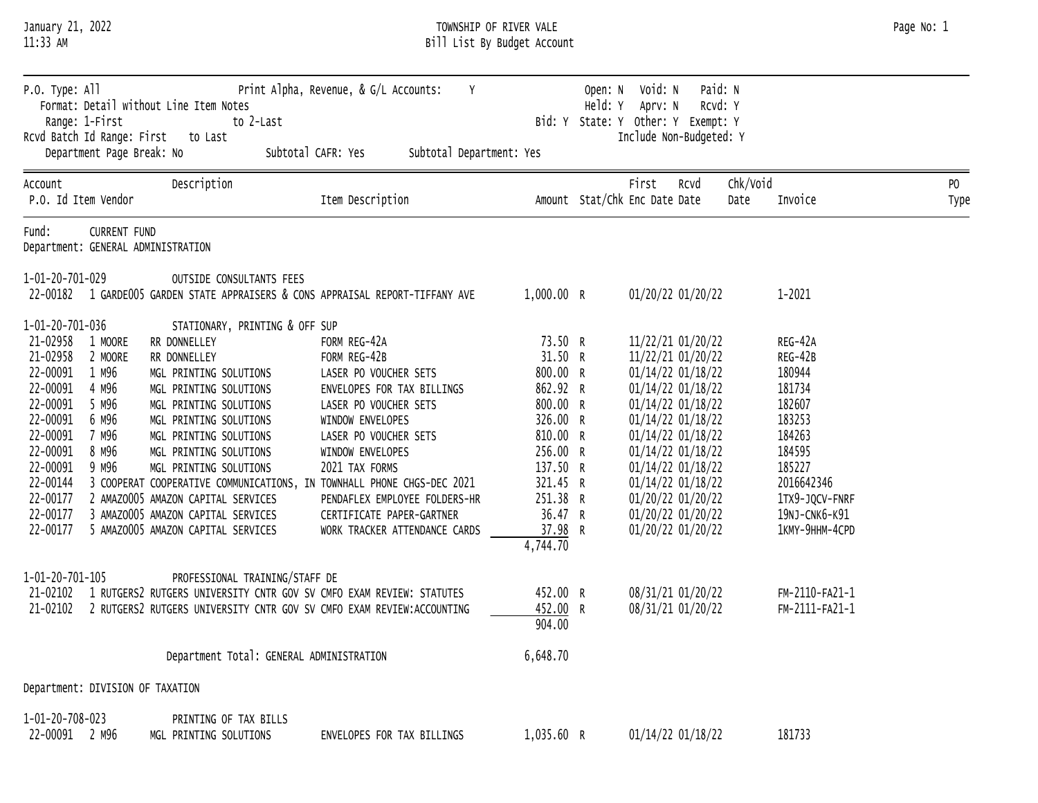| LL:33 AM                                                                                                                                                                                                                                                         |                                                                                                                                                                                                                                                                                                                                                                                                                                                  | BILL LIST BY BUAGET ACCOUNT                                                                                                                                                                                                                                                                    |                                                                                                                                                                  |                    |                                                                                                                                                                                                                                                                               |                                                                                                                                                             |             |
|------------------------------------------------------------------------------------------------------------------------------------------------------------------------------------------------------------------------------------------------------------------|--------------------------------------------------------------------------------------------------------------------------------------------------------------------------------------------------------------------------------------------------------------------------------------------------------------------------------------------------------------------------------------------------------------------------------------------------|------------------------------------------------------------------------------------------------------------------------------------------------------------------------------------------------------------------------------------------------------------------------------------------------|------------------------------------------------------------------------------------------------------------------------------------------------------------------|--------------------|-------------------------------------------------------------------------------------------------------------------------------------------------------------------------------------------------------------------------------------------------------------------------------|-------------------------------------------------------------------------------------------------------------------------------------------------------------|-------------|
| P.O. Type: All<br>Range: 1-First<br>Rcvd Batch Id Range: First<br>Department Page Break: No                                                                                                                                                                      | Format: Detail without Line Item Notes<br>to 2-Last<br>to Last                                                                                                                                                                                                                                                                                                                                                                                   | Print Alpha, Revenue, & G/L Accounts:<br>Y<br>Subtotal CAFR: Yes<br>Subtotal Department: Yes                                                                                                                                                                                                   | Bid: Y                                                                                                                                                           | Open: N<br>Held: Y | Paid: N<br>Void: N<br>Rcvd: Y<br>Aprv: N<br>State: Y Other: Y Exempt: Y<br>Include Non-Budgeted: Y                                                                                                                                                                            |                                                                                                                                                             |             |
| Account<br>P.O. Id Item Vendor                                                                                                                                                                                                                                   | Description                                                                                                                                                                                                                                                                                                                                                                                                                                      | Item Description                                                                                                                                                                                                                                                                               |                                                                                                                                                                  |                    | First<br>RCVd<br>Amount Stat/Chk Enc Date Date                                                                                                                                                                                                                                | Chk/Void<br>Invoice<br>Date                                                                                                                                 | PO.<br>Type |
| Fund:<br><b>CURRENT FUND</b><br>Department: GENERAL ADMINISTRATION                                                                                                                                                                                               |                                                                                                                                                                                                                                                                                                                                                                                                                                                  |                                                                                                                                                                                                                                                                                                |                                                                                                                                                                  |                    |                                                                                                                                                                                                                                                                               |                                                                                                                                                             |             |
| 1-01-20-701-029<br>22-00182                                                                                                                                                                                                                                      | OUTSIDE CONSULTANTS FEES<br>1 GARDE005 GARDEN STATE APPRAISERS & CONS APPRAISAL REPORT-TIFFANY AVE                                                                                                                                                                                                                                                                                                                                               |                                                                                                                                                                                                                                                                                                | 1,000.00 R                                                                                                                                                       |                    | 01/20/22 01/20/22                                                                                                                                                                                                                                                             | $1 - 2021$                                                                                                                                                  |             |
| 1-01-20-701-036<br>21-02958<br>1 MOORE<br>21-02958<br>2 MOORE<br>22-00091<br>1 M96<br>22-00091<br>4 M96<br>22-00091<br>5 M96<br>22-00091<br>6 M96<br>22-00091<br>7 M96<br>22-00091<br>8 M96<br>22-00091<br>9 M96<br>22-00144<br>22-00177<br>22-00177<br>22-00177 | STATIONARY, PRINTING & OFF SUP<br>RR DONNELLEY<br>RR DONNELLEY<br>MGL PRINTING SOLUTIONS<br>MGL PRINTING SOLUTIONS<br>MGL PRINTING SOLUTIONS<br>MGL PRINTING SOLUTIONS<br>MGL PRINTING SOLUTIONS<br>MGL PRINTING SOLUTIONS<br>MGL PRINTING SOLUTIONS<br>3 COOPERAT COOPERATIVE COMMUNICATIONS, IN TOWNHALL PHONE CHGS-DEC 2021<br>2 AMAZ0005 AMAZON CAPITAL SERVICES<br>3 AMAZ0005 AMAZON CAPITAL SERVICES<br>5 AMAZ0005 AMAZON CAPITAL SERVICES | FORM REG-42A<br>FORM REG-42B<br>LASER PO VOUCHER SETS<br>ENVELOPES FOR TAX BILLINGS<br>LASER PO VOUCHER SETS<br>WINDOW ENVELOPES<br>LASER PO VOUCHER SETS<br>WINDOW ENVELOPES<br>2021 TAX FORMS<br>PENDAFLEX EMPLOYEE FOLDERS-HR<br>CERTIFICATE PAPER-GARTNER<br>WORK TRACKER ATTENDANCE CARDS | 73.50 R<br>31.50 R<br>800.00 R<br>862.92 R<br>800.00 R<br>326.00 R<br>810.00 R<br>256.00 R<br>137.50 R<br>321.45 R<br>251.38 R<br>36.47 R<br>37.98 R<br>4,744.70 |                    | 11/22/21 01/20/22<br>11/22/21 01/20/22<br>01/14/22 01/18/22<br>01/14/22 01/18/22<br>01/14/22 01/18/22<br>01/14/22 01/18/22<br>01/14/22 01/18/22<br>01/14/22 01/18/22<br>01/14/22 01/18/22<br>01/14/22 01/18/22<br>01/20/22 01/20/22<br>01/20/22 01/20/22<br>01/20/22 01/20/22 | REG-42A<br>REG-42B<br>180944<br>181734<br>182607<br>183253<br>184263<br>184595<br>185227<br>2016642346<br>1TX9-JQCV-FNRF<br>19NJ-CNK6-K91<br>1КМҮ-9ННМ-4СРD |             |
| 1-01-20-701-105<br>21-02102<br>21-02102                                                                                                                                                                                                                          | PROFESSIONAL TRAINING/STAFF DE<br>1 RUTGERS2 RUTGERS UNIVERSITY CNTR GOV SV CMFO EXAM REVIEW: STATUTES<br>2 RUTGERS2 RUTGERS UNIVERSITY CNTR GOV SV CMFO EXAM REVIEW: ACCOUNTING                                                                                                                                                                                                                                                                 |                                                                                                                                                                                                                                                                                                | 452.00 R<br>452.00<br>904.00                                                                                                                                     |                    | 08/31/21 01/20/22<br>08/31/21 01/20/22                                                                                                                                                                                                                                        | FM-2110-FA21-1<br>FM-2111-FA21-1                                                                                                                            |             |
|                                                                                                                                                                                                                                                                  | Department Total: GENERAL ADMINISTRATION                                                                                                                                                                                                                                                                                                                                                                                                         |                                                                                                                                                                                                                                                                                                | 6,648.70                                                                                                                                                         |                    |                                                                                                                                                                                                                                                                               |                                                                                                                                                             |             |
| Department: DIVISION OF TAXATION                                                                                                                                                                                                                                 |                                                                                                                                                                                                                                                                                                                                                                                                                                                  |                                                                                                                                                                                                                                                                                                |                                                                                                                                                                  |                    |                                                                                                                                                                                                                                                                               |                                                                                                                                                             |             |
| 1-01-20-708-023<br>22-00091 2 M96                                                                                                                                                                                                                                | PRINTING OF TAX BILLS<br>MGL PRINTING SOLUTIONS                                                                                                                                                                                                                                                                                                                                                                                                  | ENVELOPES FOR TAX BILLINGS                                                                                                                                                                                                                                                                     | 1,035.60 R                                                                                                                                                       |                    | 01/14/22 01/18/22                                                                                                                                                                                                                                                             | 181733                                                                                                                                                      |             |

January 21, 2022 TOWNSHIP OF RIVER VALE Page No: 1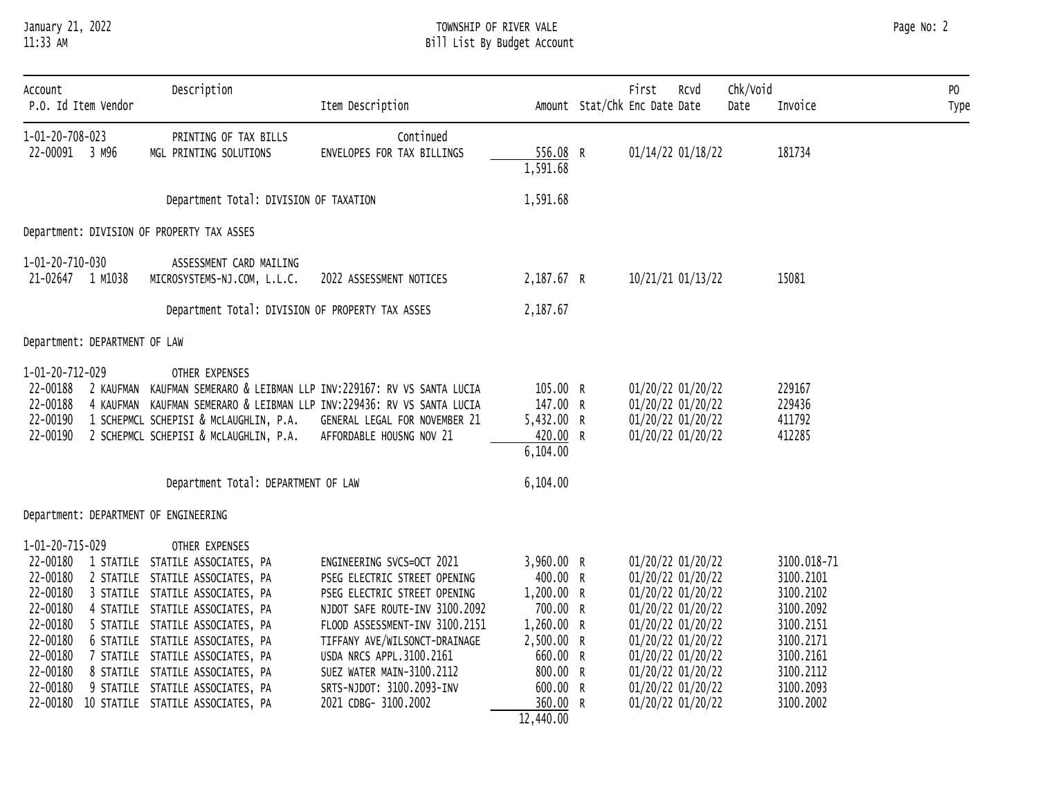# January 21, 2022 TOWNSHIP OF RIVER VALE Page No: 2 11:33 AM Bill List By Budget Account

| Account<br>P.O. Id Item Vendor                                                                                  | Description                                                                                                                                                                                                                                                                                                                                                                                               | Item Description                                                                                                                                                                                                                                                                                             |                                                                                                                                           | First<br>Amount Stat/Chk Enc Date Date                                                                                                                                                                         | Rcvd | Chk/Void<br>Date | Invoice                                                                                                                          | P <sub>0</sub><br>Type |
|-----------------------------------------------------------------------------------------------------------------|-----------------------------------------------------------------------------------------------------------------------------------------------------------------------------------------------------------------------------------------------------------------------------------------------------------------------------------------------------------------------------------------------------------|--------------------------------------------------------------------------------------------------------------------------------------------------------------------------------------------------------------------------------------------------------------------------------------------------------------|-------------------------------------------------------------------------------------------------------------------------------------------|----------------------------------------------------------------------------------------------------------------------------------------------------------------------------------------------------------------|------|------------------|----------------------------------------------------------------------------------------------------------------------------------|------------------------|
| $1 - 01 - 20 - 708 - 023$<br>22-00091 3 M96                                                                     | PRINTING OF TAX BILLS<br>MGL PRINTING SOLUTIONS                                                                                                                                                                                                                                                                                                                                                           | Continued<br>ENVELOPES FOR TAX BILLINGS                                                                                                                                                                                                                                                                      | 556.08 R<br>1,591.68                                                                                                                      | 01/14/22 01/18/22                                                                                                                                                                                              |      |                  | 181734                                                                                                                           |                        |
|                                                                                                                 | Department Total: DIVISION OF TAXATION                                                                                                                                                                                                                                                                                                                                                                    |                                                                                                                                                                                                                                                                                                              | 1,591.68                                                                                                                                  |                                                                                                                                                                                                                |      |                  |                                                                                                                                  |                        |
| Department: DIVISION OF PROPERTY TAX ASSES                                                                      |                                                                                                                                                                                                                                                                                                                                                                                                           |                                                                                                                                                                                                                                                                                                              |                                                                                                                                           |                                                                                                                                                                                                                |      |                  |                                                                                                                                  |                        |
| 1-01-20-710-030<br>21-02647 1 M1038                                                                             | ASSESSMENT CARD MAILING<br>MICROSYSTEMS-NJ.COM, L.L.C.                                                                                                                                                                                                                                                                                                                                                    | 2022 ASSESSMENT NOTICES                                                                                                                                                                                                                                                                                      | 2,187.67 R                                                                                                                                | 10/21/21 01/13/22                                                                                                                                                                                              |      |                  | 15081                                                                                                                            |                        |
|                                                                                                                 | Department Total: DIVISION OF PROPERTY TAX ASSES                                                                                                                                                                                                                                                                                                                                                          |                                                                                                                                                                                                                                                                                                              | 2,187.67                                                                                                                                  |                                                                                                                                                                                                                |      |                  |                                                                                                                                  |                        |
| Department: DEPARTMENT OF LAW                                                                                   |                                                                                                                                                                                                                                                                                                                                                                                                           |                                                                                                                                                                                                                                                                                                              |                                                                                                                                           |                                                                                                                                                                                                                |      |                  |                                                                                                                                  |                        |
| 1-01-20-712-029<br>22-00188<br>22-00188<br>22-00190<br>22-00190                                                 | OTHER EXPENSES<br>1 SCHEPMCL SCHEPISI & MCLAUGHLIN, P.A.<br>2 SCHEPMCL SCHEPISI & MCLAUGHLIN, P.A.                                                                                                                                                                                                                                                                                                        | 2 KAUFMAN KAUFMAN SEMERARO & LEIBMAN LLP INV:229167: RV VS SANTA LUCIA<br>4 KAUFMAN KAUFMAN SEMERARO & LEIBMAN LLP INV:229436: RV VS SANTA LUCIA<br>GENERAL LEGAL FOR NOVEMBER 21<br>AFFORDABLE HOUSNG NOV 21                                                                                                | 105.00 R<br>147.00 R<br>5,432.00 R<br>420.00 R<br>6,104.00                                                                                | 01/20/22 01/20/22<br>01/20/22 01/20/22<br>01/20/22 01/20/22<br>01/20/22 01/20/22                                                                                                                               |      |                  | 229167<br>229436<br>411792<br>412285                                                                                             |                        |
|                                                                                                                 | Department Total: DEPARTMENT OF LAW                                                                                                                                                                                                                                                                                                                                                                       |                                                                                                                                                                                                                                                                                                              | 6,104.00                                                                                                                                  |                                                                                                                                                                                                                |      |                  |                                                                                                                                  |                        |
| Department: DEPARTMENT OF ENGINEERING                                                                           |                                                                                                                                                                                                                                                                                                                                                                                                           |                                                                                                                                                                                                                                                                                                              |                                                                                                                                           |                                                                                                                                                                                                                |      |                  |                                                                                                                                  |                        |
| 1-01-20-715-029<br>22-00180<br>22-00180<br>22-00180<br>22-00180<br>22-00180<br>22-00180<br>22-00180<br>22-00180 | OTHER EXPENSES<br>22-00180 1 STATILE STATILE ASSOCIATES, PA<br>2 STATILE STATILE ASSOCIATES, PA<br>3 STATILE STATILE ASSOCIATES, PA<br>4 STATILE STATILE ASSOCIATES, PA<br>5 STATILE STATILE ASSOCIATES, PA<br>6 STATILE STATILE ASSOCIATES, PA<br>7 STATILE STATILE ASSOCIATES, PA<br>8 STATILE STATILE ASSOCIATES, PA<br>9 STATILE STATILE ASSOCIATES, PA<br>22-00180 10 STATILE STATILE ASSOCIATES, PA | ENGINEERING SVCS=OCT 2021<br>PSEG ELECTRIC STREET OPENING<br>PSEG ELECTRIC STREET OPENING<br>NJDOT SAFE ROUTE-INV 3100.2092<br>FLOOD ASSESSMENT-INV 3100.2151<br>TIFFANY AVE/WILSONCT-DRAINAGE<br>USDA NRCS APPL.3100.2161<br>SUEZ WATER MAIN-3100.2112<br>SRTS-NJDOT: 3100.2093-INV<br>2021 CDBG- 3100.2002 | 3,960.00 R<br>400.00 R<br>1,200.00 R<br>700.00 R<br>1,260.00 R<br>2,500.00 R<br>660.00 R<br>800.00 R<br>600.00 R<br>360.00 R<br>12,440.00 | 01/20/22 01/20/22<br>01/20/22 01/20/22<br>01/20/22 01/20/22<br>01/20/22 01/20/22<br>01/20/22 01/20/22<br>01/20/22 01/20/22<br>01/20/22 01/20/22<br>01/20/22 01/20/22<br>01/20/22 01/20/22<br>01/20/22 01/20/22 |      |                  | 3100.018-71<br>3100.2101<br>3100.2102<br>3100.2092<br>3100.2151<br>3100.2171<br>3100.2161<br>3100.2112<br>3100.2093<br>3100.2002 |                        |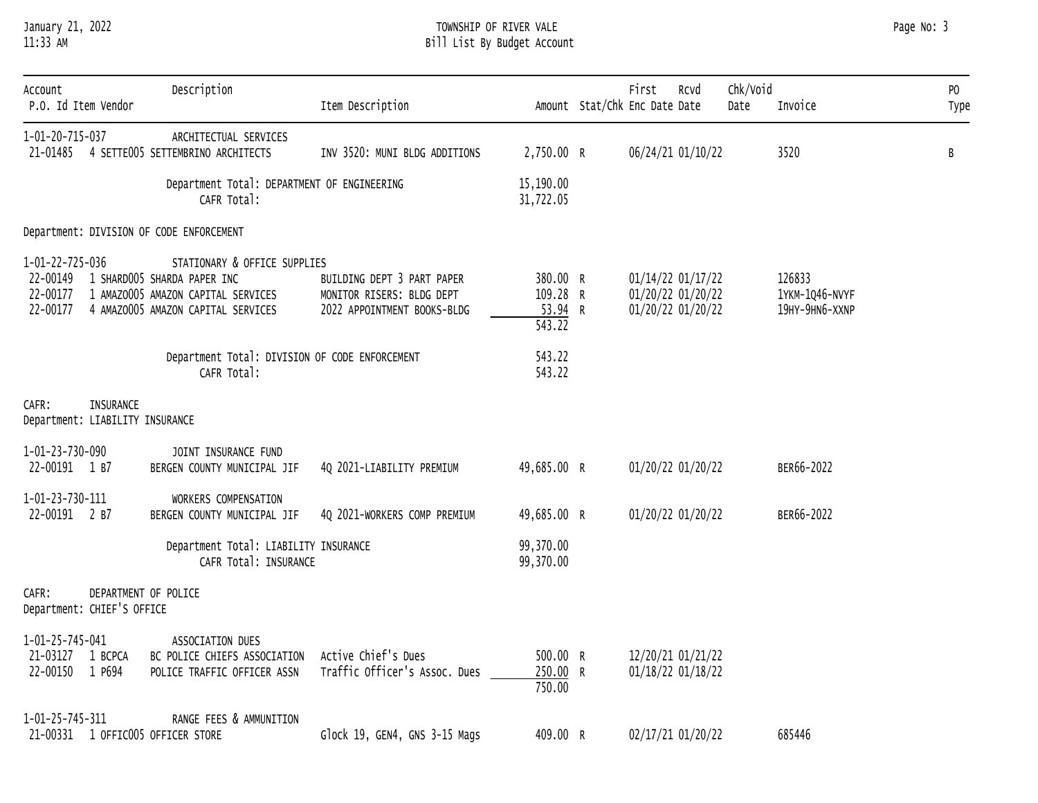# January 21, 2022 TOWNSHIP OF RIVER VALE Page No: 3 11:33 AM Bill List By Budget Account

|  | Page No: |  |  |
|--|----------|--|--|
|--|----------|--|--|

| Account<br>P.O. Id Item Vendor                               | Description                                                                                                                             | Item Description                                                                       |                                                          | Chk/Void<br>First<br>RCVd<br>Amount Stat/Chk Enc Date Date<br>Date | Invoice                                    | PO<br>Type |
|--------------------------------------------------------------|-----------------------------------------------------------------------------------------------------------------------------------------|----------------------------------------------------------------------------------------|----------------------------------------------------------|--------------------------------------------------------------------|--------------------------------------------|------------|
| 1-01-20-715-037                                              | ARCHITECTUAL SERVICES<br>21-01485 4 SETTE005 SETTEMBRINO ARCHITECTS                                                                     | INV 3520: MUNI BLDG ADDITIONS                                                          | 2,750.00 R                                               | 06/24/21 01/10/22                                                  | 3520                                       | В          |
|                                                              | Department Total: DEPARTMENT OF ENGINEERING<br>CAFR Total:                                                                              |                                                                                        | 15,190.00<br>31,722.05                                   |                                                                    |                                            |            |
| Department: DIVISION OF CODE ENFORCEMENT                     |                                                                                                                                         |                                                                                        |                                                          |                                                                    |                                            |            |
| 1-01-22-725-036<br>22-00149<br>22-00177<br>22-00177          | STATIONARY & OFFICE SUPPLIES<br>1 SHARD005 SHARDA PAPER INC<br>1 AMAZ0005 AMAZON CAPITAL SERVICES<br>4 AMAZ0005 AMAZON CAPITAL SERVICES | BUILDING DEPT 3 PART PAPER<br>MONITOR RISERS: BLDG DEPT<br>2022 APPOINTMENT BOOKS-BLDG | 380.00 R<br>109.28 R<br>$53.94$ R<br>$\overline{543.22}$ | 01/14/22 01/17/22<br>01/20/22 01/20/22<br>01/20/22 01/20/22        | 126833<br>1YKM-1Q46-NVYF<br>19HY-9HN6-XXNP |            |
|                                                              | Department Total: DIVISION OF CODE ENFORCEMENT<br>CAFR Total:                                                                           |                                                                                        | 543.22<br>543.22                                         |                                                                    |                                            |            |
| <b>INSURANCE</b><br>CAFR:<br>Department: LIABILITY INSURANCE |                                                                                                                                         |                                                                                        |                                                          |                                                                    |                                            |            |
| 1-01-23-730-090<br>22-00191 1 B7                             | JOINT INSURANCE FUND<br>BERGEN COUNTY MUNICIPAL JIF                                                                                     | 4Q 2021-LIABILITY PREMIUM                                                              | 49,685.00 R                                              | 01/20/22 01/20/22                                                  | BER66-2022                                 |            |
| 1-01-23-730-111<br>22-00191 2 B7                             | WORKERS COMPENSATION<br>BERGEN COUNTY MUNICIPAL JIF                                                                                     | 4Q 2021-WORKERS COMP PREMIUM                                                           | 49,685.00 R                                              | 01/20/22 01/20/22                                                  | BER66-2022                                 |            |
|                                                              | Department Total: LIABILITY INSURANCE<br>CAFR Total: INSURANCE                                                                          |                                                                                        | 99,370.00<br>99,370.00                                   |                                                                    |                                            |            |
| CAFR:<br>Department: CHIEF'S OFFICE                          | DEPARTMENT OF POLICE                                                                                                                    |                                                                                        |                                                          |                                                                    |                                            |            |
| 1-01-25-745-041<br>21-03127<br>1 BCPCA<br>22-00150 1 P694    | ASSOCIATION DUES<br>BC POLICE CHIEFS ASSOCIATION<br>POLICE TRAFFIC OFFICER ASSN                                                         | Active Chief's Dues<br>Traffic Officer's Assoc. Dues                                   | 500.00 R<br>250.00 R<br>750.00                           | 12/20/21 01/21/22<br>01/18/22 01/18/22                             |                                            |            |
| 1-01-25-745-311<br>21-00331 1 OFFIC005 OFFICER STORE         | RANGE FEES & AMMUNITION                                                                                                                 | Glock 19, GEN4, GNS 3-15 Mags                                                          | 409.00 R                                                 | 02/17/21 01/20/22                                                  | 685446                                     |            |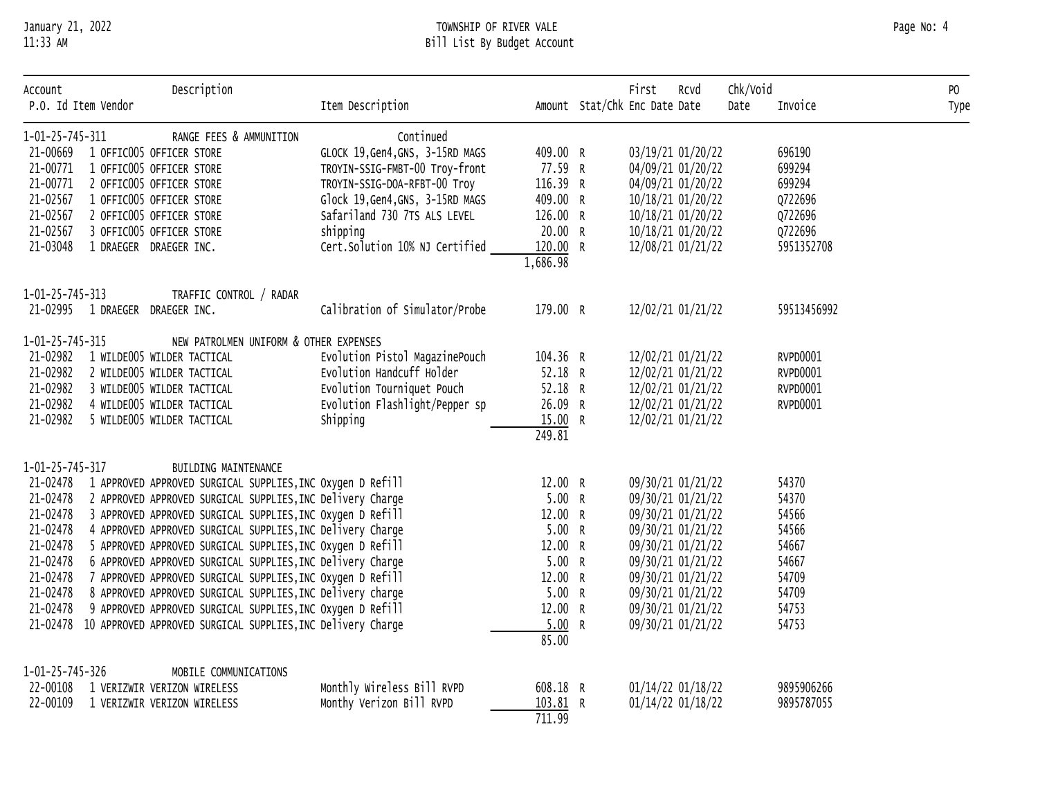# January 21, 2022 TOWNSHIP OF RIVER VALE Page No: 4 11:33 AM Bill List By Budget Account

| Account         | P.O. Id Item Vendor             | Description                                                          | Item Description                 |          | First<br>Amount Stat/Chk Enc Date Date | Rcvd | Chk/Void<br>Date | Invoice     | PO<br>Type |
|-----------------|---------------------------------|----------------------------------------------------------------------|----------------------------------|----------|----------------------------------------|------|------------------|-------------|------------|
|                 |                                 |                                                                      |                                  |          |                                        |      |                  |             |            |
| 1-01-25-745-311 |                                 | RANGE FEES & AMMUNITION                                              | Continued                        |          |                                        |      |                  |             |            |
| 21-00669        |                                 | 1 OFFIC005 OFFICER STORE                                             | GLOCK 19, Gen4, GNS, 3-15RD MAGS | 409.00 R | 03/19/21 01/20/22                      |      |                  | 696190      |            |
| 21-00771        |                                 | 1 OFFIC005 OFFICER STORE                                             | TROYIN-SSIG-FMBT-00 Troy-front   | 77.59 R  | 04/09/21 01/20/22                      |      |                  | 699294      |            |
| 21-00771        |                                 | 2 OFFIC005 OFFICER STORE                                             | TROYIN-SSIG-DOA-RFBT-00 Troy     | 116.39 R | 04/09/21 01/20/22                      |      |                  | 699294      |            |
| 21-02567        |                                 | 1 OFFIC005 OFFICER STORE                                             | Glock 19, Gen4, GNS, 3-15RD MAGS | 409.00 R | 10/18/21 01/20/22                      |      |                  | Q722696     |            |
| 21-02567        |                                 | 2 OFFIC005 OFFICER STORE                                             | Safariland 730 7TS ALS LEVEL     | 126.00 R | 10/18/21 01/20/22                      |      |                  | Q722696     |            |
| 21-02567        |                                 | 3 OFFIC005 OFFICER STORE                                             | shipping                         | 20.00 R  | 10/18/21 01/20/22                      |      |                  | Q722696     |            |
| 21-03048        |                                 | 1 DRAEGER DRAEGER INC.                                               | Cert.Solution 10% NJ Certified   | 120.00 R | 12/08/21 01/21/22                      |      |                  | 5951352708  |            |
|                 |                                 |                                                                      |                                  | 1,686.98 |                                        |      |                  |             |            |
| 1-01-25-745-313 |                                 | TRAFFIC CONTROL / RADAR                                              |                                  |          |                                        |      |                  |             |            |
|                 | 21-02995 1 DRAEGER DRAEGER INC. |                                                                      | Calibration of Simulator/Probe   | 179.00 R | 12/02/21 01/21/22                      |      |                  | 59513456992 |            |
| 1-01-25-745-315 |                                 | NEW PATROLMEN UNIFORM & OTHER EXPENSES                               |                                  |          |                                        |      |                  |             |            |
| 21-02982        |                                 | 1 WILDE005 WILDER TACTICAL                                           | Evolution Pistol MagazinePouch   | 104.36 R | 12/02/21 01/21/22                      |      |                  | RVPD0001    |            |
| 21-02982        |                                 | 2 WILDE005 WILDER TACTICAL                                           | Evolution Handcuff Holder        | 52.18 R  | 12/02/21 01/21/22                      |      |                  | RVPD0001    |            |
| 21-02982        |                                 | 3 WILDE005 WILDER TACTICAL                                           | Evolution Tourniquet Pouch       | 52.18 R  | 12/02/21 01/21/22                      |      |                  | RVPD0001    |            |
| 21-02982        |                                 | 4 WILDE005 WILDER TACTICAL                                           | Evolution Flashlight/Pepper sp   | 26.09 R  | 12/02/21 01/21/22                      |      |                  | RVPD0001    |            |
| 21-02982        |                                 | 5 WILDE005 WILDER TACTICAL                                           | Shipping                         | 15.00 R  | 12/02/21 01/21/22                      |      |                  |             |            |
|                 |                                 |                                                                      |                                  | 249.81   |                                        |      |                  |             |            |
| 1-01-25-745-317 |                                 | BUILDING MAINTENANCE                                                 |                                  |          |                                        |      |                  |             |            |
| 21-02478        |                                 | 1 APPROVED APPROVED SURGICAL SUPPLIES, INC Oxygen D Refill           |                                  | 12.00 R  | 09/30/21 01/21/22                      |      |                  | 54370       |            |
|                 |                                 | 21-02478 2 APPROVED APPROVED SURGICAL SUPPLIES, INC Delivery Charge  |                                  | 5.00 R   | 09/30/21 01/21/22                      |      |                  | 54370       |            |
|                 |                                 | 21-02478 3 APPROVED APPROVED SURGICAL SUPPLIES, INC Oxygen D Refill  |                                  | 12.00 R  | 09/30/21 01/21/22                      |      |                  | 54566       |            |
| 21-02478        |                                 | 4 APPROVED APPROVED SURGICAL SUPPLIES, INC Delivery Charge           |                                  | 5.00 R   | 09/30/21 01/21/22                      |      |                  | 54566       |            |
| 21-02478        |                                 | 5 APPROVED APPROVED SURGICAL SUPPLIES, INC Oxygen D Refill           |                                  | 12.00 R  | 09/30/21 01/21/22                      |      |                  | 54667       |            |
| 21-02478        |                                 | 6 APPROVED APPROVED SURGICAL SUPPLIES, INC Delivery Charge           |                                  | 5.00 R   | 09/30/21 01/21/22                      |      |                  | 54667       |            |
| 21-02478        |                                 | 7 APPROVED APPROVED SURGICAL SUPPLIES, INC Oxygen D Refill           |                                  | 12.00 R  | 09/30/21 01/21/22                      |      |                  | 54709       |            |
| 21-02478        |                                 | 8 APPROVED APPROVED SURGICAL SUPPLIES, INC Delivery charge           |                                  | 5.00 R   | 09/30/21 01/21/22                      |      |                  | 54709       |            |
| 21-02478        |                                 | 9 APPROVED APPROVED SURGICAL SUPPLIES, INC Oxygen D Refill           |                                  | 12.00 R  | 09/30/21 01/21/22                      |      |                  | 54753       |            |
|                 |                                 | 21-02478 10 APPROVED APPROVED SURGICAL SUPPLIES, INC Delivery Charge |                                  | 5.00 R   | 09/30/21 01/21/22                      |      |                  | 54753       |            |
|                 |                                 |                                                                      |                                  | 85.00    |                                        |      |                  |             |            |
| 1-01-25-745-326 |                                 | MOBILE COMMUNICATIONS                                                |                                  |          |                                        |      |                  |             |            |
| 22-00108        |                                 | 1 VERIZWIR VERIZON WIRELESS                                          | Monthly Wireless Bill RVPD       | 608.18 R | 01/14/22 01/18/22                      |      |                  | 9895906266  |            |
| 22-00109        |                                 | 1 VERIZWIR VERIZON WIRELESS                                          | Monthy Verizon Bill RVPD         | 103.81 R | 01/14/22 01/18/22                      |      |                  | 9895787055  |            |
|                 |                                 |                                                                      |                                  | 711.99   |                                        |      |                  |             |            |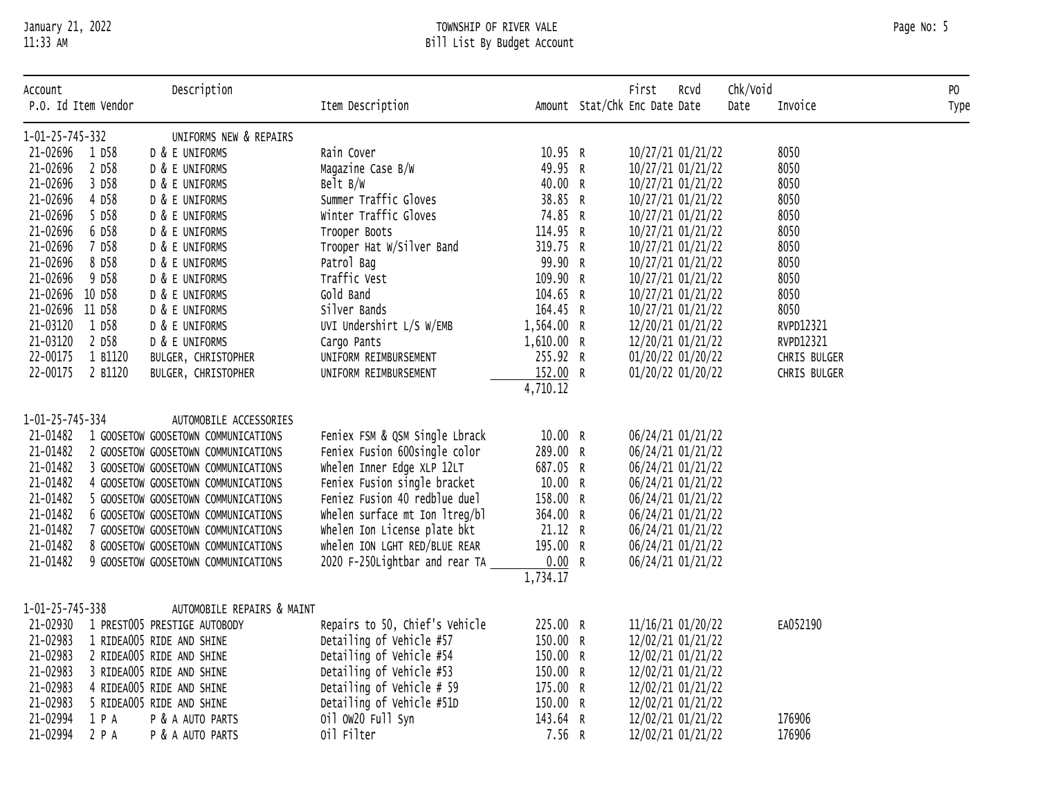# January 21, 2022 TOWNSHIP OF RIVER VALE Page No: 5 11:33 AM Bill List By Budget Account

| Account<br>P.O. Id Item Vendor |         | Description                         | Item Description               |            | First<br>Amount Stat/Chk Enc Date Date | Rcvd | Chk/Void<br>Date | Invoice      | PO   |
|--------------------------------|---------|-------------------------------------|--------------------------------|------------|----------------------------------------|------|------------------|--------------|------|
|                                |         |                                     |                                |            |                                        |      |                  |              | Type |
| 1-01-25-745-332                |         | UNIFORMS NEW & REPAIRS              |                                |            |                                        |      |                  |              |      |
| 21-02696                       | 1 D58   | D & E UNIFORMS                      | Rain Cover                     | 10.95 R    | 10/27/21 01/21/22                      |      |                  | 8050         |      |
| 21-02696                       | 2 D58   | D & E UNIFORMS                      | Magazine Case B/W              | 49.95 R    | 10/27/21 01/21/22                      |      |                  | 8050         |      |
| 21-02696                       | 3 D58   | D & E UNIFORMS                      | Belt B/W                       | 40.00 R    | 10/27/21 01/21/22                      |      |                  | 8050         |      |
| 21-02696                       | 4 D58   | D & E UNIFORMS                      | Summer Traffic Gloves          | 38.85 R    | 10/27/21 01/21/22                      |      |                  | 8050         |      |
| 21-02696                       | 5 D58   | D & E UNIFORMS                      | Winter Traffic Gloves          | 74.85 R    | 10/27/21 01/21/22                      |      |                  | 8050         |      |
| 21-02696                       | 6 D58   | D & E UNIFORMS                      | Trooper Boots                  | 114.95 R   | 10/27/21 01/21/22                      |      |                  | 8050         |      |
| 21-02696                       | 7 D58   | D & E UNIFORMS                      | Trooper Hat W/Silver Band      | 319.75 R   | 10/27/21 01/21/22                      |      |                  | 8050         |      |
| 21-02696                       | 8 D58   | D & E UNIFORMS                      | Patrol Bag                     | 99.90 R    | 10/27/21 01/21/22                      |      |                  | 8050         |      |
| 21-02696                       | 9 D58   | D & E UNIFORMS                      | Traffic Vest                   | 109.90 R   | 10/27/21 01/21/22                      |      |                  | 8050         |      |
| 21-02696 10 D58                |         | D & E UNIFORMS                      | Gold Band                      | 104.65 R   | 10/27/21 01/21/22                      |      |                  | 8050         |      |
| 21-02696 11 D58                |         | D & E UNIFORMS                      | Silver Bands                   | 164.45 R   | 10/27/21 01/21/22                      |      |                  | 8050         |      |
| 21-03120                       | 1 D58   | D & E UNIFORMS                      | UVI Undershirt L/S W/EMB       | 1,564.00 R | 12/20/21 01/21/22                      |      |                  | RVPD12321    |      |
| 21-03120                       | 2 D58   | D & E UNIFORMS                      | Cargo Pants                    | 1,610.00 R | 12/20/21 01/21/22                      |      |                  | RVPD12321    |      |
| 22-00175                       | 1 B1120 | BULGER, CHRISTOPHER                 | UNIFORM REIMBURSEMENT          | 255.92 R   | 01/20/22 01/20/22                      |      |                  | CHRIS BULGER |      |
| 22-00175                       | 2 B1120 | BULGER, CHRISTOPHER                 | UNIFORM REIMBURSEMENT          | 152.00 R   | 01/20/22 01/20/22                      |      |                  | CHRIS BULGER |      |
|                                |         |                                     |                                | 4,710.12   |                                        |      |                  |              |      |
| 1-01-25-745-334                |         | AUTOMOBILE ACCESSORIES              |                                |            |                                        |      |                  |              |      |
| 21-01482                       |         | 1 GOOSETOW GOOSETOWN COMMUNICATIONS | Feniex FSM & QSM Single Lbrack | 10.00 R    | 06/24/21 01/21/22                      |      |                  |              |      |
| 21-01482                       |         | 2 GOOSETOW GOOSETOWN COMMUNICATIONS | Feniex Fusion 600single color  | 289.00 R   | 06/24/21 01/21/22                      |      |                  |              |      |
| 21-01482                       |         | 3 GOOSETOW GOOSETOWN COMMUNICATIONS | Whelen Inner Edge XLP 12LT     | 687.05 R   | 06/24/21 01/21/22                      |      |                  |              |      |
| 21-01482                       |         | 4 GOOSETOW GOOSETOWN COMMUNICATIONS | Feniex Fusion single bracket   | 10.00 R    | 06/24/21 01/21/22                      |      |                  |              |      |
| 21-01482                       |         | 5 GOOSETOW GOOSETOWN COMMUNICATIONS | Feniez Fusion 40 redblue duel  | 158.00 R   | 06/24/21 01/21/22                      |      |                  |              |      |
| 21-01482                       |         | 6 GOOSETOW GOOSETOWN COMMUNICATIONS | whelen surface mt Ion ltreg/bl | 364.00 R   | 06/24/21 01/21/22                      |      |                  |              |      |
| 21-01482                       |         | 7 GOOSETOW GOOSETOWN COMMUNICATIONS | whelen Ion License plate bkt   | 21.12 R    | 06/24/21 01/21/22                      |      |                  |              |      |
| 21-01482                       |         | 8 GOOSETOW GOOSETOWN COMMUNICATIONS | whelen ION LGHT RED/BLUE REAR  | 195.00 R   | 06/24/21 01/21/22                      |      |                  |              |      |
| 21-01482                       |         | 9 GOOSETOW GOOSETOWN COMMUNICATIONS | 2020 F-250Lightbar and rear TA | 0.00 R     | 06/24/21 01/21/22                      |      |                  |              |      |
|                                |         |                                     |                                | 1,734.17   |                                        |      |                  |              |      |
|                                |         |                                     |                                |            |                                        |      |                  |              |      |
| 1-01-25-745-338                |         | AUTOMOBILE REPAIRS & MAINT          |                                |            |                                        |      |                  |              |      |
| 21-02930                       |         | 1 PREST005 PRESTIGE AUTOBODY        | Repairs to 50, Chief's Vehicle | 225.00 R   | 11/16/21 01/20/22                      |      |                  | EA052190     |      |
| 21-02983                       |         | 1 RIDEA005 RIDE AND SHINE           | Detailing of Vehicle #57       | 150.00 R   | 12/02/21 01/21/22                      |      |                  |              |      |
| 21-02983                       |         | 2 RIDEA005 RIDE AND SHINE           | Detailing of Vehicle #54       | 150.00 R   | 12/02/21 01/21/22                      |      |                  |              |      |
| 21-02983                       |         | 3 RIDEA005 RIDE AND SHINE           | Detailing of Vehicle #53       | 150.00 R   | 12/02/21 01/21/22                      |      |                  |              |      |
| 21-02983                       |         | 4 RIDEA005 RIDE AND SHINE           | Detailing of Vehicle # 59      | 175.00 R   | 12/02/21 01/21/22                      |      |                  |              |      |
| 21-02983                       |         | 5 RIDEA005 RIDE AND SHINE           | Detailing of Vehicle #51D      | 150.00 R   | 12/02/21 01/21/22                      |      |                  |              |      |
| 21-02994                       | 1 P A   | P & A AUTO PARTS                    | 0il 0W20 Full Syn              | 143.64 R   | 12/02/21 01/21/22                      |      |                  | 176906       |      |
| 21-02994                       | 2 P A   | P & A AUTO PARTS                    | 0il Filter                     | 7.56 R     | 12/02/21 01/21/22                      |      |                  | 176906       |      |
|                                |         |                                     |                                |            |                                        |      |                  |              |      |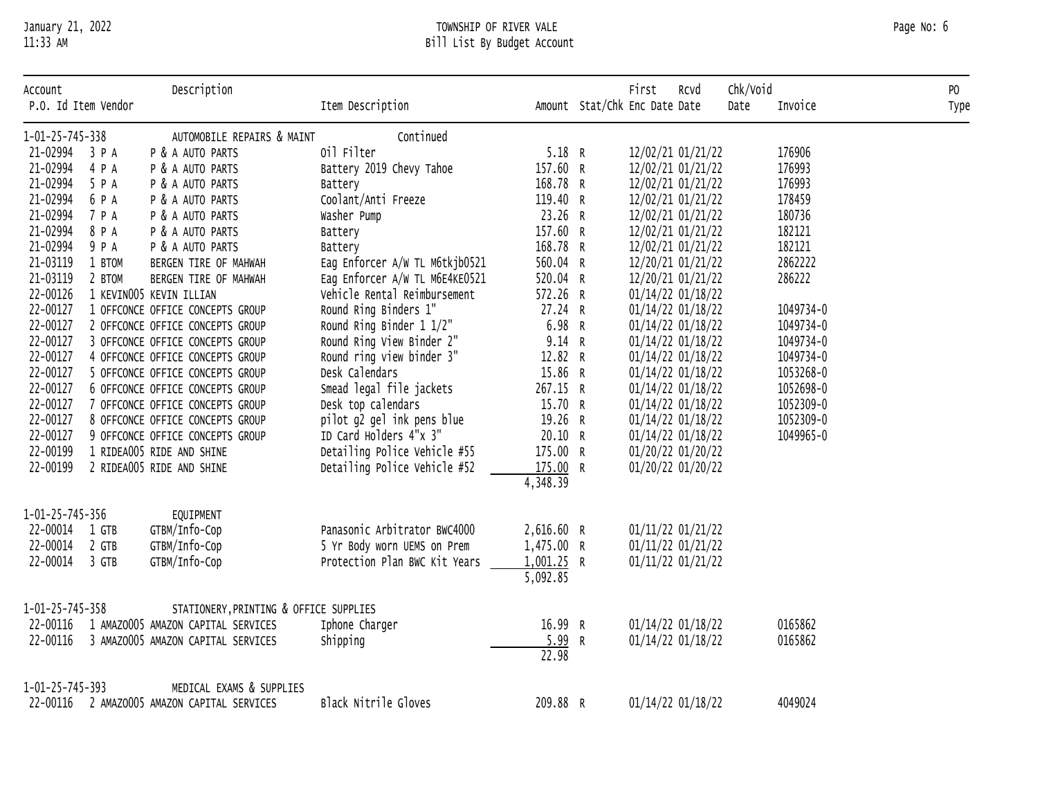# January 21, 2022 TOWNSHIP OF RIVER VALE Page No: 6 11:33 AM Bill List By Budget Account

| Account<br>P.O. Id Item Vendor |        | Description                            | Item Description               |              | First<br>Amount Stat/Chk Enc Date Date | RCVd | Chk/Void<br>Date | Invoice   | PO<br>Type |
|--------------------------------|--------|----------------------------------------|--------------------------------|--------------|----------------------------------------|------|------------------|-----------|------------|
| 1-01-25-745-338                |        | AUTOMOBILE REPAIRS & MAINT             | Continued                      |              |                                        |      |                  |           |            |
| 21-02994 3 P A                 |        | P & A AUTO PARTS                       | 0il Filter                     | 5.18 R       | 12/02/21 01/21/22                      |      |                  | 176906    |            |
| 21-02994                       | 4 P A  | P & A AUTO PARTS                       | Battery 2019 Chevy Tahoe       | 157.60 R     | 12/02/21 01/21/22                      |      |                  | 176993    |            |
| 21-02994                       | 5 P A  | P & A AUTO PARTS                       | Battery                        | 168.78 R     | 12/02/21 01/21/22                      |      |                  | 176993    |            |
| 21-02994                       | 6 P A  | P & A AUTO PARTS                       | Coolant/Anti Freeze            | 119.40 R     | 12/02/21 01/21/22                      |      |                  | 178459    |            |
| 21-02994                       | 7 P A  | P & A AUTO PARTS                       | Washer Pump                    | 23.26 R      | 12/02/21 01/21/22                      |      |                  | 180736    |            |
| 21-02994                       | 8 P A  | P & A AUTO PARTS                       | Battery                        | 157.60 R     | 12/02/21 01/21/22                      |      |                  | 182121    |            |
| 21-02994                       | 9 P A  | P & A AUTO PARTS                       | Battery                        | 168.78 R     | 12/02/21 01/21/22                      |      |                  | 182121    |            |
| 21-03119                       | 1 BTOM | BERGEN TIRE OF MAHWAH                  | Eag Enforcer A/W TL M6tkjb0521 | 560.04 R     | 12/20/21 01/21/22                      |      |                  | 2862222   |            |
| 21-03119                       | 2 BTOM | BERGEN TIRE OF MAHWAH                  | Eag Enforcer A/W TL M6E4KE0521 | 520.04 R     | 12/20/21 01/21/22                      |      |                  | 286222    |            |
| 22-00126                       |        | 1 KEVINO05 KEVIN ILLIAN                | Vehicle Rental Reimbursement   | 572.26 R     | 01/14/22 01/18/22                      |      |                  |           |            |
| 22-00127                       |        | 1 OFFCONCE OFFICE CONCEPTS GROUP       | Round Ring Binders 1"          | 27.24 R      | 01/14/22 01/18/22                      |      |                  | 1049734-0 |            |
| 22-00127                       |        | 2 OFFCONCE OFFICE CONCEPTS GROUP       | Round Ring Binder 1 1/2"       | 6.98 R       | 01/14/22 01/18/22                      |      |                  | 1049734-0 |            |
| 22-00127                       |        | 3 OFFCONCE OFFICE CONCEPTS GROUP       | Round Ring View Binder 2"      | 9.14 R       | 01/14/22 01/18/22                      |      |                  | 1049734-0 |            |
| 22-00127                       |        | 4 OFFCONCE OFFICE CONCEPTS GROUP       | Round ring view binder 3"      | 12.82 R      | 01/14/22 01/18/22                      |      |                  | 1049734-0 |            |
| 22-00127                       |        | 5 OFFCONCE OFFICE CONCEPTS GROUP       | Desk Calendars                 | 15.86 R      | 01/14/22 01/18/22                      |      |                  | 1053268-0 |            |
| 22-00127                       |        | 6 OFFCONCE OFFICE CONCEPTS GROUP       | Smead legal file jackets       | 267.15 R     | 01/14/22 01/18/22                      |      |                  | 1052698-0 |            |
| 22-00127                       |        | 7 OFFCONCE OFFICE CONCEPTS GROUP       | Desk top calendars             | 15.70 R      | 01/14/22 01/18/22                      |      |                  | 1052309-0 |            |
| 22-00127                       |        | 8 OFFCONCE OFFICE CONCEPTS GROUP       | pilot g2 gel ink pens blue     | 19.26 R      | 01/14/22 01/18/22                      |      |                  | 1052309-0 |            |
| 22-00127                       |        | 9 OFFCONCE OFFICE CONCEPTS GROUP       | ID Card Holders 4"x 3"         | 20.10 R      | 01/14/22 01/18/22                      |      |                  | 1049965-0 |            |
| 22-00199                       |        | 1 RIDEA005 RIDE AND SHINE              | Detailing Police Vehicle #55   | 175.00 R     | 01/20/22 01/20/22                      |      |                  |           |            |
| 22-00199                       |        | 2 RIDEA005 RIDE AND SHINE              | Detailing Police Vehicle #52   | 175.00 R     | 01/20/22 01/20/22                      |      |                  |           |            |
|                                |        |                                        |                                | 4,348.39     |                                        |      |                  |           |            |
| 1-01-25-745-356                |        | EQUIPMENT                              |                                |              |                                        |      |                  |           |            |
| 22-00014                       | 1 GTB  | GTBM/Info-Cop                          | Panasonic Arbitrator BWC4000   | 2,616.60 R   | 01/11/22 01/21/22                      |      |                  |           |            |
| 22-00014                       | 2 GTB  | GTBM/Info-Cop                          | 5 Yr Body worn UEMS on Prem    | 1,475.00 R   | 01/11/22 01/21/22                      |      |                  |           |            |
| 22-00014                       | 3 GTB  | GTBM/Info-Cop                          | Protection Plan BWC Kit Years  | $1,001.25$ R | 01/11/22 01/21/22                      |      |                  |           |            |
|                                |        |                                        |                                | 5,092.85     |                                        |      |                  |           |            |
| 1-01-25-745-358                |        | STATIONERY, PRINTING & OFFICE SUPPLIES |                                |              |                                        |      |                  |           |            |
| 22-00116                       |        | 1 AMAZ0005 AMAZON CAPITAL SERVICES     | Iphone Charger                 | 16.99 R      | 01/14/22 01/18/22                      |      |                  | 0165862   |            |
| 22-00116                       |        | 3 AMAZOO05 AMAZON CAPITAL SERVICES     | Shipping                       | 5.99 R       | 01/14/22 01/18/22                      |      |                  | 0165862   |            |
|                                |        |                                        |                                | 22.98        |                                        |      |                  |           |            |
| 1-01-25-745-393                |        | MEDICAL EXAMS & SUPPLIES               |                                |              |                                        |      |                  |           |            |
| 22-00116                       |        | 2 AMAZ0005 AMAZON CAPITAL SERVICES     | Black Nitrile Gloves           | 209.88 R     | 01/14/22 01/18/22                      |      |                  | 4049024   |            |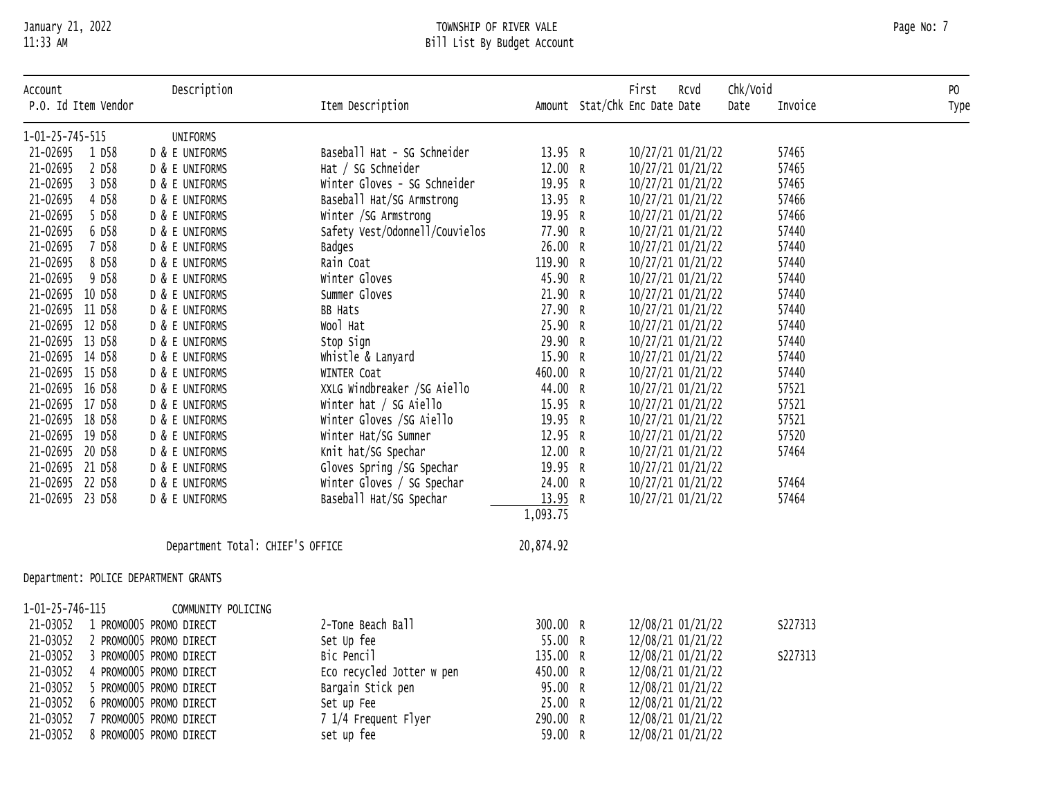# January 21, 2022 TOWNSHIP OF RIVER VALE Page No: 7 11:33 AM Bill List By Budget Account

| Account<br>P.O. Id Item Vendor |        | Description                          | Item Description               |           | First<br>Rcvd<br>Amount Stat/Chk Enc Date Date | Chk/Void<br>Date | Invoice | PO<br>Type |
|--------------------------------|--------|--------------------------------------|--------------------------------|-----------|------------------------------------------------|------------------|---------|------------|
| 1-01-25-745-515                |        | UNIFORMS                             |                                |           |                                                |                  |         |            |
| 21-02695                       | 1 D58  | D & E UNIFORMS                       | Baseball Hat - SG Schneider    | 13.95 R   | 10/27/21 01/21/22                              |                  | 57465   |            |
| 21-02695                       | 2 D58  | D & E UNIFORMS                       | Hat / SG Schneider             | 12.00 R   | 10/27/21 01/21/22                              |                  | 57465   |            |
| 21-02695                       | 3 D58  | D & E UNIFORMS                       | Winter Gloves - SG Schneider   | 19.95 R   | 10/27/21 01/21/22                              |                  | 57465   |            |
| 21-02695                       | 4 D58  | D & E UNIFORMS                       | Baseball Hat/SG Armstrong      | 13.95 R   | 10/27/21 01/21/22                              |                  | 57466   |            |
| 21-02695                       | 5 D58  | D & E UNIFORMS                       | Winter /SG Armstrong           | 19.95 R   | 10/27/21 01/21/22                              |                  | 57466   |            |
| 21-02695                       | 6 D58  | D & E UNIFORMS                       | Safety Vest/Odonnell/Couvielos | 77.90 R   | 10/27/21 01/21/22                              |                  | 57440   |            |
| 21-02695                       | 7 D58  | D & E UNIFORMS                       | <b>Badges</b>                  | 26.00 R   | 10/27/21 01/21/22                              |                  | 57440   |            |
| 21-02695                       | 8 D58  | D & E UNIFORMS                       | Rain Coat                      | 119.90 R  | 10/27/21 01/21/22                              |                  | 57440   |            |
| 21-02695                       | 9 D58  | D & E UNIFORMS                       | Winter Gloves                  | 45.90 R   | 10/27/21 01/21/22                              |                  | 57440   |            |
| 21-02695                       | 10 D58 | D & E UNIFORMS                       | Summer Gloves                  | 21.90 R   | 10/27/21 01/21/22                              |                  | 57440   |            |
| 21-02695                       | 11 D58 | D & E UNIFORMS                       | <b>BB Hats</b>                 | 27.90 R   | 10/27/21 01/21/22                              |                  | 57440   |            |
| 21-02695 12 D58                |        | D & E UNIFORMS                       | Wool Hat                       | 25.90 R   | 10/27/21 01/21/22                              |                  | 57440   |            |
| 21-02695 13 D58                |        | D & E UNIFORMS                       | Stop Sign                      | 29.90 R   | 10/27/21 01/21/22                              |                  | 57440   |            |
| 21-02695 14 D58                |        | D & E UNIFORMS                       | Whistle & Lanyard              | 15.90 R   | 10/27/21 01/21/22                              |                  | 57440   |            |
| 21-02695 15 D58                |        | D & E UNIFORMS                       | WINTER Coat                    | 460.00 R  | 10/27/21 01/21/22                              |                  | 57440   |            |
| 21-02695 16 D58                |        | D & E UNIFORMS                       | XXLG Windbreaker /SG Aiello    | 44.00 R   | 10/27/21 01/21/22                              |                  | 57521   |            |
| 21-02695 17 D58                |        | D & E UNIFORMS                       | Winter hat / SG Aiello         | 15.95 R   | 10/27/21 01/21/22                              |                  | 57521   |            |
| 21-02695                       | 18 D58 | D & E UNIFORMS                       | Winter Gloves /SG Aiello       | 19.95 R   | 10/27/21 01/21/22                              |                  | 57521   |            |
| 21-02695                       | 19 D58 | D & E UNIFORMS                       | Winter Hat/SG Sumner           | 12.95 R   | 10/27/21 01/21/22                              |                  | 57520   |            |
| 21-02695 20 D58                |        | D & E UNIFORMS                       | Knit hat/SG Spechar            | 12.00 R   | 10/27/21 01/21/22                              |                  | 57464   |            |
| 21-02695 21 D58                |        | D & E UNIFORMS                       | Gloves Spring /SG Spechar      | 19.95 R   | 10/27/21 01/21/22                              |                  |         |            |
| 21-02695 22 D58                |        | D & E UNIFORMS                       | Winter Gloves / SG Spechar     | 24.00 R   | 10/27/21 01/21/22                              |                  | 57464   |            |
| 21-02695 23 D58                |        | D & E UNIFORMS                       | Baseball Hat/SG Spechar        | 13.95 R   | 10/27/21 01/21/22                              |                  | 57464   |            |
|                                |        |                                      |                                | 1,093.75  |                                                |                  |         |            |
|                                |        | Department Total: CHIEF'S OFFICE     |                                | 20,874.92 |                                                |                  |         |            |
|                                |        | Department: POLICE DEPARTMENT GRANTS |                                |           |                                                |                  |         |            |
| 1-01-25-746-115                |        | COMMUNITY POLICING                   |                                |           |                                                |                  |         |            |
| 21-03052                       |        | 1 PROMO005 PROMO DIRECT              | 2-Tone Beach Ball              | 300.00 R  | 12/08/21 01/21/22                              |                  | S227313 |            |
| 21-03052                       |        | 2 PROMO005 PROMO DIRECT              | Set Up fee                     | 55.00 R   | 12/08/21 01/21/22                              |                  |         |            |
| 21-03052                       |        | 3 PROMO005 PROMO DIRECT              | Bic Pencil                     | 135.00 R  | 12/08/21 01/21/22                              |                  | S227313 |            |
| 21-03052                       |        | 4 PROMO005 PROMO DIRECT              | Eco recycled Jotter w pen      | 450.00 R  | 12/08/21 01/21/22                              |                  |         |            |
| 21-03052                       |        | 5 PROMO005 PROMO DIRECT              | Bargain Stick pen              | 95.00 R   | 12/08/21 01/21/22                              |                  |         |            |
| 21-03052                       |        | 6 PROMO005 PROMO DIRECT              | Set up Fee                     | 25.00 R   | 12/08/21 01/21/22                              |                  |         |            |
| 21-03052                       |        | 7 PROMO005 PROMO DIRECT              | 7 1/4 Frequent Flyer           | 290.00 R  | 12/08/21 01/21/22                              |                  |         |            |
| 21-03052                       |        | 8 PROMO005 PROMO DIRECT              | set up fee                     | 59.00 R   | 12/08/21 01/21/22                              |                  |         |            |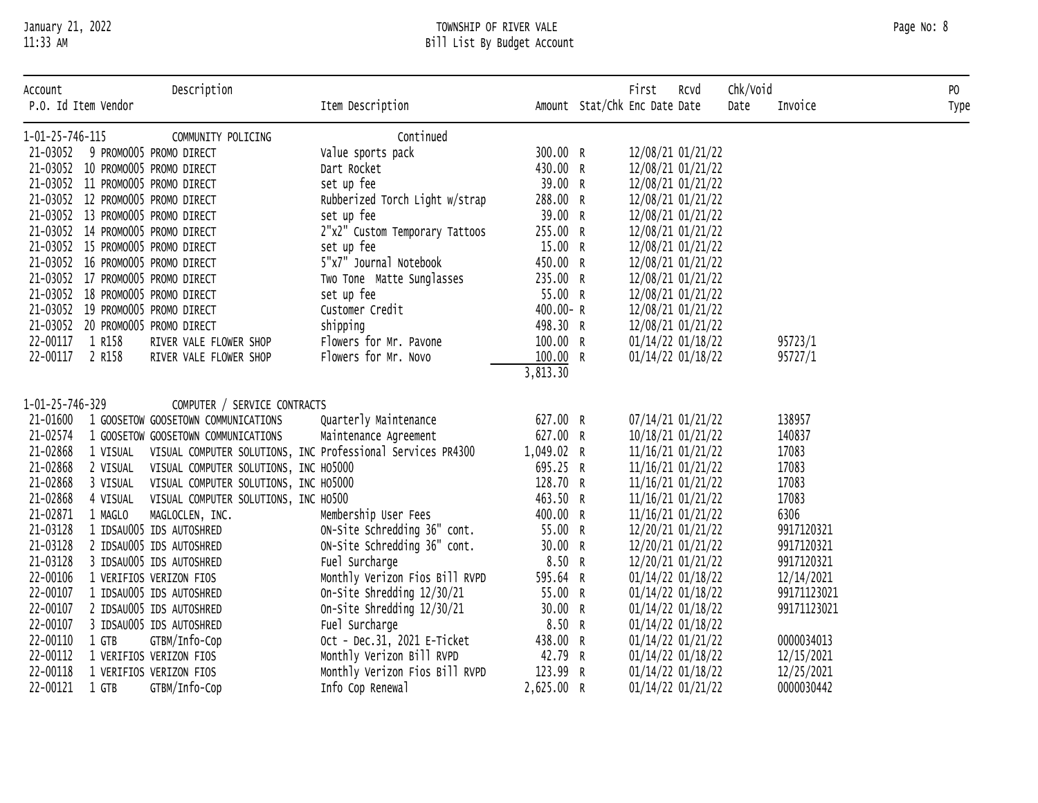# January 21, 2022 TOWNSHIP OF RIVER VALE Page No: 8 11:33 AM Bill List By Budget Account

| Account         | P.O. Id Item Vendor | Description                           | Item Description                                            |              | First<br>Amount Stat/Chk Enc Date Date | Rcvd | Chk/Void<br>Date | Invoice     | PO<br>Type |
|-----------------|---------------------|---------------------------------------|-------------------------------------------------------------|--------------|----------------------------------------|------|------------------|-------------|------------|
| 1-01-25-746-115 |                     | COMMUNITY POLICING                    | Continued                                                   |              |                                        |      |                  |             |            |
| 21-03052        |                     | 9 PROMO005 PROMO DIRECT               | Value sports pack                                           | 300.00 R     | 12/08/21 01/21/22                      |      |                  |             |            |
|                 |                     | 21-03052 10 PROMO005 PROMO DIRECT     | Dart Rocket                                                 | 430.00 R     | 12/08/21 01/21/22                      |      |                  |             |            |
|                 |                     | 21-03052 11 PROMO005 PROMO DIRECT     | set up fee                                                  | 39.00 R      | 12/08/21 01/21/22                      |      |                  |             |            |
|                 |                     | 21-03052 12 PROMO005 PROMO DIRECT     | Rubberized Torch Light w/strap                              | 288.00 R     | 12/08/21 01/21/22                      |      |                  |             |            |
|                 |                     | 21-03052 13 PROMO005 PROMO DIRECT     | set up fee                                                  | 39.00 R      | 12/08/21 01/21/22                      |      |                  |             |            |
|                 |                     | 21-03052 14 PROMO005 PROMO DIRECT     | 2"x2" Custom Temporary Tattoos                              | 255.00 R     | 12/08/21 01/21/22                      |      |                  |             |            |
|                 |                     | 21-03052 15 PROMO005 PROMO DIRECT     | set up fee                                                  | 15.00 R      | 12/08/21 01/21/22                      |      |                  |             |            |
|                 |                     | 21-03052 16 PROMO005 PROMO DIRECT     | 5"x7" Journal Notebook                                      | 450.00 R     | 12/08/21 01/21/22                      |      |                  |             |            |
|                 |                     | 21-03052 17 PROMO005 PROMO DIRECT     | Two Tone Matte Sunglasses                                   | 235.00 R     | 12/08/21 01/21/22                      |      |                  |             |            |
|                 |                     | 21-03052 18 PROMO005 PROMO DIRECT     | set up fee                                                  | 55.00 R      | 12/08/21 01/21/22                      |      |                  |             |            |
|                 |                     | 21-03052 19 PROMO005 PROMO DIRECT     | Customer Credit                                             | $400.00 - R$ | 12/08/21 01/21/22                      |      |                  |             |            |
|                 |                     | 21-03052 20 PROMO005 PROMO DIRECT     | shipping                                                    | 498.30 R     | 12/08/21 01/21/22                      |      |                  |             |            |
| 22-00117        | 1 R158              | RIVER VALE FLOWER SHOP                | Flowers for Mr. Pavone                                      | 100.00 R     | 01/14/22 01/18/22                      |      |                  | 95723/1     |            |
| 22-00117        | 2 R158              | RIVER VALE FLOWER SHOP                | Flowers for Mr. Novo                                        | 100.00 R     | 01/14/22 01/18/22                      |      |                  | 95727/1     |            |
|                 |                     |                                       |                                                             | 3,813.30     |                                        |      |                  |             |            |
| 1-01-25-746-329 |                     | COMPUTER / SERVICE CONTRACTS          |                                                             |              |                                        |      |                  |             |            |
| 21-01600        |                     | 1 GOOSETOW GOOSETOWN COMMUNICATIONS   | Quarterly Maintenance                                       | 627.00 R     | 07/14/21 01/21/22                      |      |                  | 138957      |            |
| 21-02574        |                     | 1 GOOSETOW GOOSETOWN COMMUNICATIONS   | Maintenance Agreement                                       | 627.00 R     | 10/18/21 01/21/22                      |      |                  | 140837      |            |
| 21-02868        | 1 VISUAL            |                                       | VISUAL COMPUTER SOLUTIONS, INC Professional Services PR4300 | 1,049.02 R   | 11/16/21 01/21/22                      |      |                  | 17083       |            |
| 21-02868        | 2 VISUAL            | VISUAL COMPUTER SOLUTIONS, INC H05000 |                                                             | 695.25 R     | 11/16/21 01/21/22                      |      |                  | 17083       |            |
| 21-02868        | 3 VISUAL            | VISUAL COMPUTER SOLUTIONS, INC H05000 |                                                             | 128.70 R     | 11/16/21 01/21/22                      |      |                  | 17083       |            |
| 21-02868        | 4 VISUAL            | VISUAL COMPUTER SOLUTIONS, INC HO500  |                                                             | 463.50 R     | 11/16/21 01/21/22                      |      |                  | 17083       |            |
| 21-02871        | 1 MAGLO             | MAGLOCLEN, INC.                       | Membership User Fees                                        | 400.00 R     | 11/16/21 01/21/22                      |      |                  | 6306        |            |
| 21-03128        |                     | 1 IDSAU005 IDS AUTOSHRED              | ON-Site Schredding 36" cont.                                | 55.00 R      | 12/20/21 01/21/22                      |      |                  | 9917120321  |            |
| 21-03128        |                     | 2 IDSAU005 IDS AUTOSHRED              | ON-Site Schredding 36" cont.                                | 30.00 R      | 12/20/21 01/21/22                      |      |                  | 9917120321  |            |
| 21-03128        |                     | 3 IDSAU005 IDS AUTOSHRED              | Fuel Surcharge                                              | 8.50 R       | 12/20/21 01/21/22                      |      |                  | 9917120321  |            |
| 22-00106        |                     | 1 VERIFIOS VERIZON FIOS               | Monthly Verizon Fios Bill RVPD                              | 595.64 R     | 01/14/22 01/18/22                      |      |                  | 12/14/2021  |            |
| 22-00107        |                     | 1 IDSAU005 IDS AUTOSHRED              | On-Site Shredding 12/30/21                                  | 55.00 R      | 01/14/22 01/18/22                      |      |                  | 99171123021 |            |
| 22-00107        |                     | 2 IDSAU005 IDS AUTOSHRED              | On-Site Shredding 12/30/21                                  | 30.00 R      | 01/14/22 01/18/22                      |      |                  | 99171123021 |            |
| 22-00107        |                     | 3 IDSAU005 IDS AUTOSHRED              | Fuel Surcharge                                              | 8.50 R       | 01/14/22 01/18/22                      |      |                  |             |            |
| 22-00110        | 1 GTB               | GTBM/Info-Cop                         | Oct - Dec.31, 2021 E-Ticket                                 | 438.00 R     | 01/14/22 01/21/22                      |      |                  | 0000034013  |            |
| 22-00112        |                     | 1 VERIFIOS VERIZON FIOS               | Monthly Verizon Bill RVPD                                   | 42.79 R      | 01/14/22 01/18/22                      |      |                  | 12/15/2021  |            |
| 22-00118        |                     | 1 VERIFIOS VERIZON FIOS               | Monthly Verizon Fios Bill RVPD                              | 123.99 R     | 01/14/22 01/18/22                      |      |                  | 12/25/2021  |            |
| 22-00121 1 GTB  |                     | GTBM/Info-Cop                         | Info Cop Renewal                                            | 2,625.00 R   | 01/14/22 01/21/22                      |      |                  | 0000030442  |            |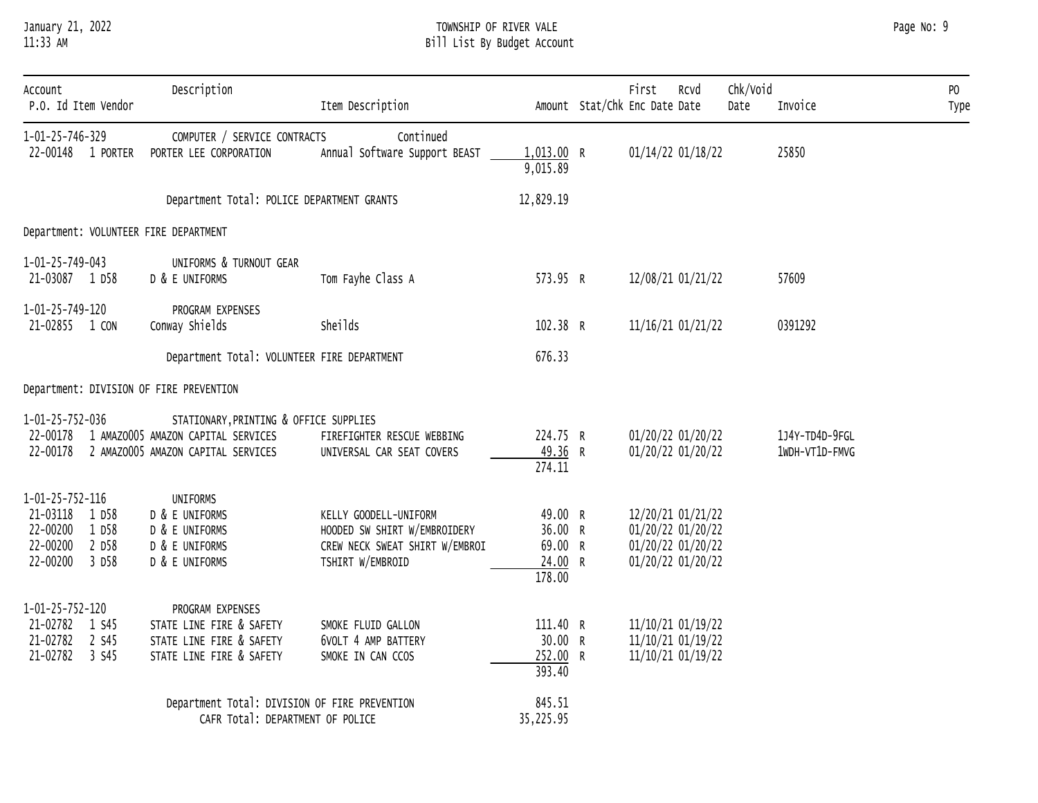# January 21, 2022 TOWNSHIP OF RIVER VALE Page No: 9 11:33 AM Bill List By Budget Account

| Account<br>P.O. Id Item Vendor                                                                                | Description                                                                                                        | Item Description                                                                                            |                                                    | First<br>Rcvd<br>Amount Stat/Chk Enc Date Date                                   | Chk/Void<br>Date | Invoice                          | P <sub>0</sub><br>Type |
|---------------------------------------------------------------------------------------------------------------|--------------------------------------------------------------------------------------------------------------------|-------------------------------------------------------------------------------------------------------------|----------------------------------------------------|----------------------------------------------------------------------------------|------------------|----------------------------------|------------------------|
| 1-01-25-746-329<br>22-00148 1 PORTER                                                                          | COMPUTER / SERVICE CONTRACTS<br>PORTER LEE CORPORATION                                                             | Continued<br>Annual Software Support BEAST                                                                  | 1,013.00 R<br>9,015.89                             | 01/14/22 01/18/22                                                                |                  | 25850                            |                        |
|                                                                                                               | Department Total: POLICE DEPARTMENT GRANTS                                                                         |                                                                                                             | 12,829.19                                          |                                                                                  |                  |                                  |                        |
| Department: VOLUNTEER FIRE DEPARTMENT                                                                         |                                                                                                                    |                                                                                                             |                                                    |                                                                                  |                  |                                  |                        |
| 1-01-25-749-043<br>21-03087 1 D58                                                                             | UNIFORMS & TURNOUT GEAR<br>D & E UNIFORMS                                                                          | Tom Fayhe Class A                                                                                           | 573.95 R                                           | 12/08/21 01/21/22                                                                |                  | 57609                            |                        |
| 1-01-25-749-120<br>21-02855 1 CON                                                                             | PROGRAM EXPENSES<br>Conway Shields                                                                                 | Sheilds                                                                                                     | 102.38 R                                           | 11/16/21 01/21/22                                                                |                  | 0391292                          |                        |
|                                                                                                               | Department Total: VOLUNTEER FIRE DEPARTMENT                                                                        |                                                                                                             | 676.33                                             |                                                                                  |                  |                                  |                        |
| Department: DIVISION OF FIRE PREVENTION                                                                       |                                                                                                                    |                                                                                                             |                                                    |                                                                                  |                  |                                  |                        |
| 1-01-25-752-036<br>22-00178<br>22-00178                                                                       | STATIONARY, PRINTING & OFFICE SUPPLIES<br>1 AMAZ0005 AMAZON CAPITAL SERVICES<br>2 AMAZ0005 AMAZON CAPITAL SERVICES | FIREFIGHTER RESCUE WEBBING<br>UNIVERSAL CAR SEAT COVERS                                                     | 224.75 R<br>49.36 R<br>274.11                      | 01/20/22 01/20/22<br>01/20/22 01/20/22                                           |                  | 1J4Y-TD4D-9FGL<br>1WDH-VT1D-FMVG |                        |
| $1 - 01 - 25 - 752 - 116$<br>21-03118<br>1 D58<br>22-00200<br>1 D58<br>22-00200<br>2 D58<br>22-00200<br>3 D58 | <b>UNIFORMS</b><br>D & E UNIFORMS<br>D & E UNIFORMS<br>D & E UNIFORMS<br>D & E UNIFORMS                            | KELLY GOODELL-UNIFORM<br>HOODED SW SHIRT W/EMBROIDERY<br>CREW NECK SWEAT SHIRT W/EMBROI<br>TSHIRT W/EMBROID | 49.00 R<br>36.00 R<br>69.00 R<br>24.00 R<br>178.00 | 12/20/21 01/21/22<br>01/20/22 01/20/22<br>01/20/22 01/20/22<br>01/20/22 01/20/22 |                  |                                  |                        |
| $1 - 01 - 25 - 752 - 120$<br>21-02782 1 S45<br>2 S45<br>21-02782<br>21-02782<br>3 S45                         | PROGRAM EXPENSES<br>STATE LINE FIRE & SAFETY<br>STATE LINE FIRE & SAFETY<br>STATE LINE FIRE & SAFETY               | SMOKE FLUID GALLON<br>6VOLT 4 AMP BATTERY<br>SMOKE IN CAN CCOS                                              | 111.40 R<br>30.00 R<br>252.00 R<br>393.40          | 11/10/21 01/19/22<br>11/10/21 01/19/22<br>11/10/21 01/19/22                      |                  |                                  |                        |
|                                                                                                               | Department Total: DIVISION OF FIRE PREVENTION<br>CAFR Total: DEPARTMENT OF POLICE                                  |                                                                                                             | 845.51<br>35,225.95                                |                                                                                  |                  |                                  |                        |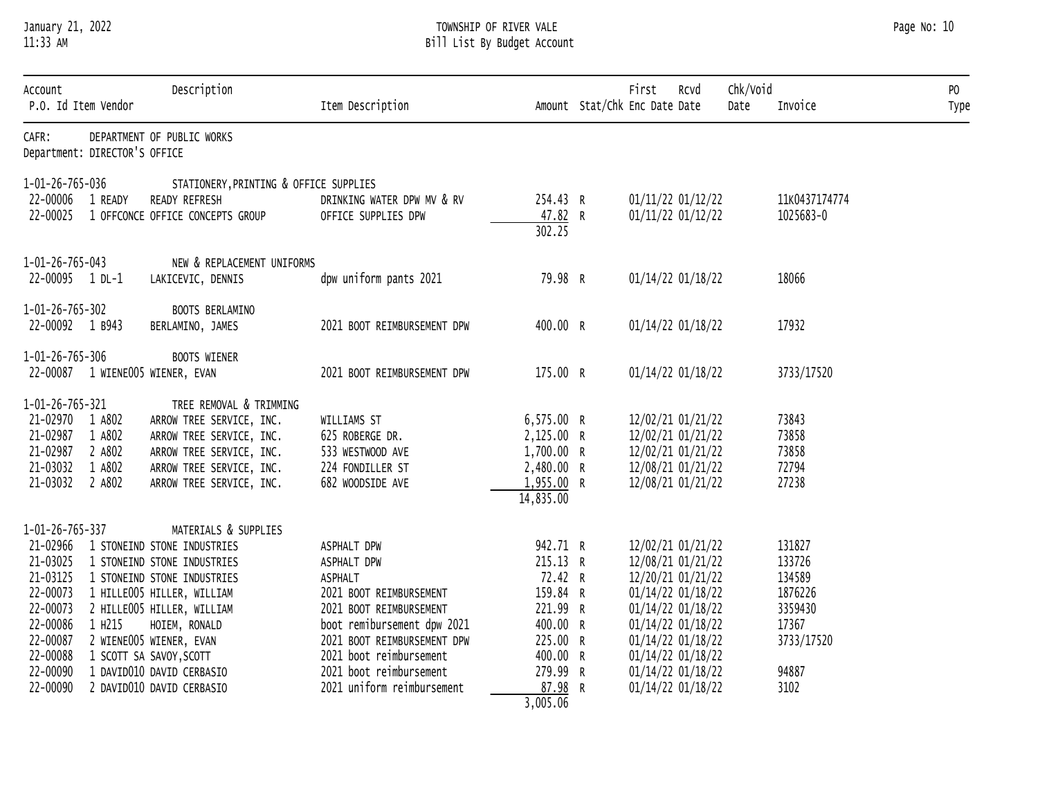# January 21, 2022 TOWNSHIP OF RIVER VALE Page No: 10 11:33 AM Bill List By Budget Account

| Account<br>P.O. Id Item Vendor                      |        | Description                                          | Item Description                                  |                               | First<br>Rcvd<br>Amount Stat/Chk Enc Date Date | Chk/Void<br>Date | Invoice                    | P <sub>0</sub><br>Type |
|-----------------------------------------------------|--------|------------------------------------------------------|---------------------------------------------------|-------------------------------|------------------------------------------------|------------------|----------------------------|------------------------|
| CAFR:<br>Department: DIRECTOR'S OFFICE              |        | DEPARTMENT OF PUBLIC WORKS                           |                                                   |                               |                                                |                  |                            |                        |
| 1-01-26-765-036                                     |        | STATIONERY, PRINTING & OFFICE SUPPLIES               |                                                   |                               |                                                |                  |                            |                        |
| 22-00006 1 READY<br>22-00025                        |        | READY REFRESH<br>1 OFFCONCE OFFICE CONCEPTS GROUP    | DRINKING WATER DPW MV & RV<br>OFFICE SUPPLIES DPW | 254.43 R<br>47.82 R<br>302.25 | 01/11/22 01/12/22<br>01/11/22 01/12/22         |                  | 11K0437174774<br>1025683-0 |                        |
| 1-01-26-765-043                                     |        | NEW & REPLACEMENT UNIFORMS                           |                                                   |                               |                                                |                  |                            |                        |
| 22-00095 1 DL-1                                     |        | LAKICEVIC, DENNIS                                    | dpw uniform pants 2021                            | 79.98 R                       | 01/14/22 01/18/22                              |                  | 18066                      |                        |
| 1-01-26-765-302<br>22-00092 1 B943                  |        | BOOTS BERLAMINO<br>BERLAMINO, JAMES                  | 2021 BOOT REIMBURSEMENT DPW                       | 400.00 R                      | 01/14/22 01/18/22                              |                  | 17932                      |                        |
| 1-01-26-765-306<br>22-00087 1 WIENE005 WIENER, EVAN |        | <b>BOOTS WIENER</b>                                  | 2021 BOOT REIMBURSEMENT DPW                       | 175.00 R                      | 01/14/22 01/18/22                              |                  | 3733/17520                 |                        |
| 1-01-26-765-321                                     |        | TREE REMOVAL & TRIMMING                              |                                                   |                               |                                                |                  |                            |                        |
| 21-02970 1 A802                                     |        | ARROW TREE SERVICE, INC.                             | WILLIAMS ST                                       | 6,575.00 R                    | 12/02/21 01/21/22                              |                  | 73843                      |                        |
| 21-02987                                            | 1 A802 | ARROW TREE SERVICE, INC.                             | 625 ROBERGE DR.                                   | 2,125.00 R                    | 12/02/21 01/21/22                              |                  | 73858                      |                        |
| 21-02987                                            | 2 A802 | ARROW TREE SERVICE, INC.                             | 533 WESTWOOD AVE                                  | 1,700.00 R                    | 12/02/21 01/21/22                              |                  | 73858                      |                        |
| 21-03032<br>21-03032 2 A802                         | 1 A802 | ARROW TREE SERVICE, INC.<br>ARROW TREE SERVICE, INC. | 224 FONDILLER ST<br>682 WOODSIDE AVE              | 2,480.00 R<br>1,955.00 R      | 12/08/21 01/21/22<br>12/08/21 01/21/22         |                  | 72794<br>27238             |                        |
|                                                     |        |                                                      |                                                   | 14,835.00                     |                                                |                  |                            |                        |
| 1-01-26-765-337                                     |        | MATERIALS & SUPPLIES                                 |                                                   |                               |                                                |                  |                            |                        |
| 21-02966                                            |        | 1 STONEIND STONE INDUSTRIES                          | ASPHALT DPW                                       | 942.71 R                      | 12/02/21 01/21/22                              |                  | 131827                     |                        |
| 21-03025                                            |        | 1 STONEIND STONE INDUSTRIES                          | ASPHALT DPW                                       | 215.13 R                      | 12/08/21 01/21/22                              |                  | 133726                     |                        |
| 21-03125                                            |        | 1 STONEIND STONE INDUSTRIES                          | <b>ASPHALT</b>                                    | 72.42 R                       | 12/20/21 01/21/22                              |                  | 134589                     |                        |
| 22-00073                                            |        | 1 HILLE005 HILLER, WILLIAM                           | 2021 BOOT REIMBURSEMENT                           | 159.84 R                      | 01/14/22 01/18/22                              |                  | 1876226                    |                        |
| 22-00073                                            |        | 2 HILLE005 HILLER, WILLIAM                           | 2021 BOOT REIMBURSEMENT                           | 221.99 R                      | 01/14/22 01/18/22                              |                  | 3359430                    |                        |
| 22-00086                                            | 1 H215 | HOIEM, RONALD                                        | boot remibursement dpw 2021                       | 400.00 R                      | 01/14/22 01/18/22                              |                  | 17367                      |                        |
| 22-00087                                            |        | 2 WIENE005 WIENER, EVAN                              | 2021 BOOT REIMBURSEMENT DPW                       | 225.00 R                      | 01/14/22 01/18/22                              |                  | 3733/17520                 |                        |
| 22-00088                                            |        | 1 SCOTT SA SAVOY, SCOTT                              | 2021 boot reimbursement                           | 400.00 R                      | 01/14/22 01/18/22                              |                  |                            |                        |
| 22-00090                                            |        | 1 DAVID010 DAVID CERBASIO                            | 2021 boot reimbursement                           | 279.99 R                      | 01/14/22 01/18/22                              |                  | 94887                      |                        |
| 22-00090                                            |        | 2 DAVID010 DAVID CERBASIO                            | 2021 uniform reimbursement                        | 87.98 R                       | 01/14/22 01/18/22                              |                  | 3102                       |                        |
|                                                     |        |                                                      |                                                   | 3,005.06                      |                                                |                  |                            |                        |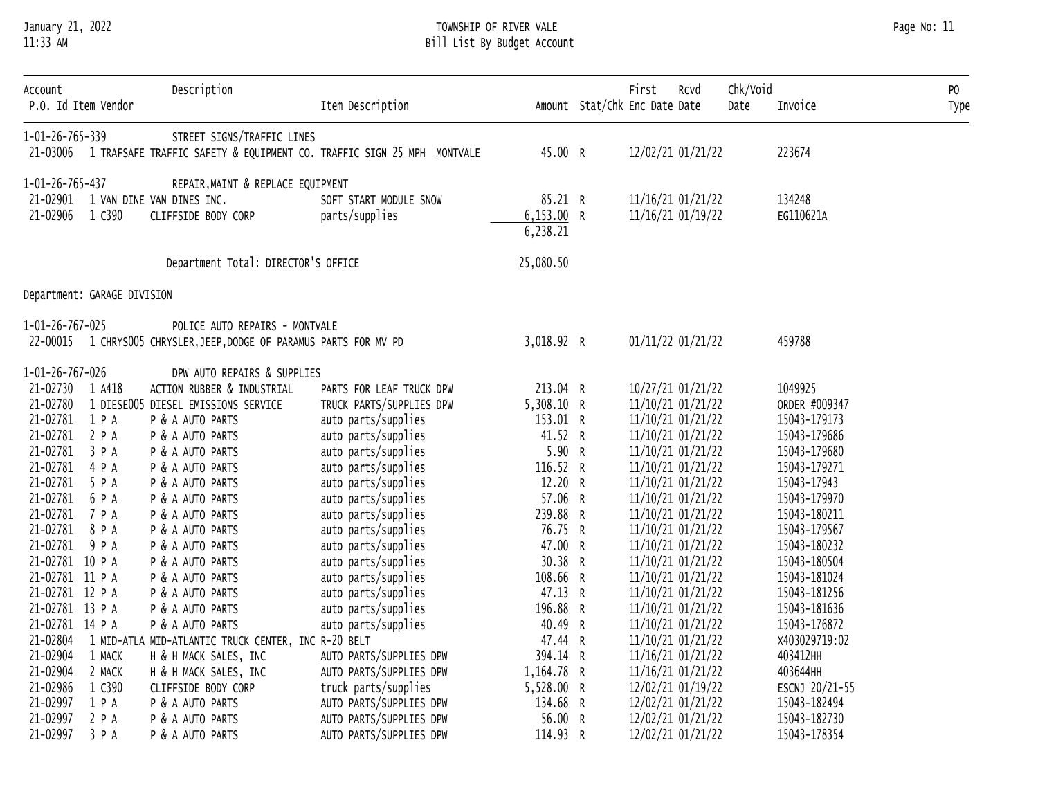# January 21, 2022 TOWNSHIP OF RIVER VALE Page No: 11 11:33 AM Bill List By Budget Account

| Account<br>P.O. Id Item Vendor |        | Description                                                          | Item Description                                                       |             | First<br>Rcvd<br>Amount Stat/Chk Enc Date Date | Chk/Void<br>Date | Invoice        | PO<br>Type |
|--------------------------------|--------|----------------------------------------------------------------------|------------------------------------------------------------------------|-------------|------------------------------------------------|------------------|----------------|------------|
| 1-01-26-765-339                |        | STREET SIGNS/TRAFFIC LINES                                           |                                                                        |             |                                                |                  |                |            |
| 21-03006                       |        |                                                                      | 1 TRAFSAFE TRAFFIC SAFETY & EQUIPMENT CO. TRAFFIC SIGN 25 MPH MONTVALE | 45.00 R     | 12/02/21 01/21/22                              |                  | 223674         |            |
| 1-01-26-765-437                |        | REPAIR, MAINT & REPLACE EQUIPMENT                                    |                                                                        |             |                                                |                  |                |            |
| 21-02901                       |        | 1 VAN DINE VAN DINES INC.                                            | SOFT START MODULE SNOW                                                 | 85.21 R     | 11/16/21 01/21/22                              |                  | 134248         |            |
| 21-02906                       | 1 C390 | CLIFFSIDE BODY CORP                                                  | parts/supplies                                                         | 6, 153.00 R | 11/16/21 01/19/22                              |                  | EG110621A      |            |
|                                |        |                                                                      |                                                                        | 6, 238.21   |                                                |                  |                |            |
|                                |        | Department Total: DIRECTOR'S OFFICE                                  |                                                                        | 25,080.50   |                                                |                  |                |            |
| Department: GARAGE DIVISION    |        |                                                                      |                                                                        |             |                                                |                  |                |            |
| 1-01-26-767-025                |        | POLICE AUTO REPAIRS - MONTVALE                                       |                                                                        |             |                                                |                  |                |            |
|                                |        | 22-00015 1 CHRYSOO5 CHRYSLER, JEEP, DODGE OF PARAMUS PARTS FOR MV PD |                                                                        | 3,018.92 R  | 01/11/22 01/21/22                              |                  | 459788         |            |
| 1-01-26-767-026                |        | DPW AUTO REPAIRS & SUPPLIES                                          |                                                                        |             |                                                |                  |                |            |
| 21-02730 1 A418                |        | ACTION RUBBER & INDUSTRIAL                                           | PARTS FOR LEAF TRUCK DPW                                               | 213.04 R    | 10/27/21 01/21/22                              |                  | 1049925        |            |
| 21-02780                       |        | 1 DIESE005 DIESEL EMISSIONS SERVICE                                  | TRUCK PARTS/SUPPLIES DPW                                               | 5,308.10 R  | 11/10/21 01/21/22                              |                  | ORDER #009347  |            |
| 21-02781                       | 1 P A  | P & A AUTO PARTS                                                     | auto parts/supplies                                                    | 153.01 R    | 11/10/21 01/21/22                              |                  | 15043-179173   |            |
| 21-02781 2 P A                 |        | P & A AUTO PARTS                                                     | auto parts/supplies                                                    | 41.52 R     | 11/10/21 01/21/22                              |                  | 15043-179686   |            |
| 21-02781 3 P A                 |        | P & A AUTO PARTS                                                     | auto parts/supplies                                                    | 5.90 R      | 11/10/21 01/21/22                              |                  | 15043-179680   |            |
| 21-02781                       | 4 P A  | P & A AUTO PARTS                                                     | auto parts/supplies                                                    | 116.52 R    | 11/10/21 01/21/22                              |                  | 15043-179271   |            |
| 21-02781 5 P A                 |        | P & A AUTO PARTS                                                     | auto parts/supplies                                                    | 12.20 R     | 11/10/21 01/21/22                              |                  | 15043-17943    |            |
| 21-02781 6 P A                 |        | P & A AUTO PARTS                                                     | auto parts/supplies                                                    | 57.06 R     | 11/10/21 01/21/22                              |                  | 15043-179970   |            |
| 21-02781 7 P A                 |        | P & A AUTO PARTS                                                     | auto parts/supplies                                                    | 239.88 R    | 11/10/21 01/21/22                              |                  | 15043-180211   |            |
| 21-02781                       | 8 P A  | P & A AUTO PARTS                                                     | auto parts/supplies                                                    | 76.75 R     | 11/10/21 01/21/22                              |                  | 15043-179567   |            |
| 21-02781 9 P A                 |        | P & A AUTO PARTS                                                     | auto parts/supplies                                                    | 47.00 R     | 11/10/21 01/21/22                              |                  | 15043-180232   |            |
| 21-02781 10 P A                |        | P & A AUTO PARTS                                                     | auto parts/supplies                                                    | 30.38 R     | 11/10/21 01/21/22                              |                  | 15043-180504   |            |
| 21-02781 11 P A                |        | P & A AUTO PARTS                                                     | auto parts/supplies                                                    | 108.66 R    | 11/10/21 01/21/22                              |                  | 15043-181024   |            |
| 21-02781 12 P A                |        | P & A AUTO PARTS                                                     | auto parts/supplies                                                    | 47.13 R     | 11/10/21 01/21/22                              |                  | 15043-181256   |            |
| 21-02781 13 P A                |        | P & A AUTO PARTS                                                     | auto parts/supplies                                                    | 196.88 R    | 11/10/21 01/21/22                              |                  | 15043-181636   |            |
| 21-02781 14 P A                |        | P & A AUTO PARTS                                                     | auto parts/supplies                                                    | 40.49 R     | 11/10/21 01/21/22                              |                  | 15043-176872   |            |
| 21-02804                       |        | 1 MID-ATLA MID-ATLANTIC TRUCK CENTER, INC R-20 BELT                  |                                                                        | 47.44 R     | 11/10/21 01/21/22                              |                  | X403029719:02  |            |
| 21-02904                       | 1 MACK | H & H MACK SALES, INC                                                | AUTO PARTS/SUPPLIES DPW                                                | 394.14 R    | 11/16/21 01/21/22                              |                  | 403412HH       |            |
| 21-02904                       | 2 MACK | H & H MACK SALES, INC                                                | AUTO PARTS/SUPPLIES DPW                                                | 1,164.78 R  | 11/16/21 01/21/22                              |                  | 403644HH       |            |
| 21-02986                       | 1 C390 | CLIFFSIDE BODY CORP                                                  | truck parts/supplies                                                   | 5,528.00 R  | 12/02/21 01/19/22                              |                  | ESCNJ 20/21-55 |            |
| 21-02997                       | 1 P A  | P & A AUTO PARTS                                                     | AUTO PARTS/SUPPLIES DPW                                                | 134.68 R    | 12/02/21 01/21/22                              |                  | 15043-182494   |            |
| 21-02997                       | 2 P A  | P & A AUTO PARTS                                                     | AUTO PARTS/SUPPLIES DPW                                                | 56.00 R     | 12/02/21 01/21/22                              |                  | 15043-182730   |            |
| 21-02997                       | 3 P A  | P & A AUTO PARTS                                                     | AUTO PARTS/SUPPLIES DPW                                                | 114.93 R    | 12/02/21 01/21/22                              |                  | 15043-178354   |            |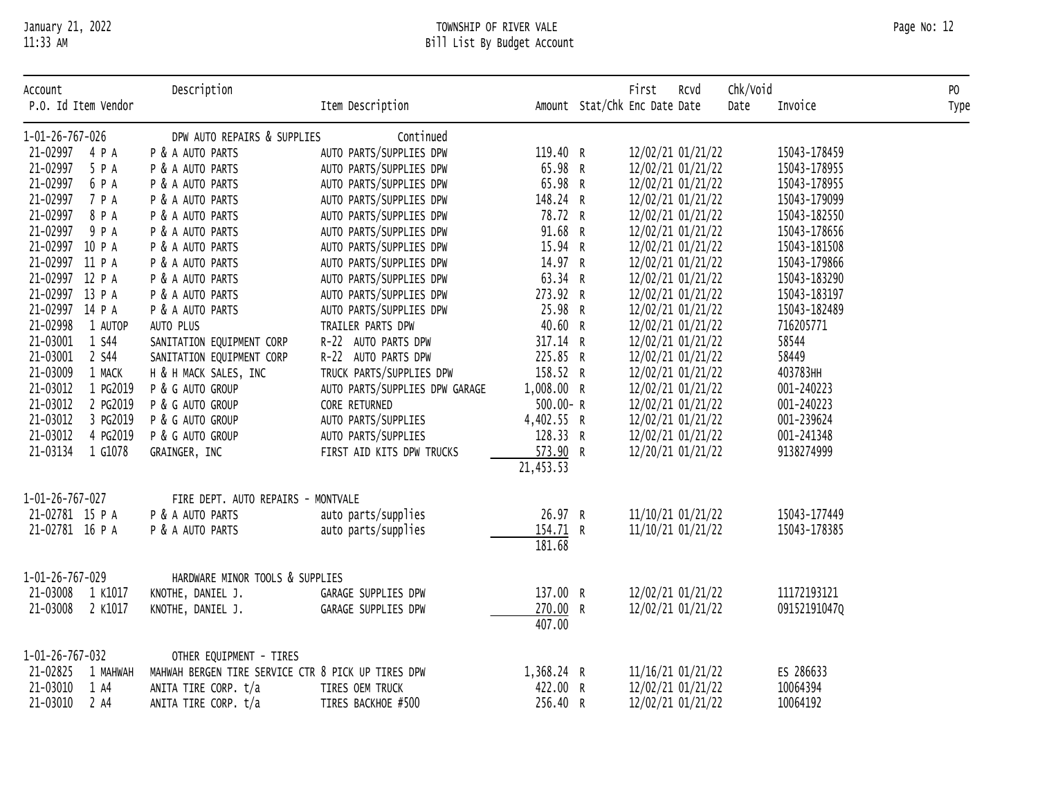#### January 21, 2022 TOWNSHIP OF RIVER VALE Page No: 12 11:33 AM Bill List By Budget Account

| Account<br>P.O. Id Item Vendor | Description                                        | Item Description               |              | First<br>Amount Stat/Chk Enc Date Date | Rcvd | Chk/Void<br>Date | Invoice      | P <sub>0</sub><br>Type |
|--------------------------------|----------------------------------------------------|--------------------------------|--------------|----------------------------------------|------|------------------|--------------|------------------------|
| 1-01-26-767-026                | DPW AUTO REPAIRS & SUPPLIES                        | Continued                      |              |                                        |      |                  |              |                        |
| 21-02997 4 P A                 | P & A AUTO PARTS                                   | AUTO PARTS/SUPPLIES DPW        | 119.40 R     | 12/02/21 01/21/22                      |      |                  | 15043-178459 |                        |
| 21-02997<br>5 P A              | P & A AUTO PARTS                                   | AUTO PARTS/SUPPLIES DPW        | 65.98 R      | 12/02/21 01/21/22                      |      |                  | 15043-178955 |                        |
| 21-02997<br>6 P A              | P & A AUTO PARTS                                   | AUTO PARTS/SUPPLIES DPW        | 65.98 R      | 12/02/21 01/21/22                      |      |                  | 15043-178955 |                        |
| 21-02997<br>7 P A              | P & A AUTO PARTS                                   | AUTO PARTS/SUPPLIES DPW        | 148.24 R     | 12/02/21 01/21/22                      |      |                  | 15043-179099 |                        |
| 21-02997<br>8 P A              | P & A AUTO PARTS                                   | AUTO PARTS/SUPPLIES DPW        | 78.72 R      | 12/02/21 01/21/22                      |      |                  | 15043-182550 |                        |
| 21-02997<br>9 P A              | P & A AUTO PARTS                                   | AUTO PARTS/SUPPLIES DPW        | 91.68 R      | 12/02/21 01/21/22                      |      |                  | 15043-178656 |                        |
| 21-02997 10 P A                | P & A AUTO PARTS                                   | AUTO PARTS/SUPPLIES DPW        | 15.94 R      | 12/02/21 01/21/22                      |      |                  | 15043-181508 |                        |
| 21-02997 11 P A                | P & A AUTO PARTS                                   | AUTO PARTS/SUPPLIES DPW        | 14.97 R      | 12/02/21 01/21/22                      |      |                  | 15043-179866 |                        |
| 21-02997 12 P A                | P & A AUTO PARTS                                   | AUTO PARTS/SUPPLIES DPW        | 63.34 R      | 12/02/21 01/21/22                      |      |                  | 15043-183290 |                        |
| 21-02997 13 P A                | P & A AUTO PARTS                                   | AUTO PARTS/SUPPLIES DPW        | 273.92 R     | 12/02/21 01/21/22                      |      |                  | 15043-183197 |                        |
| 21-02997 14 P A                | P & A AUTO PARTS                                   | AUTO PARTS/SUPPLIES DPW        | 25.98 R      | 12/02/21 01/21/22                      |      |                  | 15043-182489 |                        |
| 21-02998<br>1 AUTOP            | AUTO PLUS                                          | TRAILER PARTS DPW              | 40.60 R      | 12/02/21 01/21/22                      |      |                  | 716205771    |                        |
| 21-03001<br>1 S44              | SANITATION EQUIPMENT CORP                          | R-22 AUTO PARTS DPW            | 317.14 R     | 12/02/21 01/21/22                      |      |                  | 58544        |                        |
| 21-03001<br>2 S44              | SANITATION EQUIPMENT CORP                          | R-22 AUTO PARTS DPW            | 225.85 R     | 12/02/21 01/21/22                      |      |                  | 58449        |                        |
| 21-03009<br>1 MACK             | H & H MACK SALES, INC                              | TRUCK PARTS/SUPPLIES DPW       | 158.52 R     | 12/02/21 01/21/22                      |      |                  | 403783HH     |                        |
| 21-03012<br>1 PG2019           | P & G AUTO GROUP                                   | AUTO PARTS/SUPPLIES DPW GARAGE | 1,008.00 R   | 12/02/21 01/21/22                      |      |                  | 001-240223   |                        |
| 21-03012<br>2 PG2019           | P & G AUTO GROUP                                   | CORE RETURNED                  | $500.00 - R$ | 12/02/21 01/21/22                      |      |                  | 001-240223   |                        |
| 21-03012<br>3 PG2019           | P & G AUTO GROUP                                   | AUTO PARTS/SUPPLIES            | 4,402.55 R   | 12/02/21 01/21/22                      |      |                  | 001-239624   |                        |
| 21-03012<br>4 PG2019           | P & G AUTO GROUP                                   | AUTO PARTS/SUPPLIES            | 128.33 R     | 12/02/21 01/21/22                      |      |                  | 001-241348   |                        |
| 21-03134 1 G1078               | GRAINGER, INC                                      | FIRST AID KITS DPW TRUCKS      | 573.90 R     | 12/20/21 01/21/22                      |      |                  | 9138274999   |                        |
|                                |                                                    |                                | 21,453.53    |                                        |      |                  |              |                        |
| 1-01-26-767-027                | FIRE DEPT. AUTO REPAIRS - MONTVALE                 |                                |              |                                        |      |                  |              |                        |
| 21-02781 15 P A                | P & A AUTO PARTS                                   | auto parts/supplies            | 26.97 R      | 11/10/21 01/21/22                      |      |                  | 15043-177449 |                        |
| 21-02781 16 P A                | P & A AUTO PARTS                                   | auto parts/supplies            | 154.71 R     | 11/10/21 01/21/22                      |      |                  | 15043-178385 |                        |
|                                |                                                    |                                | 181.68       |                                        |      |                  |              |                        |
| 1-01-26-767-029                | HARDWARE MINOR TOOLS & SUPPLIES                    |                                |              |                                        |      |                  |              |                        |
| 21-03008<br>1 K1017            | KNOTHE, DANIEL J.                                  | GARAGE SUPPLIES DPW            | 137.00 R     | 12/02/21 01/21/22                      |      |                  | 11172193121  |                        |
| 21-03008<br>2 K1017            | KNOTHE, DANIEL J.                                  | GARAGE SUPPLIES DPW            | 270.00 R     | 12/02/21 01/21/22                      |      |                  | 09152191047Q |                        |
|                                |                                                    |                                | 407.00       |                                        |      |                  |              |                        |
| 1-01-26-767-032                | OTHER EQUIPMENT - TIRES                            |                                |              |                                        |      |                  |              |                        |
| 21-02825 1 MAHWAH              | MAHWAH BERGEN TIRE SERVICE CTR 8 PICK UP TIRES DPW |                                | 1,368.24 R   | 11/16/21 01/21/22                      |      |                  | ES 286633    |                        |
| 21-03010<br>1 A4               | ANITA TIRE CORP. t/a                               | TIRES OEM TRUCK                | 422.00 R     | 12/02/21 01/21/22                      |      |                  | 10064394     |                        |
| 21-03010<br>2 A4               | ANITA TIRE CORP. t/a                               | TIRES BACKHOE #500             | 256.40 R     | 12/02/21 01/21/22                      |      |                  | 10064192     |                        |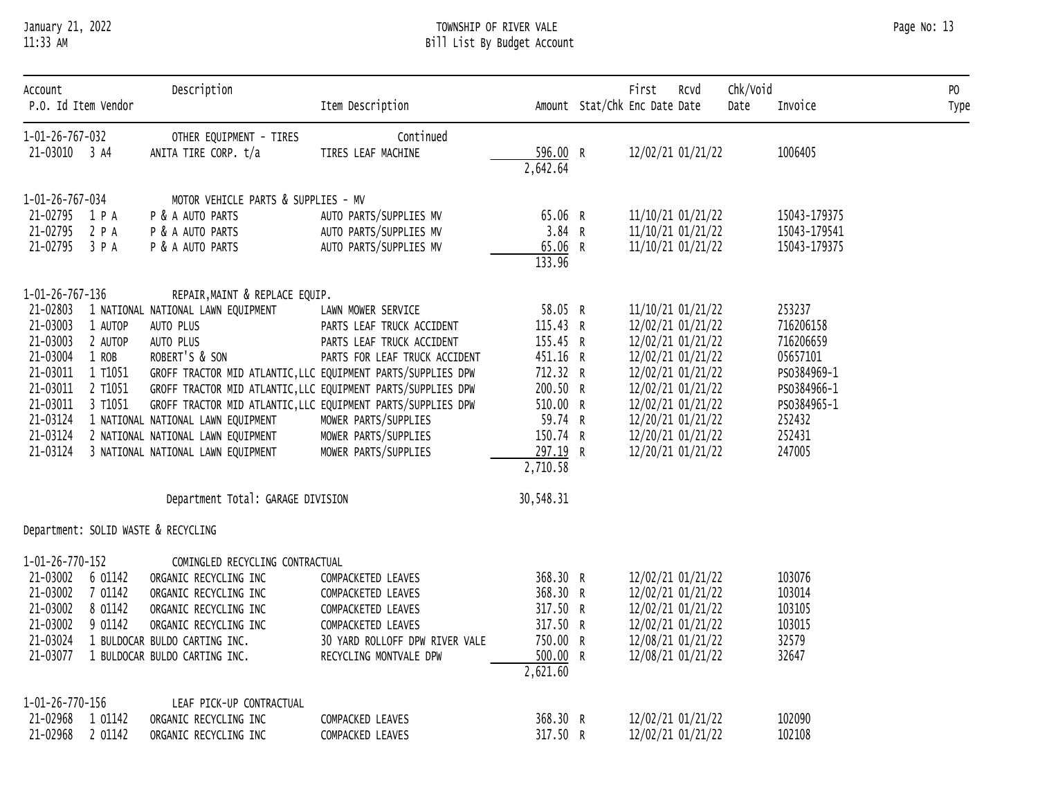# January 21, 2022 TOWNSHIP OF RIVER VALE Page No: 13 11:33 AM Bill List By Budget Account

| Page No: 13 |  |  |
|-------------|--|--|
|-------------|--|--|

| Account<br>P.O. Id Item Vendor   |         | Description                                                  | Item Description                |                      | First<br>RCVd<br>Amount Stat/Chk Enc Date Date | Chk/Void<br>Date | Invoice      | PO<br>Type |
|----------------------------------|---------|--------------------------------------------------------------|---------------------------------|----------------------|------------------------------------------------|------------------|--------------|------------|
| 1-01-26-767-032<br>21-03010 3 A4 |         | OTHER EQUIPMENT - TIRES<br>ANITA TIRE CORP. t/a              | Continued<br>TIRES LEAF MACHINE | 596.00 R<br>2,642.64 | 12/02/21 01/21/22                              |                  | 1006405      |            |
| 1-01-26-767-034                  |         | MOTOR VEHICLE PARTS & SUPPLIES - MV                          |                                 |                      |                                                |                  |              |            |
| 21-02795 1 P A                   |         | P & A AUTO PARTS                                             | AUTO PARTS/SUPPLIES MV          | 65.06 R              | 11/10/21 01/21/22                              |                  | 15043-179375 |            |
| 21-02795 2 P A                   |         | P & A AUTO PARTS                                             | AUTO PARTS/SUPPLIES MV          | 3.84 R               | 11/10/21 01/21/22                              |                  | 15043-179541 |            |
| 21-02795 3 P A                   |         | P & A AUTO PARTS                                             | AUTO PARTS/SUPPLIES MV          | 65.06 R<br>133.96    | 11/10/21 01/21/22                              |                  | 15043-179375 |            |
| 1-01-26-767-136                  |         | REPAIR, MAINT & REPLACE EQUIP.                               |                                 |                      |                                                |                  |              |            |
| 21-02803                         |         | 1 NATIONAL NATIONAL LAWN EQUIPMENT                           | LAWN MOWER SERVICE              | 58.05 R              | 11/10/21 01/21/22                              |                  | 253237       |            |
| 21-03003                         | 1 AUTOP | AUTO PLUS                                                    | PARTS LEAF TRUCK ACCIDENT       | 115.43 R             | 12/02/21 01/21/22                              |                  | 716206158    |            |
| 21-03003                         | 2 AUTOP | AUTO PLUS                                                    | PARTS LEAF TRUCK ACCIDENT       | 155.45 R             | 12/02/21 01/21/22                              |                  | 716206659    |            |
| 21-03004                         | 1 ROB   | ROBERT'S & SON                                               | PARTS FOR LEAF TRUCK ACCIDENT   | 451.16 R             | 12/02/21 01/21/22                              |                  | 05657101     |            |
| 21-03011                         | 1 T1051 | GROFF TRACTOR MID ATLANTIC, LLC EQUIPMENT PARTS/SUPPLIES DPW |                                 | 712.32 R             | 12/02/21 01/21/22                              |                  | PS0384969-1  |            |
| 21-03011                         | 2 T1051 | GROFF TRACTOR MID ATLANTIC, LLC EQUIPMENT PARTS/SUPPLIES DPW |                                 | 200.50 R             | 12/02/21 01/21/22                              |                  | PS0384966-1  |            |
| 21-03011                         | 3 T1051 | GROFF TRACTOR MID ATLANTIC, LLC EQUIPMENT PARTS/SUPPLIES DPW |                                 | 510.00 R             | 12/02/21 01/21/22                              |                  | PS0384965-1  |            |
| 21-03124                         |         | 1 NATIONAL NATIONAL LAWN EQUIPMENT                           | MOWER PARTS/SUPPLIES            | 59.74 R              | 12/20/21 01/21/22                              |                  | 252432       |            |
| 21-03124                         |         | 2 NATIONAL NATIONAL LAWN EQUIPMENT                           | MOWER PARTS/SUPPLIES            | 150.74 R             | 12/20/21 01/21/22                              |                  | 252431       |            |
| 21-03124                         |         | 3 NATIONAL NATIONAL LAWN EQUIPMENT                           | MOWER PARTS/SUPPLIES            | 297.19 R             | 12/20/21 01/21/22                              |                  | 247005       |            |
|                                  |         |                                                              |                                 | 2,710.58             |                                                |                  |              |            |
|                                  |         | Department Total: GARAGE DIVISION                            |                                 | 30,548.31            |                                                |                  |              |            |
|                                  |         | Department: SOLID WASTE & RECYCLING                          |                                 |                      |                                                |                  |              |            |
| 1-01-26-770-152                  |         | COMINGLED RECYCLING CONTRACTUAL                              |                                 |                      |                                                |                  |              |            |
| 21-03002 6 01142                 |         | ORGANIC RECYCLING INC                                        | COMPACKETED LEAVES              | 368.30 R             | 12/02/21 01/21/22                              |                  | 103076       |            |
| 21-03002                         | 7 01142 | ORGANIC RECYCLING INC                                        | COMPACKETED LEAVES              | 368.30 R             | 12/02/21 01/21/22                              |                  | 103014       |            |
| 21-03002                         | 8 01142 | ORGANIC RECYCLING INC                                        | COMPACKETED LEAVES              | 317.50 R             | 12/02/21 01/21/22                              |                  | 103105       |            |
| 21-03002                         | 9 01142 | ORGANIC RECYCLING INC                                        | COMPACKETED LEAVES              | 317.50 R             | 12/02/21 01/21/22                              |                  | 103015       |            |
| 21-03024                         |         | 1 BULDOCAR BULDO CARTING INC.                                | 30 YARD ROLLOFF DPW RIVER VALE  | 750.00 R             | 12/08/21 01/21/22                              |                  | 32579        |            |
| 21-03077                         |         | 1 BULDOCAR BULDO CARTING INC.                                | RECYCLING MONTVALE DPW          | 500.00 R<br>2,621.60 | 12/08/21 01/21/22                              |                  | 32647        |            |
| 1-01-26-770-156                  |         | LEAF PICK-UP CONTRACTUAL                                     |                                 |                      |                                                |                  |              |            |
| 21-02968                         | 1 01142 | ORGANIC RECYCLING INC                                        | COMPACKED LEAVES                | 368.30 R             | 12/02/21 01/21/22                              |                  | 102090       |            |
| 21-02968 2 01142                 |         | ORGANIC RECYCLING INC                                        | COMPACKED LEAVES                | 317.50 R             | 12/02/21 01/21/22                              |                  | 102108       |            |
|                                  |         |                                                              |                                 |                      |                                                |                  |              |            |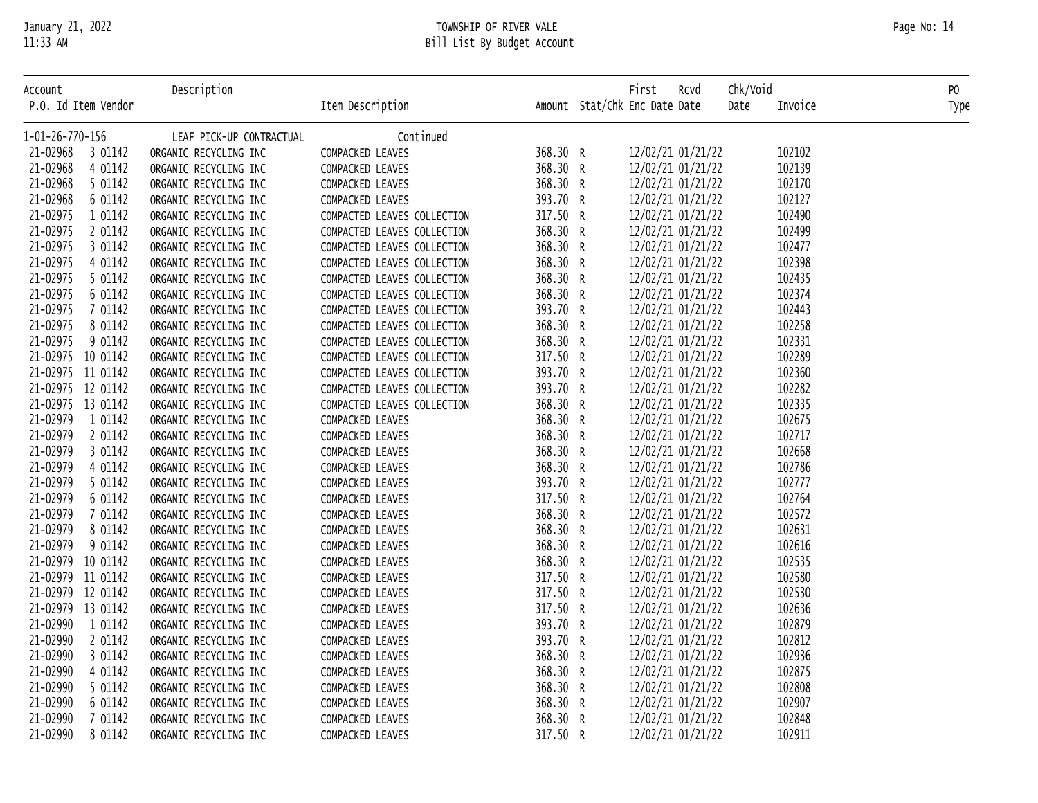| January ZI, ZOZZ<br>11:33 AM |                          | TOWNSHIP OF KIVEK VALE<br>Bill List By Budget Account |          |                                       |         | Page No: 14    |
|------------------------------|--------------------------|-------------------------------------------------------|----------|---------------------------------------|---------|----------------|
| Account                      | Description              |                                                       |          | Chk/Void<br>First<br>Rcvd             |         | P <sub>0</sub> |
| P.O. Id Item Vendor          |                          | Item Description                                      |          | Amount Stat/Chk Enc Date Date<br>Date | Invoice | Type           |
| 1-01-26-770-156              | LEAF PICK-UP CONTRACTUAL | Continued                                             |          |                                       |         |                |
| 21-02968<br>3 01142          | ORGANIC RECYCLING INC    | <b>COMPACKED LEAVES</b>                               | 368.30 R | 12/02/21 01/21/22                     | 102102  |                |
| 21-02968<br>4 01142          | ORGANIC RECYCLING INC    | <b>COMPACKED LEAVES</b>                               | 368.30 R | 12/02/21 01/21/22                     | 102139  |                |
| 21-02968<br>5 01142          | ORGANIC RECYCLING INC    | <b>COMPACKED LEAVES</b>                               | 368.30 R | 12/02/21 01/21/22                     | 102170  |                |
| 21-02968<br>6 01142          | ORGANIC RECYCLING INC    | <b>COMPACKED LEAVES</b>                               | 393.70 R | 12/02/21 01/21/22                     | 102127  |                |
| 01142<br>21-02975            | ORGANIC RECYCLING INC    | COMPACTED LEAVES COLLECTION                           | 317.50 R | 12/02/21 01/21/22                     | 102490  |                |
| 21-02975<br>01142            | ORGANIC RECYCLING INC    | COMPACTED LEAVES COLLECTION                           | 368.30 R | 12/02/21 01/21/22                     | 102499  |                |

| ACCOUNT             | Description              |                             |          | FILST KCVO                    |      | CNK/VO10 | PU.  |
|---------------------|--------------------------|-----------------------------|----------|-------------------------------|------|----------|------|
| P.O. Id Item Vendor |                          | Item Description            |          | Amount Stat/Chk Enc Date Date | Date | Invoice  | Type |
| 1-01-26-770-156     | LEAF PICK-UP CONTRACTUAL | Continued                   |          |                               |      |          |      |
| 21-02968 3 01142    | ORGANIC RECYCLING INC    | COMPACKED LEAVES            | 368.30 R | 12/02/21 01/21/22             |      | 102102   |      |
| 21-02968<br>4 01142 | ORGANIC RECYCLING INC    | COMPACKED LEAVES            | 368.30 R | 12/02/21 01/21/22             |      | 102139   |      |
| 21-02968<br>5 01142 | ORGANIC RECYCLING INC    | COMPACKED LEAVES            | 368.30 R | 12/02/21 01/21/22             |      | 102170   |      |
| 21-02968<br>6 01142 | ORGANIC RECYCLING INC    | COMPACKED LEAVES            | 393.70 R | 12/02/21 01/21/22             |      | 102127   |      |
| 21-02975<br>1 01142 | ORGANIC RECYCLING INC    | COMPACTED LEAVES COLLECTION | 317.50 R | 12/02/21 01/21/22             |      | 102490   |      |
| 21-02975<br>2 01142 | ORGANIC RECYCLING INC    | COMPACTED LEAVES COLLECTION | 368.30 R | 12/02/21 01/21/22             |      | 102499   |      |
| 21-02975<br>3 01142 | ORGANIC RECYCLING INC    | COMPACTED LEAVES COLLECTION | 368.30 R | 12/02/21 01/21/22             |      | 102477   |      |
| 21-02975<br>4 01142 | ORGANIC RECYCLING INC    | COMPACTED LEAVES COLLECTION | 368.30 R | 12/02/21 01/21/22             |      | 102398   |      |
| 21-02975<br>5 01142 | ORGANIC RECYCLING INC    | COMPACTED LEAVES COLLECTION | 368.30 R | 12/02/21 01/21/22             |      | 102435   |      |
| 21-02975<br>6 01142 | ORGANIC RECYCLING INC    | COMPACTED LEAVES COLLECTION | 368.30 R | 12/02/21 01/21/22             |      | 102374   |      |
| 21-02975<br>7 01142 | ORGANIC RECYCLING INC    | COMPACTED LEAVES COLLECTION | 393.70 R | 12/02/21 01/21/22             |      | 102443   |      |
| 21-02975<br>8 01142 | ORGANIC RECYCLING INC    | COMPACTED LEAVES COLLECTION | 368.30 R | 12/02/21 01/21/22             |      | 102258   |      |
| 21-02975<br>9 01142 | ORGANIC RECYCLING INC    | COMPACTED LEAVES COLLECTION | 368.30 R | 12/02/21 01/21/22             |      | 102331   |      |
| 21-02975 10 01142   | ORGANIC RECYCLING INC    | COMPACTED LEAVES COLLECTION | 317.50 R | 12/02/21 01/21/22             |      | 102289   |      |
| 21-02975 11 01142   | ORGANIC RECYCLING INC    | COMPACTED LEAVES COLLECTION | 393.70 R | 12/02/21 01/21/22             |      | 102360   |      |
| 21-02975 12 01142   | ORGANIC RECYCLING INC    | COMPACTED LEAVES COLLECTION | 393.70 R | 12/02/21 01/21/22             |      | 102282   |      |
| 21-02975 13 01142   | ORGANIC RECYCLING INC    | COMPACTED LEAVES COLLECTION | 368.30 R | 12/02/21 01/21/22             |      | 102335   |      |
| 21-02979<br>1 01142 | ORGANIC RECYCLING INC    | COMPACKED LEAVES            | 368.30 R | 12/02/21 01/21/22             |      | 102675   |      |
| 21-02979<br>2 01142 | ORGANIC RECYCLING INC    | COMPACKED LEAVES            | 368.30 R | 12/02/21 01/21/22             |      | 102717   |      |
| 21-02979<br>3 01142 | ORGANIC RECYCLING INC    | COMPACKED LEAVES            | 368.30 R | 12/02/21 01/21/22             |      | 102668   |      |
| 21-02979<br>4 01142 | ORGANIC RECYCLING INC    | COMPACKED LEAVES            | 368.30 R | 12/02/21 01/21/22             |      | 102786   |      |
| 21-02979<br>5 01142 | ORGANIC RECYCLING INC    | COMPACKED LEAVES            | 393.70 R | 12/02/21 01/21/22             |      | 102777   |      |
| 21-02979<br>6 01142 | ORGANIC RECYCLING INC    | COMPACKED LEAVES            | 317.50 R | 12/02/21 01/21/22             |      | 102764   |      |
| 21-02979<br>7 01142 | ORGANIC RECYCLING INC    | COMPACKED LEAVES            | 368.30 R | 12/02/21 01/21/22             |      | 102572   |      |
| 21-02979<br>8 01142 | ORGANIC RECYCLING INC    | COMPACKED LEAVES            | 368.30 R | 12/02/21 01/21/22             |      | 102631   |      |
| 21-02979<br>9 01142 | ORGANIC RECYCLING INC    | COMPACKED LEAVES            | 368.30 R | 12/02/21 01/21/22             |      | 102616   |      |
| 21-02979 10 01142   | ORGANIC RECYCLING INC    | COMPACKED LEAVES            | 368.30 R | 12/02/21 01/21/22             |      | 102535   |      |
| 21-02979 11 01142   | ORGANIC RECYCLING INC    | COMPACKED LEAVES            | 317.50 R | 12/02/21 01/21/22             |      | 102580   |      |
| 21-02979 12 01142   | ORGANIC RECYCLING INC    | COMPACKED LEAVES            | 317.50 R | 12/02/21 01/21/22             |      | 102530   |      |
| 21-02979 13 01142   | ORGANIC RECYCLING INC    | COMPACKED LEAVES            | 317.50 R | 12/02/21 01/21/22             |      | 102636   |      |
| 21-02990<br>1 01142 | ORGANIC RECYCLING INC    | COMPACKED LEAVES            | 393.70 R | 12/02/21 01/21/22             |      | 102879   |      |
| 21-02990<br>2 01142 | ORGANIC RECYCLING INC    | COMPACKED LEAVES            | 393.70 R | 12/02/21 01/21/22             |      | 102812   |      |
| 21-02990<br>3 01142 | ORGANIC RECYCLING INC    | COMPACKED LEAVES            | 368.30 R | 12/02/21 01/21/22             |      | 102936   |      |
| 21-02990<br>4 01142 | ORGANIC RECYCLING INC    | COMPACKED LEAVES            | 368.30 R | 12/02/21 01/21/22             |      | 102875   |      |
| 21-02990<br>5 01142 | ORGANIC RECYCLING INC    | COMPACKED LEAVES            | 368.30 R | 12/02/21 01/21/22             |      | 102808   |      |
| 21-02990<br>6 01142 | ORGANIC RECYCLING INC    | COMPACKED LEAVES            | 368.30 R | 12/02/21 01/21/22             |      | 102907   |      |
| 21-02990<br>7 01142 | ORGANIC RECYCLING INC    | COMPACKED LEAVES            | 368.30 R | 12/02/21 01/21/22             |      | 102848   |      |
| 21-02990<br>8 01142 | ORGANIC RECYCLING INC    | COMPACKED LEAVES            | 317.50 R | 12/02/21 01/21/22             |      | 102911   |      |
|                     |                          |                             |          |                               |      |          |      |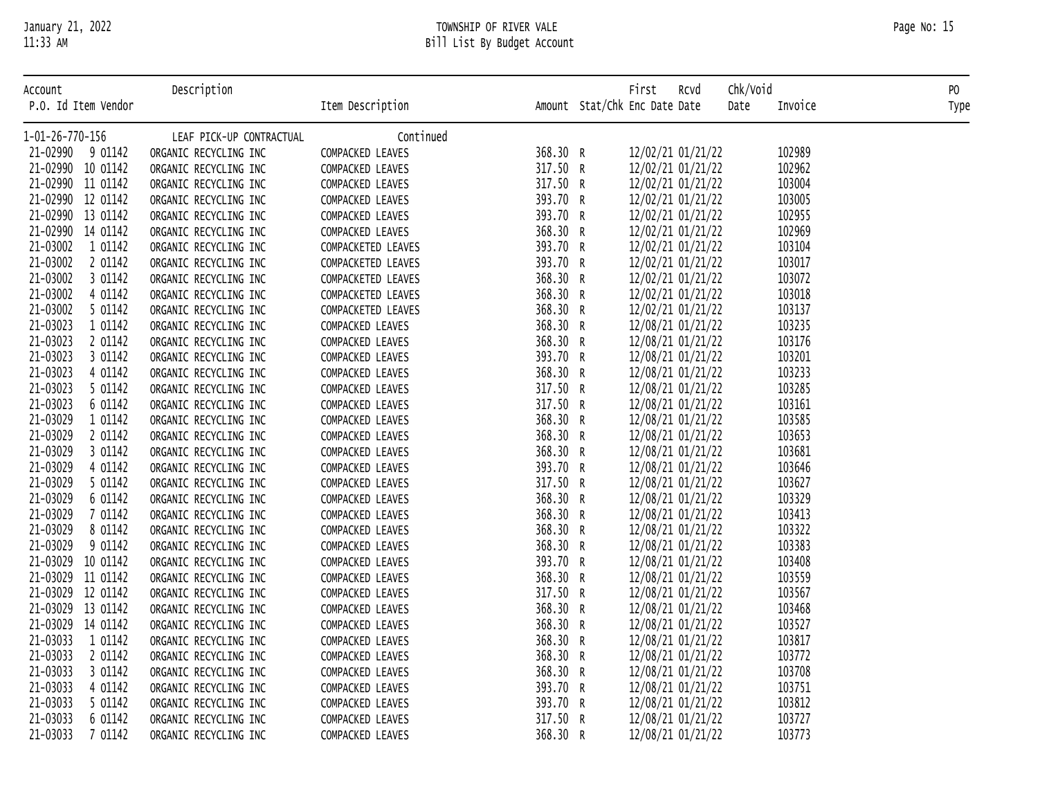# January 21, 2022 TOWNSHIP OF RIVER VALE Page No: 15 11:33 AM Bill List By Budget Account

|  | 11:33 AM |  |
|--|----------|--|
|  |          |  |

| Account                         | Description                                    |                                      |                      | First<br>Rcvd                          | Chk/Void         | PO   |
|---------------------------------|------------------------------------------------|--------------------------------------|----------------------|----------------------------------------|------------------|------|
| P.O. Id Item Vendor             |                                                | Item Description                     |                      | Amount Stat/Chk Enc Date Date          | Date<br>Invoice  | Type |
| 1-01-26-770-156                 | LEAF PICK-UP CONTRACTUAL                       | Continued                            |                      |                                        |                  |      |
| 21-02990 9 01142                | ORGANIC RECYCLING INC                          | COMPACKED LEAVES                     | 368.30 R             | 12/02/21 01/21/22                      | 102989           |      |
| 21-02990 10 01142               | ORGANIC RECYCLING INC                          | COMPACKED LEAVES                     | 317.50 R             | 12/02/21 01/21/22                      | 102962           |      |
| 21-02990 11 01142               | ORGANIC RECYCLING INC                          | COMPACKED LEAVES                     | 317.50 R             | 12/02/21 01/21/22                      | 103004           |      |
| 21-02990 12 01142               | ORGANIC RECYCLING INC                          | COMPACKED LEAVES                     | 393.70 R             | 12/02/21 01/21/22                      | 103005           |      |
| 21-02990 13 01142               | ORGANIC RECYCLING INC                          | COMPACKED LEAVES                     | 393.70 R             | 12/02/21 01/21/22                      | 102955           |      |
| 21-02990 14 01142               | ORGANIC RECYCLING INC                          | COMPACKED LEAVES                     | 368.30 R             | 12/02/21 01/21/22                      | 102969           |      |
| 21-03002<br>1 01142             | ORGANIC RECYCLING INC                          | COMPACKETED LEAVES                   | 393.70 R             | 12/02/21 01/21/22                      | 103104           |      |
| 21-03002<br>2 01142             | ORGANIC RECYCLING INC                          | COMPACKETED LEAVES                   | 393.70 R             | 12/02/21 01/21/22                      | 103017           |      |
| 21-03002<br>3 01142             | ORGANIC RECYCLING INC                          | COMPACKETED LEAVES                   | 368.30 R             | 12/02/21 01/21/22                      | 103072           |      |
| 21-03002<br>4 01142             | ORGANIC RECYCLING INC                          | COMPACKETED LEAVES                   | 368.30 R             | 12/02/21 01/21/22                      | 103018           |      |
| 21-03002<br>5 01142             | ORGANIC RECYCLING INC                          | COMPACKETED LEAVES                   | 368.30 R             | 12/02/21 01/21/22                      | 103137           |      |
| 21-03023<br>1 01142             | ORGANIC RECYCLING INC                          | COMPACKED LEAVES                     | 368.30 R             | 12/08/21 01/21/22                      | 103235           |      |
| 21-03023<br>2 01142             | ORGANIC RECYCLING INC                          | COMPACKED LEAVES                     | 368.30 R             | 12/08/21 01/21/22                      | 103176           |      |
| 21-03023<br>3 01142             | ORGANIC RECYCLING INC                          | COMPACKED LEAVES                     | 393.70 R             | 12/08/21 01/21/22                      | 103201           |      |
| 21-03023<br>4 01142             | ORGANIC RECYCLING INC                          | COMPACKED LEAVES                     | 368.30 R             | 12/08/21 01/21/22                      | 103233           |      |
| 21-03023<br>5 01142             | ORGANIC RECYCLING INC                          | COMPACKED LEAVES                     | 317.50 R             | 12/08/21 01/21/22                      | 103285           |      |
| 21-03023<br>6 01142             | ORGANIC RECYCLING INC                          | COMPACKED LEAVES                     | 317.50 R             | 12/08/21 01/21/22                      | 103161           |      |
| 21-03029<br>1 01142             | ORGANIC RECYCLING INC                          | COMPACKED LEAVES                     | 368.30 R             | 12/08/21 01/21/22                      | 103585           |      |
| 21-03029<br>2 01142             | ORGANIC RECYCLING INC                          | COMPACKED LEAVES                     | 368.30 R             | 12/08/21 01/21/22                      | 103653           |      |
| 21-03029<br>3 01142             | ORGANIC RECYCLING INC                          | COMPACKED LEAVES                     | 368.30 R             | 12/08/21 01/21/22                      | 103681           |      |
| 21-03029<br>4 01142             | ORGANIC RECYCLING INC                          | COMPACKED LEAVES                     | 393.70 R             | 12/08/21 01/21/22                      | 103646           |      |
| 21-03029<br>5 01142             | ORGANIC RECYCLING INC                          | COMPACKED LEAVES                     | 317.50 R             | 12/08/21 01/21/22                      | 103627           |      |
| 21-03029<br>6 01142             | ORGANIC RECYCLING INC                          | COMPACKED LEAVES                     | 368.30 R             | 12/08/21 01/21/22                      | 103329           |      |
| 21-03029<br>7 01142             | ORGANIC RECYCLING INC                          | COMPACKED LEAVES                     | 368.30 R             | 12/08/21 01/21/22                      | 103413           |      |
| 21-03029<br>8 01142             | ORGANIC RECYCLING INC                          | COMPACKED LEAVES                     | 368.30 R             | 12/08/21 01/21/22                      | 103322           |      |
| 21-03029<br>9 01142             | ORGANIC RECYCLING INC                          | COMPACKED LEAVES                     | 368.30 R             | 12/08/21 01/21/22                      | 103383           |      |
| 21-03029 10 01142               | ORGANIC RECYCLING INC                          | COMPACKED LEAVES                     | 393.70 R             | 12/08/21 01/21/22                      | 103408           |      |
| 21-03029 11 01142               | ORGANIC RECYCLING INC                          | COMPACKED LEAVES                     | 368.30 R             | 12/08/21 01/21/22                      | 103559           |      |
| 21-03029 12 01142               | ORGANIC RECYCLING INC                          | COMPACKED LEAVES                     | 317.50 R             | 12/08/21 01/21/22                      | 103567           |      |
| 21-03029 13 01142               | ORGANIC RECYCLING INC                          | COMPACKED LEAVES                     | 368.30 R             | 12/08/21 01/21/22                      | 103468           |      |
| 21-03029 14 01142               | ORGANIC RECYCLING INC                          | COMPACKED LEAVES                     | 368.30 R             | 12/08/21 01/21/22                      | 103527           |      |
| 21-03033<br>1 01142             | ORGANIC RECYCLING INC                          | COMPACKED LEAVES                     | 368.30 R             | 12/08/21 01/21/22                      | 103817           |      |
| 21-03033<br>2 01142<br>21-03033 | ORGANIC RECYCLING INC                          | COMPACKED LEAVES                     | 368.30 R             | 12/08/21 01/21/22                      | 103772           |      |
| 3 01142<br>21-03033<br>4 01142  | ORGANIC RECYCLING INC                          | COMPACKED LEAVES                     | 368.30 R<br>393.70 R | 12/08/21 01/21/22                      | 103708<br>103751 |      |
| 21-03033<br>5 01142             | ORGANIC RECYCLING INC                          | COMPACKED LEAVES                     | 393.70 R             | 12/08/21 01/21/22                      | 103812           |      |
| 21-03033<br>6 01142             | ORGANIC RECYCLING INC<br>ORGANIC RECYCLING INC | COMPACKED LEAVES<br>COMPACKED LEAVES | 317.50 R             | 12/08/21 01/21/22<br>12/08/21 01/21/22 | 103727           |      |
| 21-03033<br>7 01142             | ORGANIC RECYCLING INC                          | COMPACKED LEAVES                     | 368.30 R             | 12/08/21 01/21/22                      | 103773           |      |
|                                 |                                                |                                      |                      |                                        |                  |      |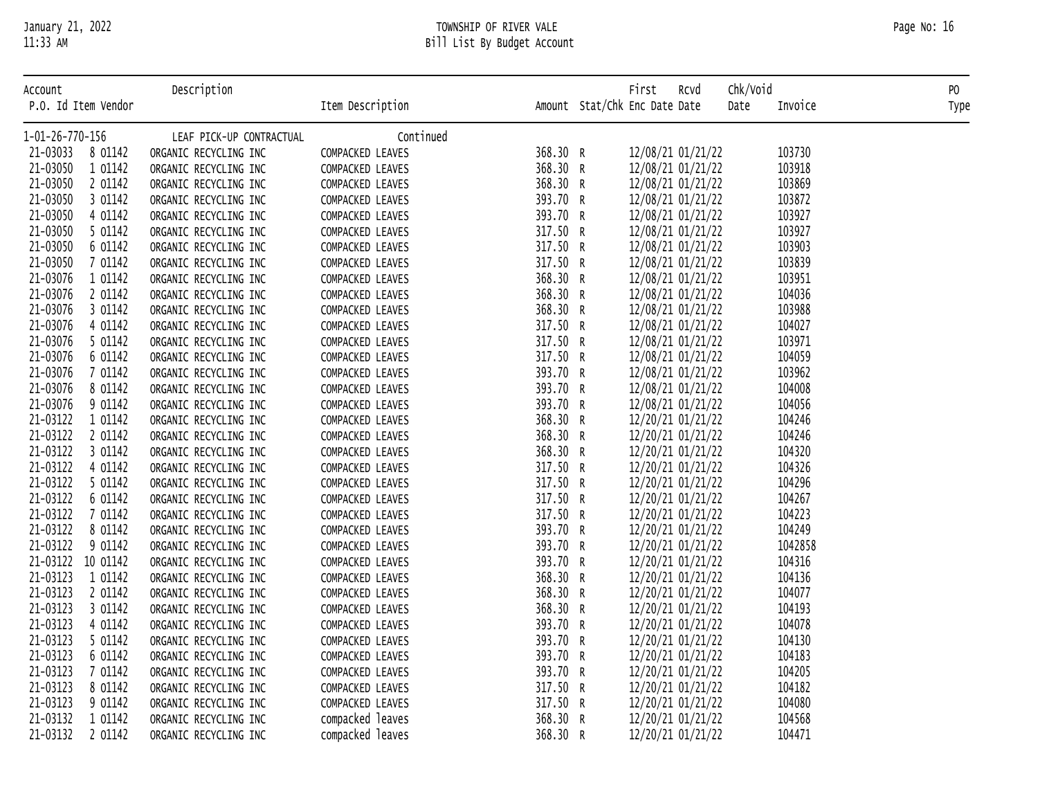# Bill List By Budget Account

|                  | P.O. IQ ITEM VENGON |                          | ITEM DESCRIPTION |          | Amount Stat/Chk Enc Date Date<br>vate | TUADJ CG | i ype |
|------------------|---------------------|--------------------------|------------------|----------|---------------------------------------|----------|-------|
| 1-01-26-770-156  |                     | LEAF PICK-UP CONTRACTUAL | Continued        |          |                                       |          |       |
| 21-03033 8 01142 |                     | ORGANIC RECYCLING INC    | COMPACKED LEAVES | 368.30 R | 12/08/21 01/21/22                     | 103730   |       |
| 21-03050         | 1 01142             | ORGANIC RECYCLING INC    | COMPACKED LEAVES | 368.30 R | 12/08/21 01/21/22                     | 103918   |       |
| 21-03050         | 2 01142             | ORGANIC RECYCLING INC    | COMPACKED LEAVES | 368.30 R | 12/08/21 01/21/22                     | 103869   |       |
| 21-03050         | 3 01142             | ORGANIC RECYCLING INC    | COMPACKED LEAVES | 393.70 R | 12/08/21 01/21/22                     | 103872   |       |
| 21-03050         | 4 01142             | ORGANIC RECYCLING INC    | COMPACKED LEAVES | 393.70 R | 12/08/21 01/21/22                     | 103927   |       |
| 21-03050         | 5 01142             | ORGANIC RECYCLING INC    | COMPACKED LEAVES | 317.50 R | 12/08/21 01/21/22                     | 103927   |       |
| 21-03050         | 6 01142             | ORGANIC RECYCLING INC    | COMPACKED LEAVES | 317.50 R | 12/08/21 01/21/22                     | 103903   |       |
| 21-03050         | 7 01142             | ORGANIC RECYCLING INC    | COMPACKED LEAVES | 317.50 R | 12/08/21 01/21/22                     | 103839   |       |
| 21-03076         | 1 01142             | ORGANIC RECYCLING INC    | COMPACKED LEAVES | 368.30 R | 12/08/21 01/21/22                     | 103951   |       |
| 21-03076         | 2 01142             | ORGANIC RECYCLING INC    | COMPACKED LEAVES | 368.30 R | 12/08/21 01/21/22                     | 104036   |       |
| 21-03076         | 3 01142             | ORGANIC RECYCLING INC    | COMPACKED LEAVES | 368.30 R | 12/08/21 01/21/22                     | 103988   |       |
| 21-03076         | 4 01142             | ORGANIC RECYCLING INC    | COMPACKED LEAVES | 317.50 R | 12/08/21 01/21/22                     | 104027   |       |
| 21-03076         | 5 01142             | ORGANIC RECYCLING INC    | COMPACKED LEAVES | 317.50 R | 12/08/21 01/21/22                     | 103971   |       |
| 21-03076         | 6 01142             | ORGANIC RECYCLING INC    | COMPACKED LEAVES | 317.50 R | 12/08/21 01/21/22                     | 104059   |       |
| 21-03076         | 7 01142             | ORGANIC RECYCLING INC    | COMPACKED LEAVES | 393.70 R | 12/08/21 01/21/22                     | 103962   |       |
| 21-03076         | 8 01142             | ORGANIC RECYCLING INC    | COMPACKED LEAVES | 393.70 R | 12/08/21 01/21/22                     | 104008   |       |
| 21-03076         | 9 01142             | ORGANIC RECYCLING INC    | COMPACKED LEAVES | 393.70 R | 12/08/21 01/21/22                     | 104056   |       |
| 21-03122         | 1 01142             | ORGANIC RECYCLING INC    | COMPACKED LEAVES | 368.30 R | 12/20/21 01/21/22                     | 104246   |       |
| 21-03122         | 2 01142             | ORGANIC RECYCLING INC    | COMPACKED LEAVES | 368.30 R | 12/20/21 01/21/22                     | 104246   |       |
| 21-03122         | 3 01142             | ORGANIC RECYCLING INC    | COMPACKED LEAVES | 368.30 R | 12/20/21 01/21/22                     | 104320   |       |
| 21-03122         | 4 01142             | ORGANIC RECYCLING INC    | COMPACKED LEAVES | 317.50 R | 12/20/21 01/21/22                     | 104326   |       |
| 21-03122         | 5 01142             | ORGANIC RECYCLING INC    | COMPACKED LEAVES | 317.50 R | 12/20/21 01/21/22                     | 104296   |       |
| 21-03122         | 6 01142             | ORGANIC RECYCLING INC    | COMPACKED LEAVES | 317.50 R | 12/20/21 01/21/22                     | 104267   |       |
| 21-03122         | 7 01142             | ORGANIC RECYCLING INC    | COMPACKED LEAVES | 317.50 R | 12/20/21 01/21/22                     | 104223   |       |
| 21-03122         | 8 01142             | ORGANIC RECYCLING INC    | COMPACKED LEAVES | 393.70 R | 12/20/21 01/21/22                     | 104249   |       |
| 21-03122         | 9 01142             | ORGANIC RECYCLING INC    | COMPACKED LEAVES | 393.70 R | 12/20/21 01/21/22                     | 1042858  |       |
| 21-03122         | 10 01142            | ORGANIC RECYCLING INC    | COMPACKED LEAVES | 393.70 R | 12/20/21 01/21/22                     | 104316   |       |
| 21-03123         | 1 01142             | ORGANIC RECYCLING INC    | COMPACKED LEAVES | 368.30 R | 12/20/21 01/21/22                     | 104136   |       |
| 21-03123         | 2 01142             | ORGANIC RECYCLING INC    | COMPACKED LEAVES | 368.30 R | 12/20/21 01/21/22                     | 104077   |       |
| 21-03123         | 3 01142             | ORGANIC RECYCLING INC    | COMPACKED LEAVES | 368.30 R | 12/20/21 01/21/22                     | 104193   |       |
| 21-03123         | 4 01142             | ORGANIC RECYCLING INC    | COMPACKED LEAVES | 393.70 R | 12/20/21 01/21/22                     | 104078   |       |
| 21-03123         | 5 01142             | ORGANIC RECYCLING INC    | COMPACKED LEAVES | 393.70 R | 12/20/21 01/21/22                     | 104130   |       |
| 21-03123         | 6 01142             | ORGANIC RECYCLING INC    | COMPACKED LEAVES | 393.70 R | 12/20/21 01/21/22                     | 104183   |       |
| 21-03123         | 7 01142             | ORGANIC RECYCLING INC    | COMPACKED LEAVES | 393.70 R | 12/20/21 01/21/22                     | 104205   |       |
| 21-03123         | 8 01142             | ORGANIC RECYCLING INC    | COMPACKED LEAVES | 317.50 R | 12/20/21 01/21/22                     | 104182   |       |
| 21-03123         | 9 01142             | ORGANIC RECYCLING INC    | COMPACKED LEAVES | 317.50 R | 12/20/21 01/21/22                     | 104080   |       |
| 21-03132         | 1 01142             | ORGANIC RECYCLING INC    | compacked leaves | 368.30 R | 12/20/21 01/21/22                     | 104568   |       |
| 21-03132 2 01142 |                     | ORGANIC RECYCLING INC    | compacked leaves | 368.30 R | 12/20/21 01/21/22                     | 104471   |       |
|                  |                     |                          |                  |          |                                       |          |       |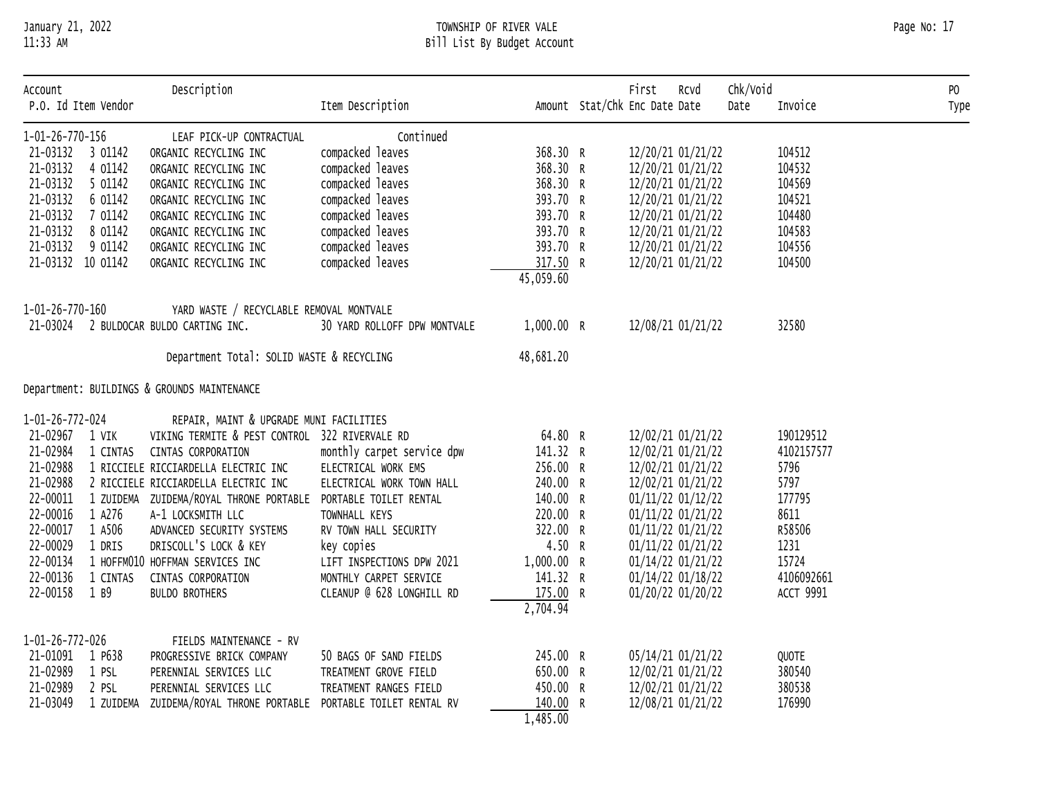# January 21, 2022 TOWNSHIP OF RIVER VALE Page No: 17 11:33 AM Bill List By Budget Account

| Account<br>P.O. Id Item Vendor |           | Description                                    | Item Description             |            | First<br>Rcvd<br>Amount Stat/Chk Enc Date Date | Chk/Void<br>Date | Invoice          | PO<br>Type |
|--------------------------------|-----------|------------------------------------------------|------------------------------|------------|------------------------------------------------|------------------|------------------|------------|
| 1-01-26-770-156                |           | LEAF PICK-UP CONTRACTUAL                       | Continued                    |            |                                                |                  |                  |            |
| 21-03132 3 01142               |           | ORGANIC RECYCLING INC                          | compacked leaves             | 368.30 R   | 12/20/21 01/21/22                              |                  | 104512           |            |
| 21-03132                       | 4 01142   | ORGANIC RECYCLING INC                          | compacked leaves             | 368.30 R   | 12/20/21 01/21/22                              |                  | 104532           |            |
| 21-03132                       | 5 01142   | ORGANIC RECYCLING INC                          | compacked leaves             | 368.30 R   | 12/20/21 01/21/22                              |                  | 104569           |            |
| 21-03132                       | 6 01142   | ORGANIC RECYCLING INC                          | compacked leaves             | 393.70 R   | 12/20/21 01/21/22                              |                  | 104521           |            |
| 21-03132                       | 7 01142   | ORGANIC RECYCLING INC                          | compacked leaves             | 393.70 R   | 12/20/21 01/21/22                              |                  | 104480           |            |
| 21-03132                       | 8 01142   | ORGANIC RECYCLING INC                          | compacked leaves             | 393.70 R   | 12/20/21 01/21/22                              |                  | 104583           |            |
| 21-03132                       | 9 01142   | ORGANIC RECYCLING INC                          | compacked leaves             | 393.70 R   | 12/20/21 01/21/22                              |                  | 104556           |            |
| 21-03132 10 01142              |           | ORGANIC RECYCLING INC                          | compacked leaves             | 317.50 R   | 12/20/21 01/21/22                              |                  | 104500           |            |
|                                |           |                                                |                              | 45,059.60  |                                                |                  |                  |            |
| 1-01-26-770-160                |           | YARD WASTE / RECYCLABLE REMOVAL MONTVALE       |                              |            |                                                |                  |                  |            |
|                                |           | 21-03024 2 BULDOCAR BULDO CARTING INC.         | 30 YARD ROLLOFF DPW MONTVALE | 1,000.00 R | 12/08/21 01/21/22                              |                  | 32580            |            |
|                                |           | Department Total: SOLID WASTE & RECYCLING      |                              | 48,681.20  |                                                |                  |                  |            |
|                                |           | Department: BUILDINGS & GROUNDS MAINTENANCE    |                              |            |                                                |                  |                  |            |
| 1-01-26-772-024                |           | REPAIR, MAINT & UPGRADE MUNI FACILITIES        |                              |            |                                                |                  |                  |            |
| 21-02967                       | 1 VIK     | VIKING TERMITE & PEST CONTROL 322 RIVERVALE RD |                              | 64.80 R    | 12/02/21 01/21/22                              |                  | 190129512        |            |
| 21-02984                       | 1 CINTAS  | CINTAS CORPORATION                             | monthly carpet service dpw   | 141.32 R   | 12/02/21 01/21/22                              |                  | 4102157577       |            |
| 21-02988                       |           | 1 RICCIELE RICCIARDELLA ELECTRIC INC           | ELECTRICAL WORK EMS          | 256.00 R   | 12/02/21 01/21/22                              |                  | 5796             |            |
| 21-02988                       |           | 2 RICCIELE RICCIARDELLA ELECTRIC INC           | ELECTRICAL WORK TOWN HALL    | 240.00 R   | 12/02/21 01/21/22                              |                  | 5797             |            |
| 22-00011                       |           | 1 ZUIDEMA ZUIDEMA/ROYAL THRONE PORTABLE        | PORTABLE TOILET RENTAL       | 140.00 R   | 01/11/22 01/12/22                              |                  | 177795           |            |
| 22-00016                       | 1 A276    | A-1 LOCKSMITH LLC                              | TOWNHALL KEYS                | 220.00 R   | 01/11/22 01/21/22                              |                  | 8611             |            |
| 22-00017                       | 1 A506    | ADVANCED SECURITY SYSTEMS                      | RV TOWN HALL SECURITY        | 322.00 R   | 01/11/22 01/21/22                              |                  | R58506           |            |
| 22-00029                       | 1 DRIS    | DRISCOLL'S LOCK & KEY                          | key copies                   | 4.50 R     | 01/11/22 01/21/22                              |                  | 1231             |            |
| 22-00134                       |           | 1 HOFFM010 HOFFMAN SERVICES INC                | LIFT INSPECTIONS DPW 2021    | 1,000.00 R | 01/14/22 01/21/22                              |                  | 15724            |            |
| 22-00136                       | 1 CINTAS  | CINTAS CORPORATION                             | MONTHLY CARPET SERVICE       | 141.32 R   | 01/14/22 01/18/22                              |                  | 4106092661       |            |
| 22-00158                       | 1 B9      | <b>BULDO BROTHERS</b>                          | CLEANUP @ 628 LONGHILL RD    | 175.00 R   | 01/20/22 01/20/22                              |                  | <b>ACCT 9991</b> |            |
|                                |           |                                                |                              | 2,704.94   |                                                |                  |                  |            |
| 1-01-26-772-026                |           | FIELDS MAINTENANCE - RV                        |                              |            |                                                |                  |                  |            |
| 21-01091 1 P638                |           | PROGRESSIVE BRICK COMPANY                      | 50 BAGS OF SAND FIELDS       | 245.00 R   | 05/14/21 01/21/22                              |                  | QUOTE            |            |
| 21-02989                       | 1 PSL     | PERENNIAL SERVICES LLC                         | TREATMENT GROVE FIELD        | 650.00 R   | 12/02/21 01/21/22                              |                  | 380540           |            |
| 21-02989                       | 2 PSL     | PERENNIAL SERVICES LLC                         | TREATMENT RANGES FIELD       | 450.00 R   | 12/02/21 01/21/22                              |                  | 380538           |            |
| 21-03049                       | 1 ZUIDEMA | ZUIDEMA/ROYAL THRONE PORTABLE                  | PORTABLE TOILET RENTAL RV    | 140.00 R   | 12/08/21 01/21/22                              |                  | 176990           |            |
|                                |           |                                                |                              | 1,485.00   |                                                |                  |                  |            |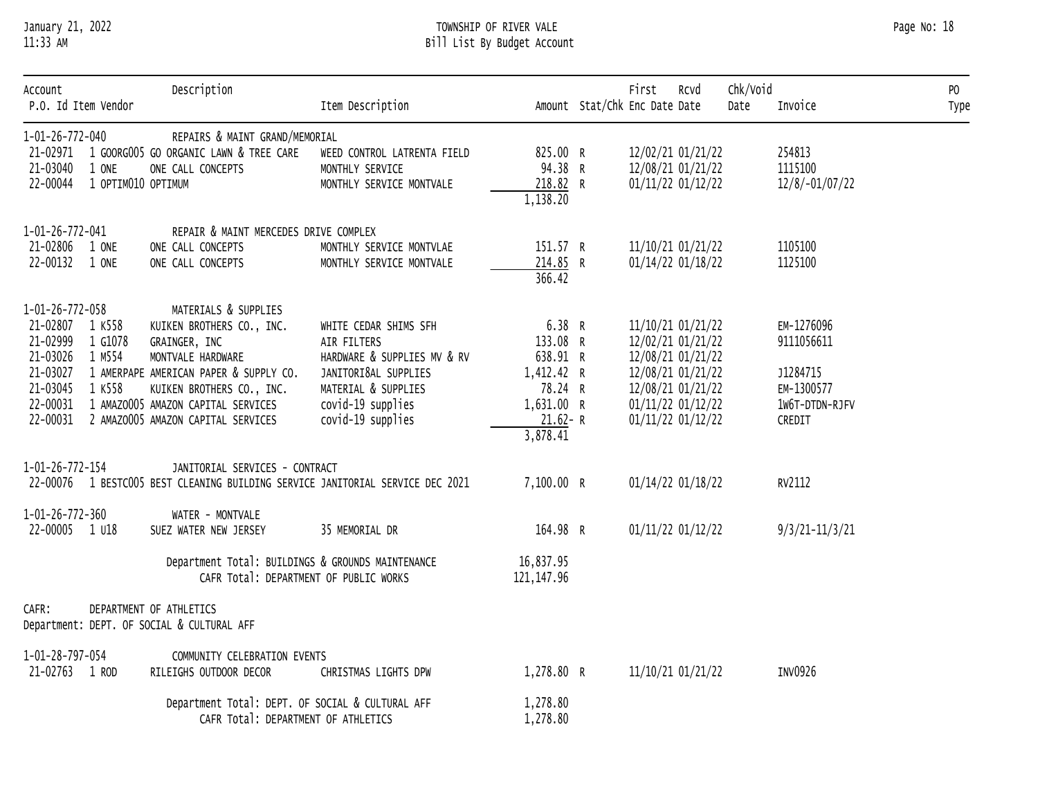# January 21, 2022 TOWNSHIP OF RIVER VALE Page No: 18 11:33 AM Bill List By Budget Account

| Account                                                                                                    | P.O. Id Item Vendor         | Description                                                                                                                                                                                                                                | Item Description                                                                                                                                             |                                                                                                  | First<br>Rcvd<br>Amount Stat/Chk Enc Date Date                                                                                                  | Chk/Void<br>Date | Invoice                                                                        | P <sub>0</sub><br>Type |
|------------------------------------------------------------------------------------------------------------|-----------------------------|--------------------------------------------------------------------------------------------------------------------------------------------------------------------------------------------------------------------------------------------|--------------------------------------------------------------------------------------------------------------------------------------------------------------|--------------------------------------------------------------------------------------------------|-------------------------------------------------------------------------------------------------------------------------------------------------|------------------|--------------------------------------------------------------------------------|------------------------|
| 1-01-26-772-040<br>21-03040<br>22-00044                                                                    | 1 ONE<br>1 OPTIM010 OPTIMUM | REPAIRS & MAINT GRAND/MEMORIAL<br>21-02971 1 GOORGOO5 GO ORGANIC LAWN & TREE CARE<br>ONE CALL CONCEPTS                                                                                                                                     | WEED CONTROL LATRENTA FIELD<br>MONTHLY SERVICE<br>MONTHLY SERVICE MONTVALE                                                                                   | 825.00 R<br>94.38 R<br>218.82 R<br>1,138.20                                                      | 12/02/21 01/21/22<br>12/08/21 01/21/22<br>01/11/22 01/12/22                                                                                     |                  | 254813<br>1115100<br>12/8/-01/07/22                                            |                        |
| 1-01-26-772-041<br>21-02806 1 ONE<br>22-00132 1 ONE                                                        |                             | REPAIR & MAINT MERCEDES DRIVE COMPLEX<br>ONE CALL CONCEPTS<br>ONE CALL CONCEPTS                                                                                                                                                            | MONTHLY SERVICE MONTVLAE<br>MONTHLY SERVICE MONTVALE                                                                                                         | 151.57 R<br>214.85 R<br>366.42                                                                   | 11/10/21 01/21/22<br>01/14/22 01/18/22                                                                                                          |                  | 1105100<br>1125100                                                             |                        |
| 1-01-26-772-058<br>21-02807 1 K558<br>21-02999<br>21-03026<br>21-03027<br>21-03045<br>22-00031<br>22-00031 | 1 G1078<br>1 M554<br>1 K558 | MATERIALS & SUPPLIES<br>KUIKEN BROTHERS CO., INC.<br>GRAINGER, INC<br>MONTVALE HARDWARE<br>1 AMERPAPE AMERICAN PAPER & SUPPLY CO.<br>KUIKEN BROTHERS CO., INC.<br>1 AMAZ0005 AMAZON CAPITAL SERVICES<br>2 AMAZ0005 AMAZON CAPITAL SERVICES | WHITE CEDAR SHIMS SFH<br>AIR FILTERS<br>HARDWARE & SUPPLIES MV & RV<br>JANITORI&AL SUPPLIES<br>MATERIAL & SUPPLIES<br>covid-19 supplies<br>covid-19 supplies | 6.38 R<br>133.08 R<br>638.91 R<br>1,412.42 R<br>78.24 R<br>1,631.00 R<br>$21.62 - R$<br>3,878.41 | 11/10/21 01/21/22<br>12/02/21 01/21/22<br>12/08/21 01/21/22<br>12/08/21 01/21/22<br>12/08/21 01/21/22<br>01/11/22 01/12/22<br>01/11/22 01/12/22 |                  | EM-1276096<br>9111056611<br>J1284715<br>EM-1300577<br>1W6T-DTDN-RJFV<br>CREDIT |                        |
| 1-01-26-772-154                                                                                            |                             | JANITORIAL SERVICES - CONTRACT<br>22-00076 1 BESTC005 BEST CLEANING BUILDING SERVICE JANITORIAL SERVICE DEC 2021                                                                                                                           |                                                                                                                                                              | 7,100.00 R                                                                                       | 01/14/22 01/18/22                                                                                                                               |                  | RV2112                                                                         |                        |
| 1-01-26-772-360<br>22-00005 1 U18                                                                          |                             | WATER - MONTVALE<br>SUEZ WATER NEW JERSEY                                                                                                                                                                                                  | 35 MEMORIAL DR                                                                                                                                               | 164.98 R                                                                                         | 01/11/22 01/12/22                                                                                                                               |                  | $9/3/21 - 11/3/21$                                                             |                        |
|                                                                                                            |                             | Department Total: BUILDINGS & GROUNDS MAINTENANCE<br>CAFR Total: DEPARTMENT OF PUBLIC WORKS                                                                                                                                                |                                                                                                                                                              | 16,837.95<br>121, 147.96                                                                         |                                                                                                                                                 |                  |                                                                                |                        |
| CAFR:                                                                                                      |                             | DEPARTMENT OF ATHLETICS<br>Department: DEPT. OF SOCIAL & CULTURAL AFF                                                                                                                                                                      |                                                                                                                                                              |                                                                                                  |                                                                                                                                                 |                  |                                                                                |                        |
| 1-01-28-797-054<br>21-02763 1 ROD                                                                          |                             | COMMUNITY CELEBRATION EVENTS<br>RILEIGHS OUTDOOR DECOR                                                                                                                                                                                     | CHRISTMAS LIGHTS DPW                                                                                                                                         | 1,278.80 R                                                                                       | 11/10/21 01/21/22                                                                                                                               |                  | INV0926                                                                        |                        |
|                                                                                                            |                             | Department Total: DEPT. OF SOCIAL & CULTURAL AFF<br>CAFR Total: DEPARTMENT OF ATHLETICS                                                                                                                                                    |                                                                                                                                                              | 1,278.80<br>1,278.80                                                                             |                                                                                                                                                 |                  |                                                                                |                        |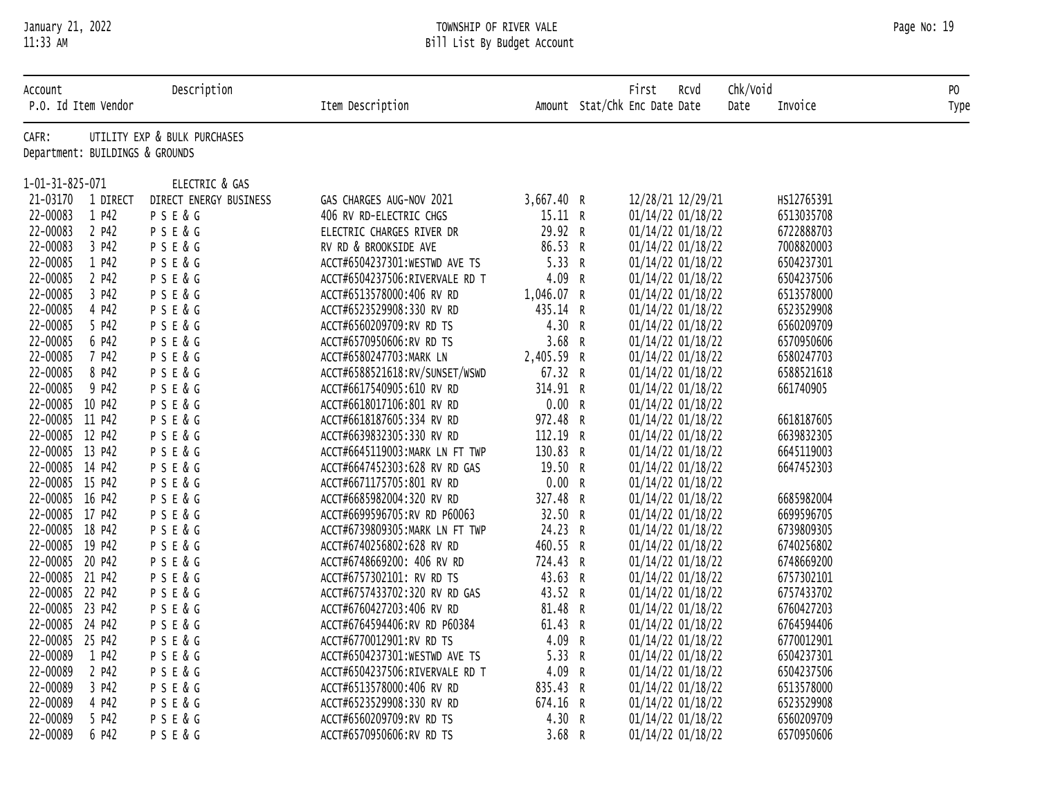# January 21, 2022 TOWNSHIP OF RIVER VALE Page No: 19 11:33 AM Bill List By Budget Account

| Account<br>P.O. Id Item Vendor  |          | Description                  | Item Description               |            | Chk/Void<br>First<br>RCVd<br>Amount Stat/Chk Enc Date Date<br>Date | Invoice    | PO<br>Type |
|---------------------------------|----------|------------------------------|--------------------------------|------------|--------------------------------------------------------------------|------------|------------|
| CAFR:                           |          | UTILITY EXP & BULK PURCHASES |                                |            |                                                                    |            |            |
| Department: BUILDINGS & GROUNDS |          |                              |                                |            |                                                                    |            |            |
| 1-01-31-825-071                 |          | ELECTRIC & GAS               |                                |            |                                                                    |            |            |
| 21-03170                        | 1 DIRECT | DIRECT ENERGY BUSINESS       | GAS CHARGES AUG-NOV 2021       | 3,667.40 R | 12/28/21 12/29/21                                                  | HS12765391 |            |
| 22-00083                        | 1 P42    | PSE&G                        | 406 RV RD-ELECTRIC CHGS        | 15.11 R    | 01/14/22 01/18/22                                                  | 6513035708 |            |
| 22-00083                        | 2 P42    | PSE&G                        | ELECTRIC CHARGES RIVER DR      | 29.92 R    | 01/14/22 01/18/22                                                  | 6722888703 |            |
| 22-00083                        | 3 P42    | PSE&G                        | RV RD & BROOKSIDE AVE          | 86.53 R    | 01/14/22 01/18/22                                                  | 7008820003 |            |
| 22-00085                        | 1 P42    | PSE&G                        | ACCT#6504237301:WESTWD AVE TS  | 5.33 R     | 01/14/22 01/18/22                                                  | 6504237301 |            |
| 22-00085                        | 2 P42    | P S E & G                    | ACCT#6504237506:RIVERVALE RD T | 4.09 R     | 01/14/22 01/18/22                                                  | 6504237506 |            |
| 22-00085                        | 3 P42    | P S E & G                    | ACCT#6513578000:406 RV RD      | 1,046.07 R | 01/14/22 01/18/22                                                  | 6513578000 |            |
| 22-00085                        | 4 P42    | P S E & G                    | ACCT#6523529908:330 RV RD      | 435.14 R   | 01/14/22 01/18/22                                                  | 6523529908 |            |
| 22-00085                        | 5 P42    | PSE&G                        | ACCT#6560209709:RV RD TS       | 4.30 R     | 01/14/22 01/18/22                                                  | 6560209709 |            |
| 22-00085                        | 6 P42    | PSE&G                        | ACCT#6570950606:RV RD TS       | 3.68 R     | 01/14/22 01/18/22                                                  | 6570950606 |            |
| 22-00085                        | 7 P42    | P S E & G                    | ACCT#6580247703:MARK LN        | 2,405.59 R | 01/14/22 01/18/22                                                  | 6580247703 |            |
| 22-00085                        | 8 P42    | P S E & G                    | ACCT#6588521618:RV/SUNSET/WSWD | 67.32 R    | 01/14/22 01/18/22                                                  | 6588521618 |            |
| 22-00085                        | 9 P42    | PSE&G                        | ACCT#6617540905:610 RV RD      | 314.91 R   | 01/14/22 01/18/22                                                  | 661740905  |            |
| 22-00085 10 P42                 |          | P S E & G                    | ACCT#6618017106:801 RV RD      | 0.00 R     | 01/14/22 01/18/22                                                  |            |            |
| 22-00085 11 P42                 |          | P S E & G                    | ACCT#6618187605:334 RV RD      | 972.48 R   | 01/14/22 01/18/22                                                  | 6618187605 |            |
| 22-00085 12 P42                 |          | P S E & G                    | ACCT#6639832305:330 RV RD      | 112.19 R   | 01/14/22 01/18/22                                                  | 6639832305 |            |
| 22-00085 13 P42                 |          | PSE&G                        | ACCT#6645119003:MARK LN FT TWP | 130.83 R   | 01/14/22 01/18/22                                                  | 6645119003 |            |
| 22-00085 14 P42                 |          | PSE&G                        | ACCT#6647452303:628 RV RD GAS  | 19.50 R    | 01/14/22 01/18/22                                                  | 6647452303 |            |
| 22-00085 15 P42                 |          | P S E & G                    | ACCT#6671175705:801 RV RD      | 0.00 R     | 01/14/22 01/18/22                                                  |            |            |
| 22-00085 16 P42                 |          | P S E & G                    | ACCT#6685982004:320 RV RD      | 327.48 R   | 01/14/22 01/18/22                                                  | 6685982004 |            |
| 22-00085 17 P42                 |          | PSE&G                        | ACCT#6699596705:RV RD P60063   | 32.50 R    | 01/14/22 01/18/22                                                  | 6699596705 |            |
| 22-00085 18 P42                 |          | P S E & G                    | ACCT#6739809305:MARK LN FT TWP | 24.23 R    | 01/14/22 01/18/22                                                  | 6739809305 |            |
| 22-00085 19 P42                 |          | P S E & G                    | ACCT#6740256802:628 RV RD      | 460.55 R   | 01/14/22 01/18/22                                                  | 6740256802 |            |
| 22-00085 20 P42                 |          | PSE&G                        | ACCT#6748669200: 406 RV RD     | 724.43 R   | 01/14/22 01/18/22                                                  | 6748669200 |            |
| 22-00085 21 P42                 |          | PSE&G                        | ACCT#6757302101: RV RD TS      | 43.63 R    | 01/14/22 01/18/22                                                  | 6757302101 |            |
| 22-00085 22 P42                 |          | P S E & G                    | ACCT#6757433702:320 RV RD GAS  | 43.52 R    | 01/14/22 01/18/22                                                  | 6757433702 |            |
| 22-00085 23 P42                 |          | PSE&G                        | ACCT#6760427203:406 RV RD      | 81.48 R    | 01/14/22 01/18/22                                                  | 6760427203 |            |
| 22-00085 24 P42                 |          | PSE&G                        | ACCT#6764594406:RV RD P60384   | 61.43 R    | 01/14/22 01/18/22                                                  | 6764594406 |            |
| 22-00085 25 P42                 |          | PSE&G                        | ACCT#6770012901:RV RD TS       | 4.09 R     | 01/14/22 01/18/22                                                  | 6770012901 |            |
| 22-00089                        | 1 P42    | PSE&G                        | ACCT#6504237301:WESTWD AVE TS  | 5.33 R     | 01/14/22 01/18/22                                                  | 6504237301 |            |
| 22-00089                        | 2 P42    | PSE&G                        | ACCT#6504237506:RIVERVALE RD T | 4.09 R     | 01/14/22 01/18/22                                                  | 6504237506 |            |
| 22-00089                        | 3 P42    | PSE&G                        | ACCT#6513578000:406 RV RD      | 835.43 R   | 01/14/22 01/18/22                                                  | 6513578000 |            |
| 22-00089                        | 4 P42    | PSE&G                        | ACCT#6523529908:330 RV RD      | 674.16 R   | 01/14/22 01/18/22                                                  | 6523529908 |            |
| 22-00089                        | 5 P42    | PSE&G                        | ACCT#6560209709:RV RD TS       | 4.30 R     | 01/14/22 01/18/22                                                  | 6560209709 |            |
| 22-00089                        | 6 P42    | PSE&G                        | ACCT#6570950606:RV RD TS       | 3.68 R     | 01/14/22 01/18/22                                                  | 6570950606 |            |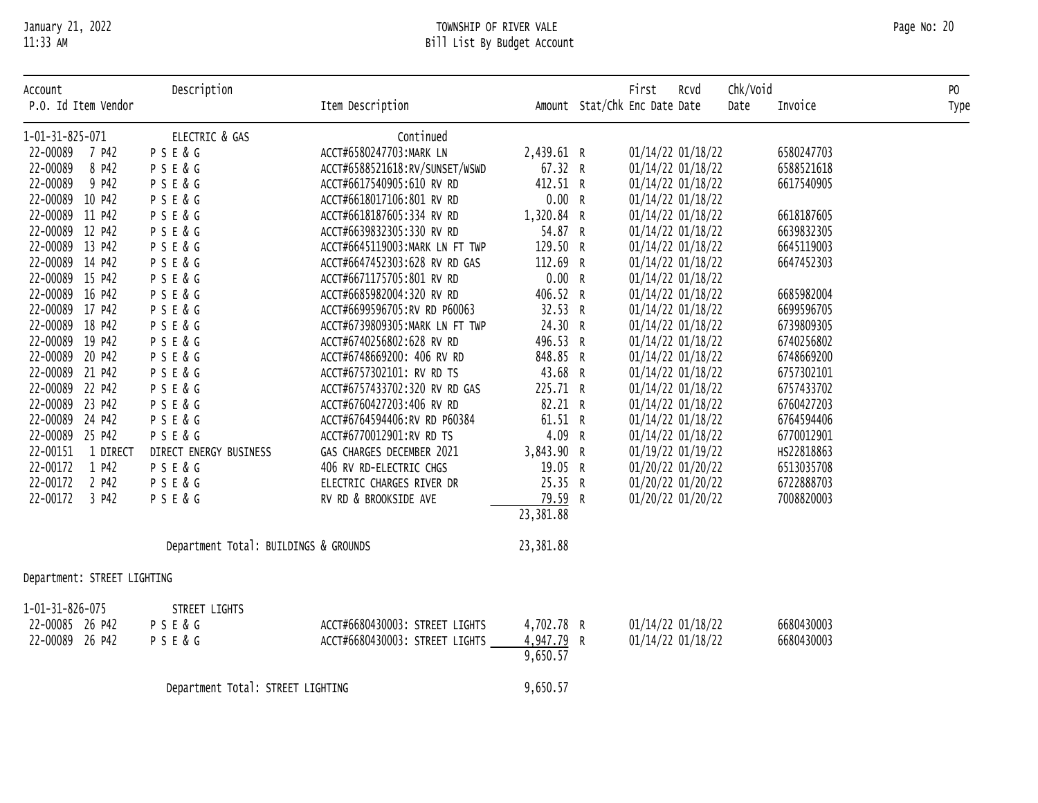# January 21, 2022 TOWNSHIP OF RIVER VALE Page No: 20 11:33 AM Bill List By Budget Account

| Account<br>P.O. Id Item Vendor     | Description                           | Item Description                                           |                     | First<br>Rcvd<br>Amount Stat/Chk Enc Date Date | Chk/Void<br>Date | Invoice                  | P <sub>0</sub><br>Type |
|------------------------------------|---------------------------------------|------------------------------------------------------------|---------------------|------------------------------------------------|------------------|--------------------------|------------------------|
|                                    |                                       |                                                            |                     |                                                |                  |                          |                        |
| 1-01-31-825-071                    | ELECTRIC & GAS                        | Continued                                                  |                     |                                                |                  |                          |                        |
| 22-00089 7 P42                     | PSE&G                                 | ACCT#6580247703:MARK LN                                    | 2,439.61 R          | 01/14/22 01/18/22                              |                  | 6580247703               |                        |
| 22-00089<br>8 P42                  | PSE&G                                 | ACCT#6588521618:RV/SUNSET/WSWD                             | 67.32 R             | 01/14/22 01/18/22                              |                  | 6588521618               |                        |
| 22-00089<br>9 P42                  | P S E & G                             | ACCT#6617540905:610 RV RD                                  | 412.51 R            | 01/14/22 01/18/22                              |                  | 6617540905               |                        |
| 22-00089 10 P42                    | PSE&G                                 | ACCT#6618017106:801 RV RD                                  | 0.00 R              | 01/14/22 01/18/22                              |                  |                          |                        |
| 22-00089 11 P42                    | PSE&G                                 | ACCT#6618187605:334 RV RD                                  | 1,320.84 R          | 01/14/22 01/18/22                              |                  | 6618187605               |                        |
| 22-00089 12 P42                    | PSE&G                                 | ACCT#6639832305:330 RV RD                                  | 54.87 R             | 01/14/22 01/18/22                              |                  | 6639832305               |                        |
| 22-00089 13 P42                    | PSE&G                                 | ACCT#6645119003:MARK LN FT TWP                             | 129.50 R            | 01/14/22 01/18/22                              |                  | 6645119003               |                        |
| 22-00089 14 P42                    | PSE&G                                 | ACCT#6647452303:628 RV RD GAS                              | 112.69 R            | 01/14/22 01/18/22                              |                  | 6647452303               |                        |
| 22-00089 15 P42                    | PSE&G                                 | ACCT#6671175705:801 RV RD                                  | 0.00 R              | 01/14/22 01/18/22                              |                  |                          |                        |
| 22-00089 16 P42                    | PSE&G                                 | ACCT#6685982004:320 RV RD                                  | 406.52 R            | 01/14/22 01/18/22                              |                  | 6685982004               |                        |
| 22-00089 17 P42                    | PSE&G                                 | ACCT#6699596705:RV RD P60063                               | 32.53 R             | 01/14/22 01/18/22                              |                  | 6699596705               |                        |
| 22-00089 18 P42                    | PSE&G                                 | ACCT#6739809305:MARK LN FT TWP                             | 24.30 R             | 01/14/22 01/18/22                              |                  | 6739809305               |                        |
| 22-00089 19 P42                    | PSE&G                                 | ACCT#6740256802:628 RV RD                                  | 496.53 R            | 01/14/22 01/18/22                              |                  | 6740256802               |                        |
| 22-00089 20 P42                    | PSE&G                                 | ACCT#6748669200: 406 RV RD                                 | 848.85 R            | 01/14/22 01/18/22                              |                  | 6748669200<br>6757302101 |                        |
| 22-00089 21 P42<br>22-00089 22 P42 | PSE&G                                 | ACCT#6757302101: RV RD TS<br>ACCT#6757433702:320 RV RD GAS | 43.68 R             | 01/14/22 01/18/22                              |                  | 6757433702               |                        |
| 22-00089 23 P42                    | PSE&G                                 | ACCT#6760427203:406 RV RD                                  | 225.71 R<br>82.21 R | 01/14/22 01/18/22<br>01/14/22 01/18/22         |                  | 6760427203               |                        |
| 22-00089 24 P42                    | PSE&G<br>PSE&G                        | ACCT#6764594406:RV RD P60384                               | 61.51 R             | 01/14/22 01/18/22                              |                  | 6764594406               |                        |
| 22-00089 25 P42                    | P S E & G                             | ACCT#6770012901:RV RD TS                                   | 4.09 R              | 01/14/22 01/18/22                              |                  | 6770012901               |                        |
| 22-00151<br>1 DIRECT               | DIRECT ENERGY BUSINESS                | GAS CHARGES DECEMBER 2021                                  | 3,843.90 R          | 01/19/22 01/19/22                              |                  | HS22818863               |                        |
| 22-00172<br>1 P42                  | PSE&G                                 | 406 RV RD-ELECTRIC CHGS                                    | 19.05 R             | 01/20/22 01/20/22                              |                  | 6513035708               |                        |
| 22-00172<br>2 P42                  | PSE&G                                 | ELECTRIC CHARGES RIVER DR                                  | 25.35 R             | 01/20/22 01/20/22                              |                  | 6722888703               |                        |
| 22-00172<br>3 P42                  | P S E & G                             | RV RD & BROOKSIDE AVE                                      | 79.59 R             | 01/20/22 01/20/22                              |                  | 7008820003               |                        |
|                                    |                                       |                                                            | 23, 381.88          |                                                |                  |                          |                        |
|                                    | Department Total: BUILDINGS & GROUNDS |                                                            | 23,381.88           |                                                |                  |                          |                        |
| Department: STREET LIGHTING        |                                       |                                                            |                     |                                                |                  |                          |                        |
|                                    |                                       |                                                            |                     |                                                |                  |                          |                        |
| $1 - 01 - 31 - 826 - 075$          | STREET LIGHTS                         |                                                            |                     |                                                |                  |                          |                        |
| 22-00085 26 P42                    | P S E & G                             | ACCT#6680430003: STREET LIGHTS                             | 4,702.78 R          | 01/14/22 01/18/22                              |                  | 6680430003               |                        |
| 22-00089 26 P42                    | PSE&G                                 | ACCT#6680430003: STREET LIGHTS                             | 4,947.79 R          | 01/14/22 01/18/22                              |                  | 6680430003               |                        |
|                                    |                                       |                                                            | 9,650.57            |                                                |                  |                          |                        |
|                                    | Department Total: STREET LIGHTING     |                                                            | 9,650.57            |                                                |                  |                          |                        |
|                                    |                                       |                                                            |                     |                                                |                  |                          |                        |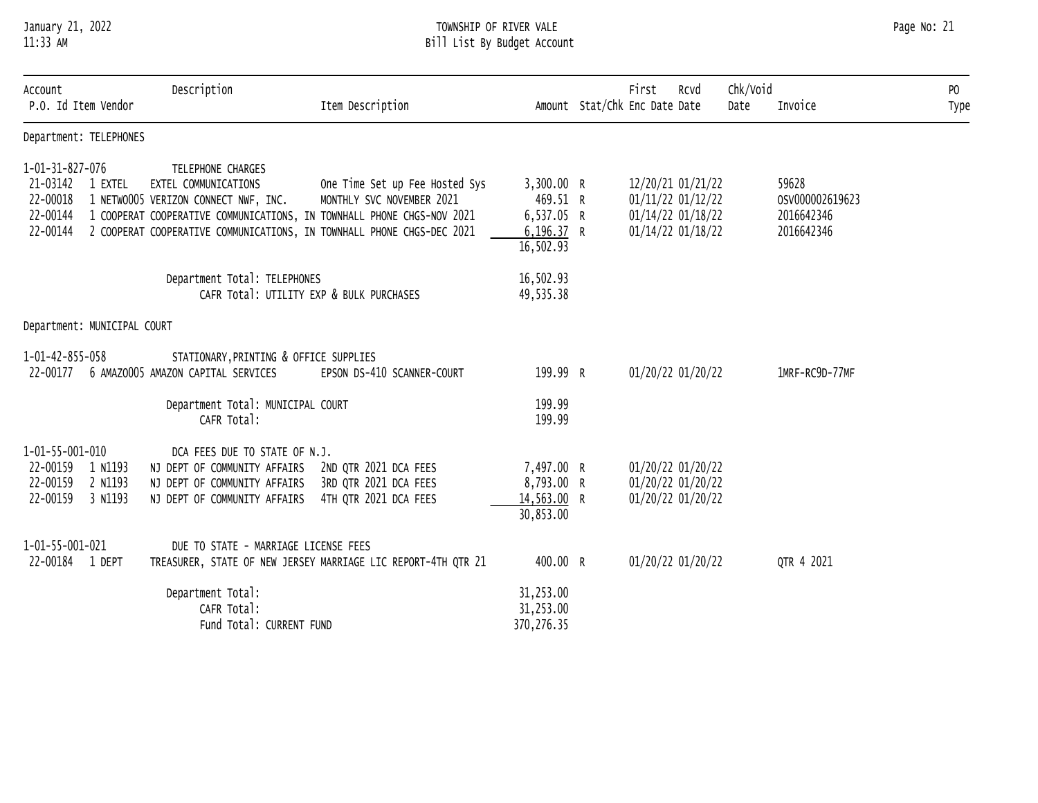# January 21, 2022 TOWNSHIP OF RIVER VALE Page No: 21 11:33 AM Bill List By Budget Account

| Account<br>P.O. Id Item Vendor                                                       | Description<br>Item Description                                                                                                                                                                                                                                                                      |                                                                  | First<br>Rcvd<br>Amount Stat/Chk Enc Date Date                                   | Chk/Void<br>Date | Invoice                                              | P <sub>0</sub><br>Type |
|--------------------------------------------------------------------------------------|------------------------------------------------------------------------------------------------------------------------------------------------------------------------------------------------------------------------------------------------------------------------------------------------------|------------------------------------------------------------------|----------------------------------------------------------------------------------|------------------|------------------------------------------------------|------------------------|
| Department: TELEPHONES                                                               |                                                                                                                                                                                                                                                                                                      |                                                                  |                                                                                  |                  |                                                      |                        |
| 1-01-31-827-076<br>21-03142<br>1 EXTEL<br>22-00018<br>22-00144<br>22-00144           | TELEPHONE CHARGES<br>EXTEL COMMUNICATIONS<br>One Time Set up Fee Hosted Sys<br>1 NETWO005 VERIZON CONNECT NWF, INC.<br>MONTHLY SVC NOVEMBER 2021<br>1 COOPERAT COOPERATIVE COMMUNICATIONS, IN TOWNHALL PHONE CHGS-NOV 2021<br>2 COOPERAT COOPERATIVE COMMUNICATIONS, IN TOWNHALL PHONE CHGS-DEC 2021 | 3,300.00 R<br>469.51 R<br>6,537.05 R<br>6, 196.37 R<br>16,502.93 | 12/20/21 01/21/22<br>01/11/22 01/12/22<br>01/14/22 01/18/22<br>01/14/22 01/18/22 |                  | 59628<br>0SV000002619623<br>2016642346<br>2016642346 |                        |
|                                                                                      | Department Total: TELEPHONES<br>CAFR Total: UTILITY EXP & BULK PURCHASES                                                                                                                                                                                                                             | 16,502.93<br>49,535.38                                           |                                                                                  |                  |                                                      |                        |
| Department: MUNICIPAL COURT                                                          |                                                                                                                                                                                                                                                                                                      |                                                                  |                                                                                  |                  |                                                      |                        |
| 1-01-42-855-058<br>22-00177                                                          | STATIONARY, PRINTING & OFFICE SUPPLIES<br>6 AMAZ0005 AMAZON CAPITAL SERVICES<br>EPSON DS-410 SCANNER-COURT                                                                                                                                                                                           | 199.99 R                                                         | 01/20/22 01/20/22                                                                |                  | 1MRF-RC9D-77MF                                       |                        |
|                                                                                      | Department Total: MUNICIPAL COURT<br>CAFR Total:                                                                                                                                                                                                                                                     | 199.99<br>199.99                                                 |                                                                                  |                  |                                                      |                        |
| 1-01-55-001-010<br>22-00159<br>1 N1193<br>22-00159<br>2 N1193<br>22-00159<br>3 N1193 | DCA FEES DUE TO STATE OF N.J.<br>NJ DEPT OF COMMUNITY AFFAIRS<br>2ND QTR 2021 DCA FEES<br>3RD QTR 2021 DCA FEES<br>NJ DEPT OF COMMUNITY AFFAIRS<br>4TH OTR 2021 DCA FEES<br>NJ DEPT OF COMMUNITY AFFAIRS                                                                                             | 7,497.00 R<br>8,793.00 R<br>14,563.00 R<br>30,853.00             | 01/20/22 01/20/22<br>01/20/22 01/20/22<br>01/20/22 01/20/22                      |                  |                                                      |                        |
| 1-01-55-001-021<br>22-00184 1 DEPT                                                   | DUE TO STATE - MARRIAGE LICENSE FEES<br>TREASURER, STATE OF NEW JERSEY MARRIAGE LIC REPORT-4TH QTR 21                                                                                                                                                                                                | 400.00 R                                                         | 01/20/22 01/20/22                                                                |                  | QTR 4 2021                                           |                        |
|                                                                                      | Department Total:<br>CAFR Total:<br>Fund Total: CURRENT FUND                                                                                                                                                                                                                                         | 31,253.00<br>31,253.00<br>370, 276.35                            |                                                                                  |                  |                                                      |                        |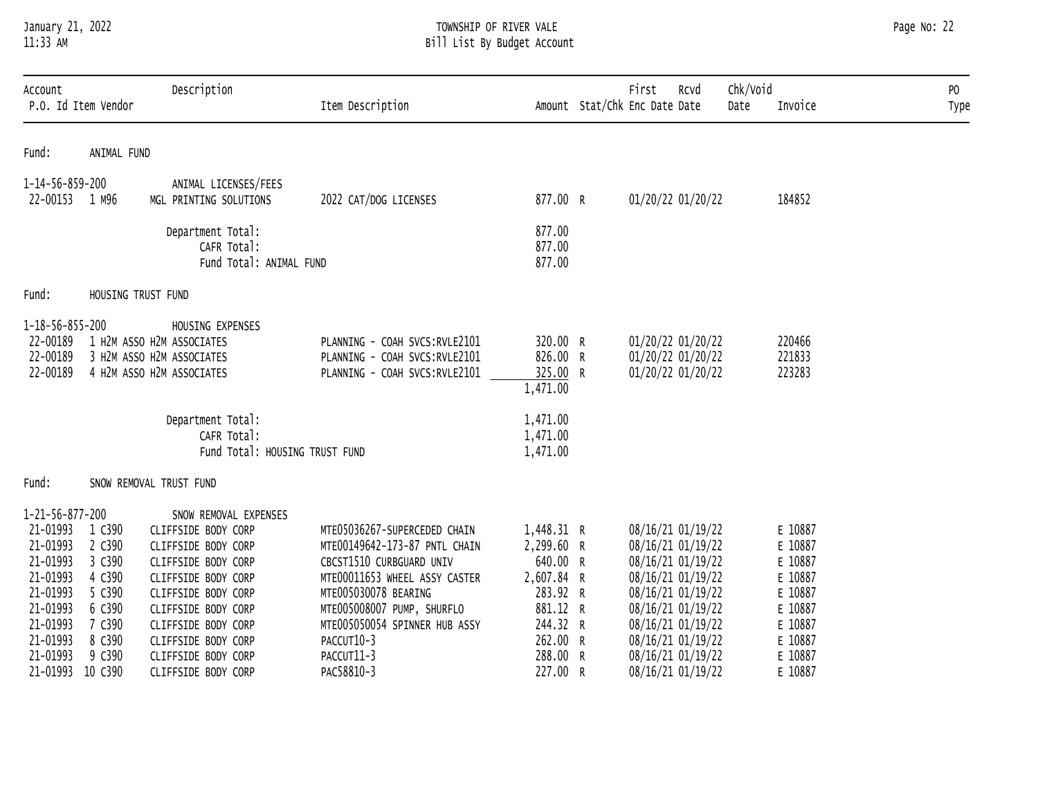### January 21, 2022 TOWNSHIP OF RIVER VALE Page No: 22 11:33 AM Bill List By Budget Account

| Account<br>P.O. Id Item Vendor                                                                      |                                                                    | Description                                                                                                                                                                            | Item Description                                                                                                                                                                                                  |                                                                                        | First<br>RCVd<br>Amount Stat/Chk Enc Date Date                                                                                                  | Chk/Void<br>Invoice<br>Date                                               | PO<br>Type |
|-----------------------------------------------------------------------------------------------------|--------------------------------------------------------------------|----------------------------------------------------------------------------------------------------------------------------------------------------------------------------------------|-------------------------------------------------------------------------------------------------------------------------------------------------------------------------------------------------------------------|----------------------------------------------------------------------------------------|-------------------------------------------------------------------------------------------------------------------------------------------------|---------------------------------------------------------------------------|------------|
| Fund:                                                                                               | ANIMAL FUND                                                        |                                                                                                                                                                                        |                                                                                                                                                                                                                   |                                                                                        |                                                                                                                                                 |                                                                           |            |
| 1-14-56-859-200<br>22-00153 1 M96                                                                   |                                                                    | ANIMAL LICENSES/FEES<br>MGL PRINTING SOLUTIONS                                                                                                                                         | 2022 CAT/DOG LICENSES                                                                                                                                                                                             | 877.00 R                                                                               | 01/20/22 01/20/22                                                                                                                               | 184852                                                                    |            |
|                                                                                                     |                                                                    | Department Total:<br>CAFR Total:<br>Fund Total: ANIMAL FUND                                                                                                                            |                                                                                                                                                                                                                   | 877.00<br>877.00<br>877.00                                                             |                                                                                                                                                 |                                                                           |            |
| Fund:                                                                                               |                                                                    | HOUSING TRUST FUND                                                                                                                                                                     |                                                                                                                                                                                                                   |                                                                                        |                                                                                                                                                 |                                                                           |            |
| $1 - 18 - 56 - 855 - 200$<br>22-00189<br>22-00189<br>22-00189                                       |                                                                    | HOUSING EXPENSES<br>1 H2M ASSO H2M ASSOCIATES<br>3 H2M ASSO H2M ASSOCIATES<br>4 H2M ASSO H2M ASSOCIATES<br>Department Total:                                                           | PLANNING - COAH SVCS:RVLE2101<br>PLANNING - COAH SVCS:RVLE2101<br>PLANNING - COAH SVCS:RVLE2101                                                                                                                   | 320.00 R<br>826.00 R<br>325.00 R<br>1,471.00<br>1,471.00                               | 01/20/22 01/20/22<br>01/20/22 01/20/22<br>01/20/22 01/20/22                                                                                     | 220466<br>221833<br>223283                                                |            |
|                                                                                                     |                                                                    | CAFR Total:<br>Fund Total: HOUSING TRUST FUND                                                                                                                                          |                                                                                                                                                                                                                   | 1,471.00<br>1,471.00                                                                   |                                                                                                                                                 |                                                                           |            |
| Fund:                                                                                               |                                                                    | SNOW REMOVAL TRUST FUND                                                                                                                                                                |                                                                                                                                                                                                                   |                                                                                        |                                                                                                                                                 |                                                                           |            |
| 1-21-56-877-200<br>21-01993<br>21-01993<br>21-01993<br>21-01993<br>21-01993<br>21-01993<br>21-01993 | 1 C390<br>2 C390<br>3 C390<br>4 C390<br>5 C390<br>6 C390<br>7 C390 | SNOW REMOVAL EXPENSES<br>CLIFFSIDE BODY CORP<br>CLIFFSIDE BODY CORP<br>CLIFFSIDE BODY CORP<br>CLIFFSIDE BODY CORP<br>CLIFFSIDE BODY CORP<br>CLIFFSIDE BODY CORP<br>CLIFFSIDE BODY CORP | MTE05036267-SUPERCEDED CHAIN<br>MTE00149642-173-87 PNTL CHAIN<br>CBCST1510 CURBGUARD UNIV<br>MTE00011653 WHEEL ASSY CASTER<br>MTE005030078 BEARING<br>MTE005008007 PUMP, SHURFLO<br>MTE005050054 SPINNER HUB ASSY | 1,448.31 R<br>2,299.60 R<br>640.00 R<br>2,607.84 R<br>283.92 R<br>881.12 R<br>244.32 R | 08/16/21 01/19/22<br>08/16/21 01/19/22<br>08/16/21 01/19/22<br>08/16/21 01/19/22<br>08/16/21 01/19/22<br>08/16/21 01/19/22<br>08/16/21 01/19/22 | E 10887<br>E 10887<br>E 10887<br>E 10887<br>E 10887<br>E 10887<br>E 10887 |            |
| 21-01993<br>21-01993<br>21-01993                                                                    | 8 C390<br>9 C390<br>10 C390                                        | CLIFFSIDE BODY CORP<br>CLIFFSIDE BODY CORP<br>CLIFFSIDE BODY CORP                                                                                                                      | PACCUT10-3<br>PACCUT11-3<br>PAC58810-3                                                                                                                                                                            | 262.00 R<br>288.00 R<br>227.00 R                                                       | 08/16/21 01/19/22<br>08/16/21 01/19/22<br>08/16/21 01/19/22                                                                                     | E 10887<br>E 10887<br>E 10887                                             |            |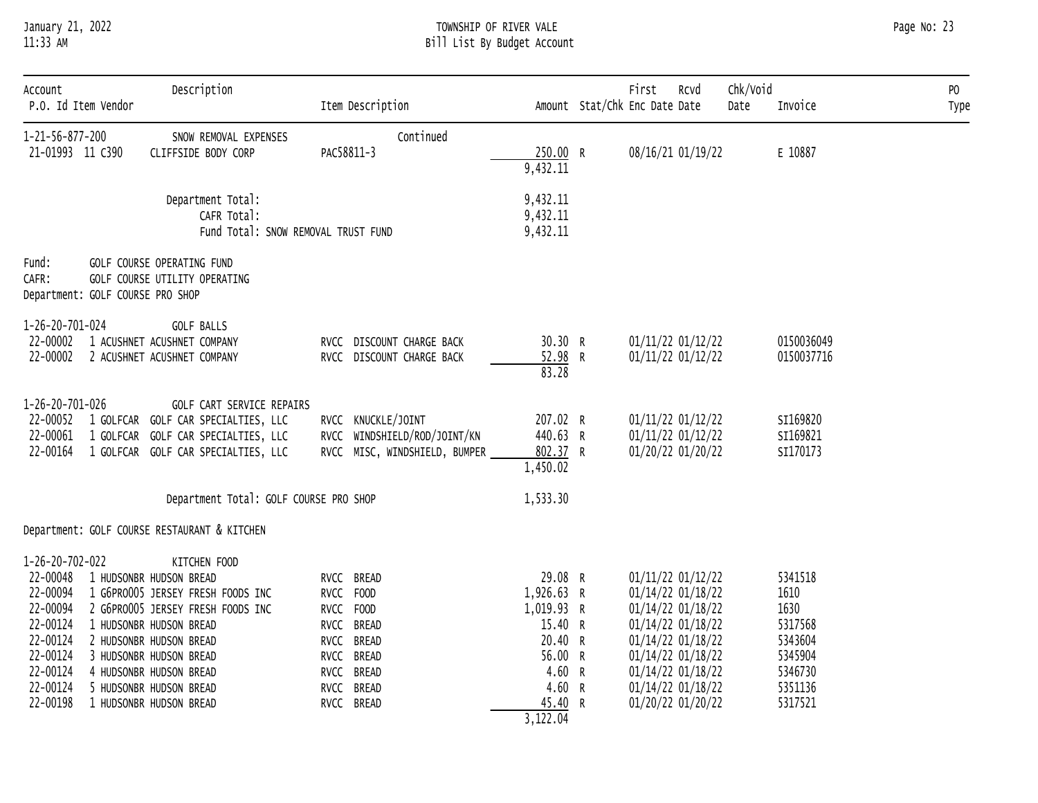# January 21, 2022 TOWNSHIP OF RIVER VALE Page No: 23 11:33 AM Bill List By Budget Account

| Account<br>P.O. Id Item Vendor                                                                                              | Description                                                                                                                                                                                                                                                                         | Item Description                                                                                                         |                                                                                                                  | First<br>Rcvd<br>Amount Stat/Chk Enc Date Date                                                                                                                                            | Chk/Void<br>Date | Invoice                                                                                   | PO<br>Type |
|-----------------------------------------------------------------------------------------------------------------------------|-------------------------------------------------------------------------------------------------------------------------------------------------------------------------------------------------------------------------------------------------------------------------------------|--------------------------------------------------------------------------------------------------------------------------|------------------------------------------------------------------------------------------------------------------|-------------------------------------------------------------------------------------------------------------------------------------------------------------------------------------------|------------------|-------------------------------------------------------------------------------------------|------------|
| 1-21-56-877-200<br>21-01993 11 C390                                                                                         | SNOW REMOVAL EXPENSES<br>CLIFFSIDE BODY CORP                                                                                                                                                                                                                                        | Continued<br>PAC58811-3                                                                                                  | 250.00 R<br>9,432.11                                                                                             | 08/16/21 01/19/22                                                                                                                                                                         |                  | E 10887                                                                                   |            |
|                                                                                                                             | Department Total:<br>CAFR Total:<br>Fund Total: SNOW REMOVAL TRUST FUND                                                                                                                                                                                                             |                                                                                                                          | 9,432.11<br>9,432.11<br>9,432.11                                                                                 |                                                                                                                                                                                           |                  |                                                                                           |            |
| Fund:<br>CAFR:<br>Department: GOLF COURSE PRO SHOP                                                                          | GOLF COURSE OPERATING FUND<br>GOLF COURSE UTILITY OPERATING                                                                                                                                                                                                                         |                                                                                                                          |                                                                                                                  |                                                                                                                                                                                           |                  |                                                                                           |            |
| 1-26-20-701-024<br>22-00002<br>22-00002                                                                                     | <b>GOLF BALLS</b><br>1 ACUSHNET ACUSHNET COMPANY<br>2 ACUSHNET ACUSHNET COMPANY                                                                                                                                                                                                     | RVCC DISCOUNT CHARGE BACK<br>RVCC DISCOUNT CHARGE BACK                                                                   | 30.30 R<br>52.98 R<br>83.28                                                                                      | 01/11/22 01/12/22<br>01/11/22 01/12/22                                                                                                                                                    |                  | 0150036049<br>0150037716                                                                  |            |
| 1-26-20-701-026<br>22-00052<br>22-00061<br>22-00164                                                                         | GOLF CART SERVICE REPAIRS<br>1 GOLFCAR GOLF CAR SPECIALTIES, LLC<br>1 GOLFCAR GOLF CAR SPECIALTIES, LLC<br>1 GOLFCAR GOLF CAR SPECIALTIES, LLC                                                                                                                                      | RVCC KNUCKLE/JOINT<br>RVCC WINDSHIELD/ROD/JOINT/KN<br>RVCC MISC, WINDSHIELD, BUMPER                                      | 207.02 R<br>440.63 R<br>802.37 R<br>1,450.02                                                                     | 01/11/22 01/12/22<br>01/11/22 01/12/22<br>01/20/22 01/20/22                                                                                                                               |                  | SI169820<br>SI169821<br>SI170173                                                          |            |
|                                                                                                                             | Department Total: GOLF COURSE PRO SHOP                                                                                                                                                                                                                                              |                                                                                                                          | 1,533.30                                                                                                         |                                                                                                                                                                                           |                  |                                                                                           |            |
|                                                                                                                             | Department: GOLF COURSE RESTAURANT & KITCHEN                                                                                                                                                                                                                                        |                                                                                                                          |                                                                                                                  |                                                                                                                                                                                           |                  |                                                                                           |            |
| 1-26-20-702-022<br>22-00048<br>22-00094<br>22-00094<br>22-00124<br>22-00124<br>22-00124<br>22-00124<br>22-00124<br>22-00198 | KITCHEN FOOD<br>1 HUDSONBR HUDSON BREAD<br>1 G6PRO005 JERSEY FRESH FOODS INC<br>2 G6PRO005 JERSEY FRESH FOODS INC<br>1 HUDSONBR HUDSON BREAD<br>2 HUDSONBR HUDSON BREAD<br>3 HUDSONBR HUDSON BREAD<br>4 HUDSONBR HUDSON BREAD<br>5 HUDSONBR HUDSON BREAD<br>1 HUDSONBR HUDSON BREAD | RVCC BREAD<br>RVCC FOOD<br>RVCC FOOD<br>RVCC BREAD<br>RVCC BREAD<br>RVCC BREAD<br>RVCC BREAD<br>RVCC BREAD<br>RVCC BREAD | 29.08 R<br>1,926.63 R<br>1,019.93 R<br>15.40 R<br>20.40 R<br>56.00 R<br>4.60 R<br>4.60 R<br>45.40 R<br>3, 122.04 | 01/11/22 01/12/22<br>01/14/22 01/18/22<br>01/14/22 01/18/22<br>01/14/22 01/18/22<br>01/14/22 01/18/22<br>01/14/22 01/18/22<br>01/14/22 01/18/22<br>01/14/22 01/18/22<br>01/20/22 01/20/22 |                  | 5341518<br>1610<br>1630<br>5317568<br>5343604<br>5345904<br>5346730<br>5351136<br>5317521 |            |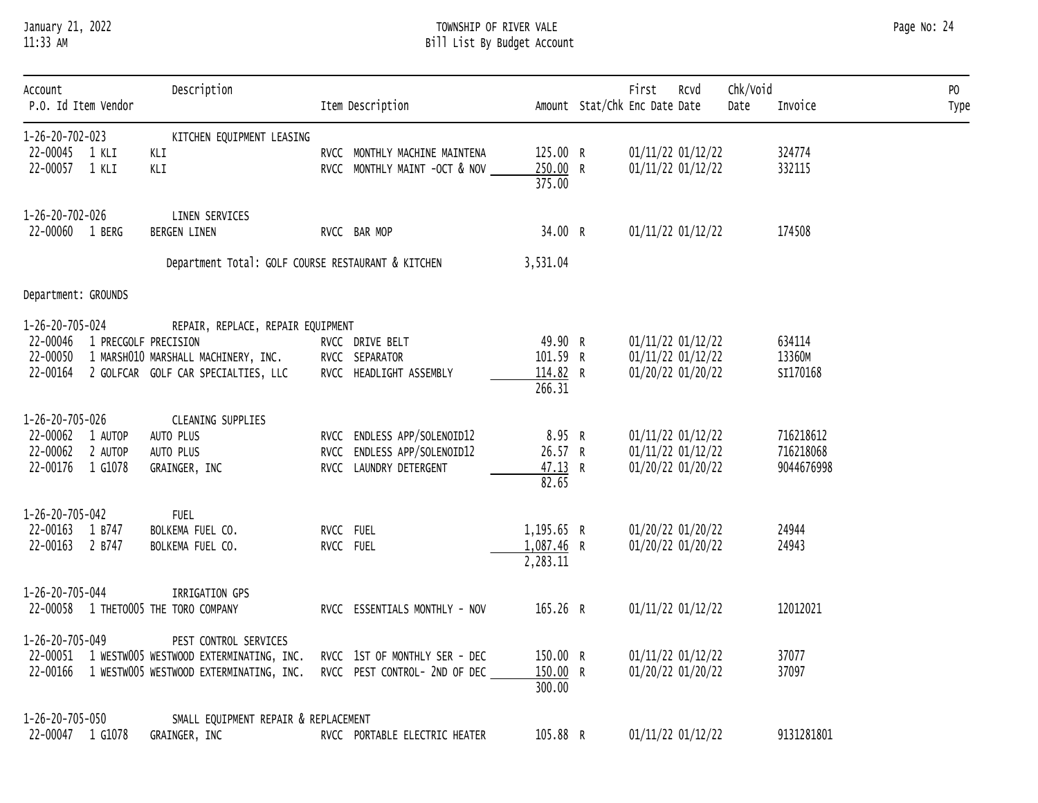# January 21, 2022 TOWNSHIP OF RIVER VALE Page No: 24 11:33 AM Bill List By Budget Account

| Account<br>P.O. Id Item Vendor | Description                                                                                          | Item Description                                               |                      | First<br>Rcvd<br>Amount Stat/Chk Enc Date Date | Chk/Void<br>Date | Invoice        | PO<br>Type |
|--------------------------------|------------------------------------------------------------------------------------------------------|----------------------------------------------------------------|----------------------|------------------------------------------------|------------------|----------------|------------|
| 1-26-20-702-023                | KITCHEN EQUIPMENT LEASING                                                                            |                                                                |                      |                                                |                  |                |            |
| 22-00045 1 KLI                 | KLI                                                                                                  | RVCC MONTHLY MACHINE MAINTENA                                  | 125.00 R             | 01/11/22 01/12/22                              |                  | 324774         |            |
| 22-00057 1 KLI                 | KLI                                                                                                  | RVCC MONTHLY MAINT -OCT & NOV                                  | 250.00 R             | 01/11/22 01/12/22                              |                  | 332115         |            |
|                                |                                                                                                      |                                                                | 375.00               |                                                |                  |                |            |
| 1-26-20-702-026                | LINEN SERVICES                                                                                       |                                                                |                      |                                                |                  |                |            |
| 22-00060 1 BERG                | BERGEN LINEN                                                                                         | RVCC BAR MOP                                                   | 34.00 R              | 01/11/22 01/12/22                              |                  | 174508         |            |
|                                |                                                                                                      | Department Total: GOLF COURSE RESTAURANT & KITCHEN             | 3,531.04             |                                                |                  |                |            |
| Department: GROUNDS            |                                                                                                      |                                                                |                      |                                                |                  |                |            |
| 1-26-20-705-024                | REPAIR, REPLACE, REPAIR EQUIPMENT                                                                    |                                                                |                      |                                                |                  |                |            |
| 22-00046 1 PRECGOLF PRECISION  |                                                                                                      | RVCC DRIVE BELT                                                | 49.90 R              | 01/11/22 01/12/22                              |                  | 634114         |            |
|                                | 22-00050 1 MARSHO10 MARSHALL MACHINERY, INC.                                                         | RVCC SEPARATOR                                                 | 101.59 R             | 01/11/22 01/12/22                              |                  | 13360M         |            |
|                                | 22-00164 2 GOLFCAR GOLF CAR SPECIALTIES, LLC                                                         | RVCC HEADLIGHT ASSEMBLY                                        | 114.82 R             | 01/20/22 01/20/22                              |                  | SI170168       |            |
|                                |                                                                                                      |                                                                | 266.31               |                                                |                  |                |            |
| 1-26-20-705-026                | CLEANING SUPPLIES                                                                                    |                                                                |                      |                                                |                  |                |            |
| 22-00062 1 AUTOP               | AUTO PLUS                                                                                            | RVCC ENDLESS APP/SOLENOID12                                    | 8.95 R               | 01/11/22 01/12/22                              |                  | 716218612      |            |
| 22-00062 2 AUTOP               | AUTO PLUS                                                                                            | RVCC ENDLESS APP/SOLENOID12                                    | 26.57 R              | 01/11/22 01/12/22                              |                  | 716218068      |            |
| 22-00176 1 G1078               | GRAINGER, INC                                                                                        | RVCC LAUNDRY DETERGENT                                         | 47.13 R              | 01/20/22 01/20/22                              |                  | 9044676998     |            |
|                                |                                                                                                      |                                                                | 82.65                |                                                |                  |                |            |
| 1-26-20-705-042                | <b>FUEL</b>                                                                                          |                                                                |                      |                                                |                  |                |            |
| 22-00163 1 B747                | BOLKEMA FUEL CO.                                                                                     | RVCC FUEL                                                      | 1,195.65 R           | 01/20/22 01/20/22                              |                  | 24944          |            |
| 22-00163 2 B747                | BOLKEMA FUEL CO.                                                                                     | RVCC FUEL                                                      | 1,087.46 R           | 01/20/22 01/20/22                              |                  | 24943          |            |
|                                |                                                                                                      |                                                                | 2,283.11             |                                                |                  |                |            |
| 1-26-20-705-044                | IRRIGATION GPS                                                                                       |                                                                |                      |                                                |                  |                |            |
|                                | 22-00058 1 THETO005 THE TORO COMPANY                                                                 | RVCC ESSENTIALS MONTHLY - NOV                                  | 165.26 R             | 01/11/22 01/12/22                              |                  | 12012021       |            |
|                                |                                                                                                      |                                                                |                      |                                                |                  |                |            |
| 1-26-20-705-049                | PEST CONTROL SERVICES                                                                                |                                                                |                      |                                                |                  |                |            |
|                                | 22-00051 1 WESTW005 WESTWOOD EXTERMINATING, INC.<br>22-00166 1 WESTW005 WESTWOOD EXTERMINATING, INC. | RVCC 1ST OF MONTHLY SER - DEC<br>RVCC PEST CONTROL- 2ND OF DEC | 150.00 R<br>150.00 R | 01/11/22 01/12/22<br>01/20/22 01/20/22         |                  | 37077<br>37097 |            |
|                                |                                                                                                      |                                                                | 300.00               |                                                |                  |                |            |
|                                |                                                                                                      |                                                                |                      |                                                |                  |                |            |
| 1-26-20-705-050                | SMALL EQUIPMENT REPAIR & REPLACEMENT                                                                 |                                                                |                      |                                                |                  |                |            |
| 22-00047 1 G1078               | GRAINGER, INC                                                                                        | RVCC PORTABLE ELECTRIC HEATER                                  | 105.88 R             | 01/11/22 01/12/22                              |                  | 9131281801     |            |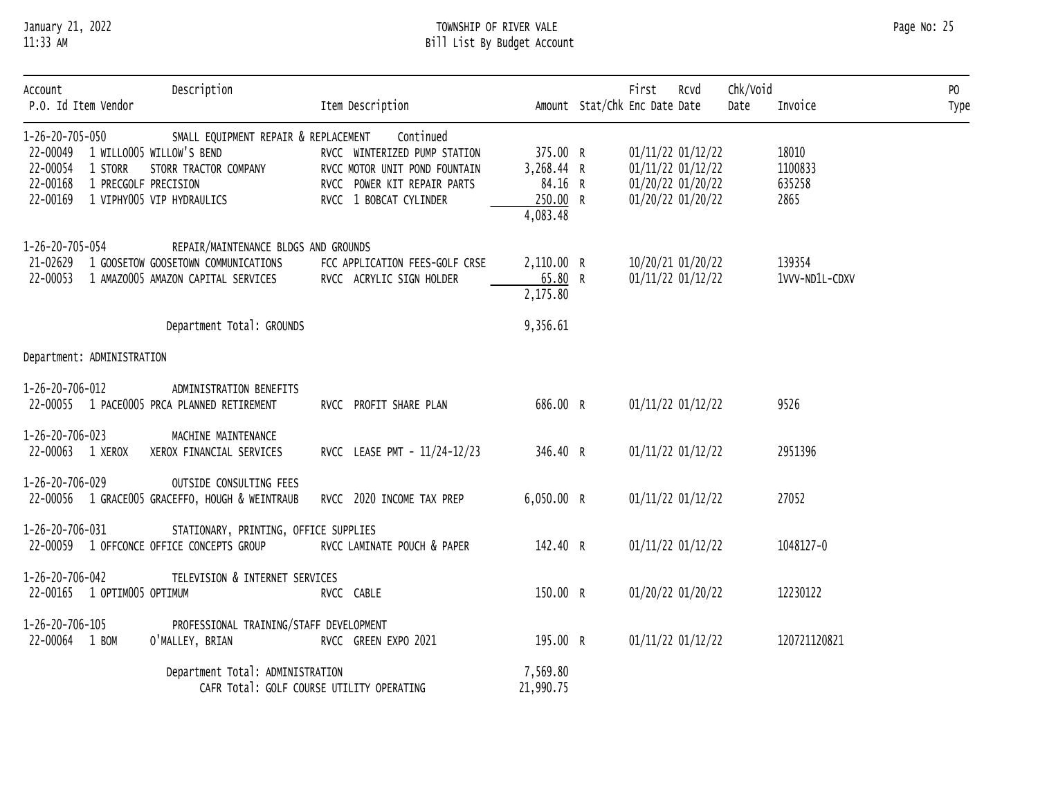# January 21, 2022 TOWNSHIP OF RIVER VALE Page No: 25 11:33 AM Bill List By Budget Account

| Account<br>P.O. Id Item Vendor                                                                                              | Description                                                                                                       | Item Description                                                                                                                    |                                                           | First<br>Amount Stat/Chk Enc Date Date                                           | Rcvd | Chk/Void<br>Date | Invoice                            | P <sub>0</sub><br>Type |
|-----------------------------------------------------------------------------------------------------------------------------|-------------------------------------------------------------------------------------------------------------------|-------------------------------------------------------------------------------------------------------------------------------------|-----------------------------------------------------------|----------------------------------------------------------------------------------|------|------------------|------------------------------------|------------------------|
| 1-26-20-705-050<br>22-00049 1 WILLO005 WILLOW'S BEND<br>22-00054<br>1 STORR<br>22-00168<br>1 PRECGOLF PRECISION<br>22-00169 | SMALL EQUIPMENT REPAIR & REPLACEMENT<br>STORR TRACTOR COMPANY<br>1 VIPHY005 VIP HYDRAULICS                        | Continued<br>RVCC WINTERIZED PUMP STATION<br>RVCC MOTOR UNIT POND FOUNTAIN<br>RVCC POWER KIT REPAIR PARTS<br>RVCC 1 BOBCAT CYLINDER | 375.00 R<br>3,268.44 R<br>84.16 R<br>250.00 R<br>4,083.48 | 01/11/22 01/12/22<br>01/11/22 01/12/22<br>01/20/22 01/20/22<br>01/20/22 01/20/22 |      |                  | 18010<br>1100833<br>635258<br>2865 |                        |
| 1-26-20-705-054<br>21-02629<br>22-00053                                                                                     | REPAIR/MAINTENANCE BLDGS AND GROUNDS<br>1 GOOSETOW GOOSETOWN COMMUNICATIONS<br>1 AMAZ0005 AMAZON CAPITAL SERVICES | FCC APPLICATION FEES-GOLF CRSE<br>RVCC ACRYLIC SIGN HOLDER                                                                          | 2,110.00 R<br>65.80 R<br>2,175.80                         | 10/20/21 01/20/22<br>01/11/22 01/12/22                                           |      |                  | 139354<br>1VVV-ND1L-CDXV           |                        |
|                                                                                                                             | Department Total: GROUNDS                                                                                         |                                                                                                                                     | 9,356.61                                                  |                                                                                  |      |                  |                                    |                        |
| Department: ADMINISTRATION                                                                                                  |                                                                                                                   |                                                                                                                                     |                                                           |                                                                                  |      |                  |                                    |                        |
| 1-26-20-706-012                                                                                                             | ADMINISTRATION BENEFITS<br>22-00055 1 PACE0005 PRCA PLANNED RETIREMENT                                            | RVCC PROFIT SHARE PLAN                                                                                                              | 686.00 R                                                  | 01/11/22 01/12/22                                                                |      |                  | 9526                               |                        |
| 1-26-20-706-023<br>22-00063 1 XEROX                                                                                         | MACHINE MAINTENANCE<br>XEROX FINANCIAL SERVICES                                                                   | RVCC LEASE PMT - 11/24-12/23                                                                                                        | 346.40 R                                                  | 01/11/22 01/12/22                                                                |      |                  | 2951396                            |                        |
| 1-26-20-706-029                                                                                                             | OUTSIDE CONSULTING FEES<br>22-00056 1 GRACE005 GRACEFFO, HOUGH & WEINTRAUB                                        | RVCC 2020 INCOME TAX PREP                                                                                                           | 6,050.00 R                                                | 01/11/22 01/12/22                                                                |      |                  | 27052                              |                        |
| 1-26-20-706-031                                                                                                             | STATIONARY, PRINTING, OFFICE SUPPLIES<br>22-00059 1 OFFCONCE OFFICE CONCEPTS GROUP                                | RVCC LAMINATE POUCH & PAPER                                                                                                         | 142.40 R                                                  | 01/11/22 01/12/22                                                                |      |                  | 1048127-0                          |                        |
| 1-26-20-706-042<br>22-00165 1 OPTIM005 OPTIMUM                                                                              | TELEVISION & INTERNET SERVICES                                                                                    | RVCC CABLE                                                                                                                          | 150.00 R                                                  | 01/20/22 01/20/22                                                                |      |                  | 12230122                           |                        |
| 1-26-20-706-105<br>22-00064 1 BOM                                                                                           | PROFESSIONAL TRAINING/STAFF DEVELOPMENT<br>O'MALLEY, BRIAN                                                        | RVCC GREEN EXPO 2021                                                                                                                | 195.00 R                                                  | 01/11/22 01/12/22                                                                |      |                  | 120721120821                       |                        |
|                                                                                                                             | Department Total: ADMINISTRATION                                                                                  | CAFR Total: GOLF COURSE UTILITY OPERATING                                                                                           | 7,569.80<br>21,990.75                                     |                                                                                  |      |                  |                                    |                        |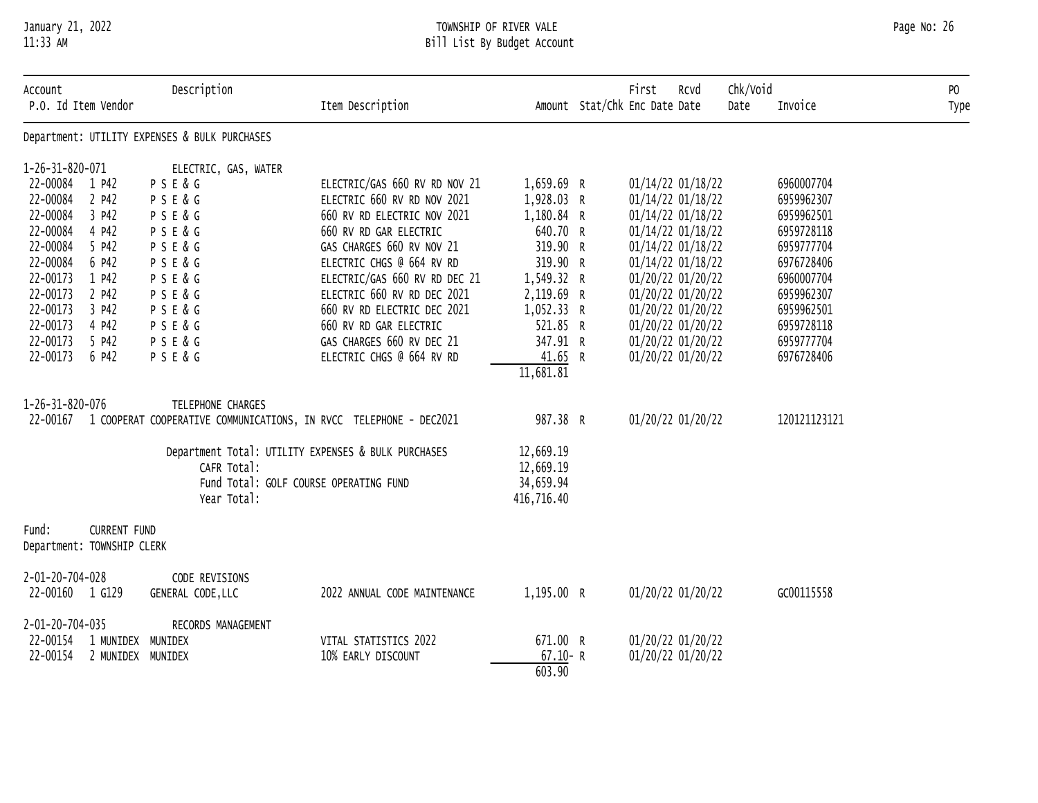# January 21, 2022 TOWNSHIP OF RIVER VALE Page No: 26 11:33 AM Bill List By Budget Account

| Account<br>P.O. Id Item Vendor | Description                                   | Item Description                                                            |             | First<br>Rcvd<br>Amount Stat/Chk Enc Date Date | Chk/Void<br>Date | Invoice      | P <sub>0</sub><br>Type |
|--------------------------------|-----------------------------------------------|-----------------------------------------------------------------------------|-------------|------------------------------------------------|------------------|--------------|------------------------|
|                                | Department: UTILITY EXPENSES & BULK PURCHASES |                                                                             |             |                                                |                  |              |                        |
| 1-26-31-820-071                | ELECTRIC, GAS, WATER                          |                                                                             |             |                                                |                  |              |                        |
| 22-00084 1 P42                 | PSE&G                                         | ELECTRIC/GAS 660 RV RD NOV 21                                               | 1,659.69 R  | 01/14/22 01/18/22                              |                  | 6960007704   |                        |
| 22-00084<br>2 P42              | PSE&G                                         | ELECTRIC 660 RV RD NOV 2021                                                 | 1,928.03 R  | 01/14/22 01/18/22                              |                  | 6959962307   |                        |
| 22-00084<br>3 P42              | <b>PSE&amp;G</b>                              | 660 RV RD ELECTRIC NOV 2021                                                 | 1,180.84 R  | 01/14/22 01/18/22                              |                  | 6959962501   |                        |
| 22-00084<br>4 P42              | PSE&G                                         | 660 RV RD GAR ELECTRIC                                                      | 640.70 R    | 01/14/22 01/18/22                              |                  | 6959728118   |                        |
| 22-00084<br>5 P42              | P S E & G                                     | GAS CHARGES 660 RV NOV 21                                                   | 319.90 R    | 01/14/22 01/18/22                              |                  | 6959777704   |                        |
| 22-00084<br>6 P42              | PSE&G                                         | ELECTRIC CHGS @ 664 RV RD                                                   | 319.90 R    | 01/14/22 01/18/22                              |                  | 6976728406   |                        |
| 22-00173<br>1 P42              | PSE&G                                         | ELECTRIC/GAS 660 RV RD DEC 21                                               | 1,549.32 R  | 01/20/22 01/20/22                              |                  | 6960007704   |                        |
| 22-00173<br>2 P42              | PSE&G                                         | ELECTRIC 660 RV RD DEC 2021                                                 | 2,119.69 R  | 01/20/22 01/20/22                              |                  | 6959962307   |                        |
| 22-00173<br>3 P42              | PSE&G                                         | 660 RV RD ELECTRIC DEC 2021                                                 | 1,052.33 R  | 01/20/22 01/20/22                              |                  | 6959962501   |                        |
| 22-00173<br>4 P42              | PSE&G                                         | 660 RV RD GAR ELECTRIC                                                      | 521.85 R    | 01/20/22 01/20/22                              |                  | 6959728118   |                        |
| 22-00173<br>5 P42              | P S E & G                                     | GAS CHARGES 660 RV DEC 21                                                   | 347.91 R    | 01/20/22 01/20/22                              |                  | 6959777704   |                        |
| 22-00173<br>6 P42              | PSE&G                                         | ELECTRIC CHGS @ 664 RV RD                                                   | 41.65 R     | 01/20/22 01/20/22                              |                  | 6976728406   |                        |
|                                |                                               |                                                                             | 11,681.81   |                                                |                  |              |                        |
| 1-26-31-820-076                | TELEPHONE CHARGES                             |                                                                             |             |                                                |                  |              |                        |
|                                |                                               | 22-00167 1 COOPERAT COOPERATIVE COMMUNICATIONS, IN RVCC TELEPHONE - DEC2021 | 987.38 R    | 01/20/22 01/20/22                              |                  | 120121123121 |                        |
|                                |                                               | Department Total: UTILITY EXPENSES & BULK PURCHASES                         | 12,669.19   |                                                |                  |              |                        |
|                                | CAFR Total:                                   |                                                                             | 12,669.19   |                                                |                  |              |                        |
|                                |                                               | Fund Total: GOLF COURSE OPERATING FUND                                      | 34,659.94   |                                                |                  |              |                        |
|                                | Year Total:                                   |                                                                             | 416,716.40  |                                                |                  |              |                        |
| <b>CURRENT FUND</b><br>Fund:   |                                               |                                                                             |             |                                                |                  |              |                        |
| Department: TOWNSHIP CLERK     |                                               |                                                                             |             |                                                |                  |              |                        |
| 2-01-20-704-028                | CODE REVISIONS                                |                                                                             |             |                                                |                  |              |                        |
| 22-00160 1 G129                | GENERAL CODE, LLC                             | 2022 ANNUAL CODE MAINTENANCE                                                | 1,195.00 R  | 01/20/22 01/20/22                              |                  | GC00115558   |                        |
| 2-01-20-704-035                | RECORDS MANAGEMENT                            |                                                                             |             |                                                |                  |              |                        |
| 22-00154<br>1 MUNIDEX MUNIDEX  |                                               | VITAL STATISTICS 2022                                                       | 671.00 R    | 01/20/22 01/20/22                              |                  |              |                        |
| 22-00154<br>2 MUNIDEX MUNIDEX  |                                               | 10% EARLY DISCOUNT                                                          | $67.10 - R$ | 01/20/22 01/20/22                              |                  |              |                        |
|                                |                                               |                                                                             | 603.90      |                                                |                  |              |                        |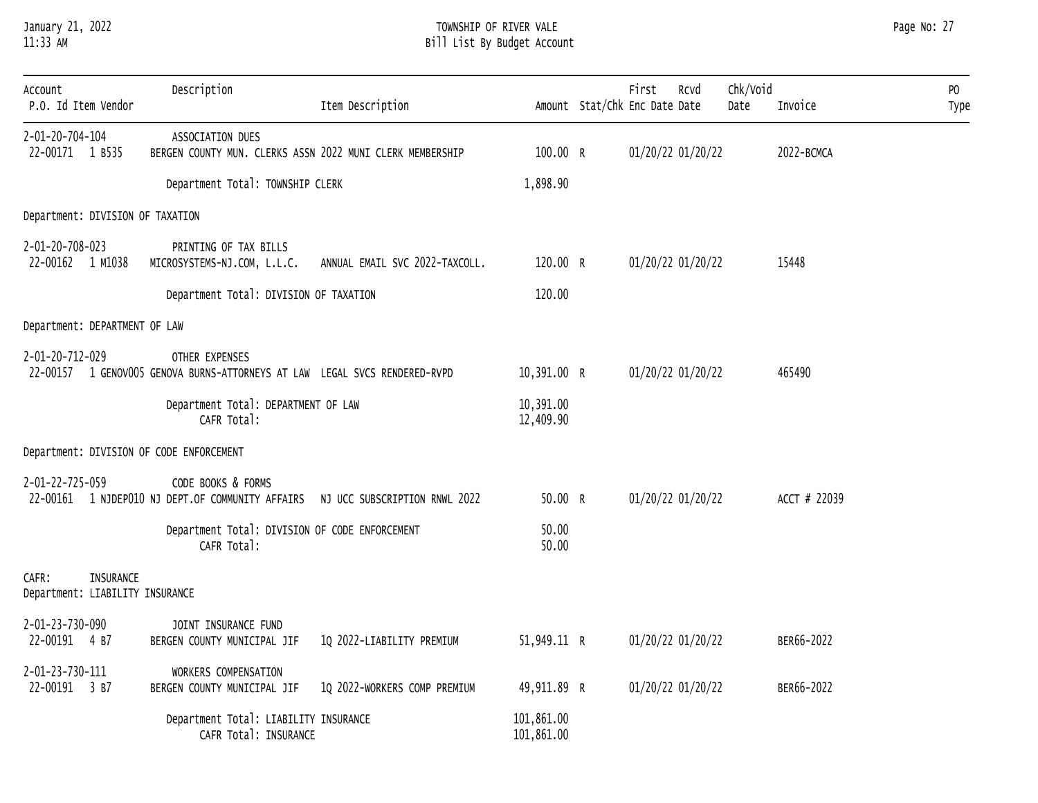# January 21, 2022 TOWNSHIP OF RIVER VALE Page No: 27 11:33 AM Bill List By Budget Account

| Account<br>P.O. Id Item Vendor                        | Description                                                                                  | Item Description                                                               |                          | First<br>Rcvd<br>Amount Stat/Chk Enc Date Date | Chk/Void<br>Date | Invoice      | PO<br>Type |
|-------------------------------------------------------|----------------------------------------------------------------------------------------------|--------------------------------------------------------------------------------|--------------------------|------------------------------------------------|------------------|--------------|------------|
| 2-01-20-704-104<br>22-00171 1 B535                    | ASSOCIATION DUES<br>BERGEN COUNTY MUN. CLERKS ASSN 2022 MUNI CLERK MEMBERSHIP                |                                                                                | 100.00 R                 | 01/20/22 01/20/22                              |                  | 2022-BCMCA   |            |
|                                                       | Department Total: TOWNSHIP CLERK                                                             |                                                                                | 1,898.90                 |                                                |                  |              |            |
| Department: DIVISION OF TAXATION                      |                                                                                              |                                                                                |                          |                                                |                  |              |            |
| 2-01-20-708-023<br>22-00162 1 M1038                   | PRINTING OF TAX BILLS<br>MICROSYSTEMS-NJ.COM, L.L.C.                                         | ANNUAL EMAIL SVC 2022-TAXCOLL.                                                 | 120.00 R                 | 01/20/22 01/20/22                              |                  | 15448        |            |
|                                                       | Department Total: DIVISION OF TAXATION                                                       |                                                                                | 120.00                   |                                                |                  |              |            |
| Department: DEPARTMENT OF LAW                         |                                                                                              |                                                                                |                          |                                                |                  |              |            |
| 2-01-20-712-029                                       | OTHER EXPENSES<br>22-00157 1 GENOVOO5 GENOVA BURNS-ATTORNEYS AT LAW LEGAL SVCS RENDERED-RVPD |                                                                                | 10,391.00 R              | 01/20/22 01/20/22                              |                  | 465490       |            |
|                                                       | Department Total: DEPARTMENT OF LAW<br>CAFR Total:                                           |                                                                                | 10,391.00<br>12,409.90   |                                                |                  |              |            |
| Department: DIVISION OF CODE ENFORCEMENT              |                                                                                              |                                                                                |                          |                                                |                  |              |            |
| 2-01-22-725-059                                       | CODE BOOKS & FORMS                                                                           | 22-00161 1 NJDEP010 NJ DEPT.OF COMMUNITY AFFAIRS NJ UCC SUBSCRIPTION RNWL 2022 | 50.00 R                  | 01/20/22 01/20/22                              |                  | ACCT # 22039 |            |
|                                                       | Department Total: DIVISION OF CODE ENFORCEMENT<br>CAFR Total:                                |                                                                                | 50.00<br>50.00           |                                                |                  |              |            |
| CAFR:<br>INSURANCE<br>Department: LIABILITY INSURANCE |                                                                                              |                                                                                |                          |                                                |                  |              |            |
| 2-01-23-730-090<br>22-00191 4 B7                      | JOINT INSURANCE FUND<br>BERGEN COUNTY MUNICIPAL JIF                                          | 1Q 2022-LIABILITY PREMIUM                                                      | 51,949.11 R              | 01/20/22 01/20/22                              |                  | BER66-2022   |            |
| 2-01-23-730-111<br>22-00191 3 B7                      | WORKERS COMPENSATION<br>BERGEN COUNTY MUNICIPAL JIF                                          | 1Q 2022-WORKERS COMP PREMIUM                                                   | 49,911.89 R              | 01/20/22 01/20/22                              |                  | BER66-2022   |            |
|                                                       | Department Total: LIABILITY INSURANCE<br>CAFR Total: INSURANCE                               |                                                                                | 101,861.00<br>101,861.00 |                                                |                  |              |            |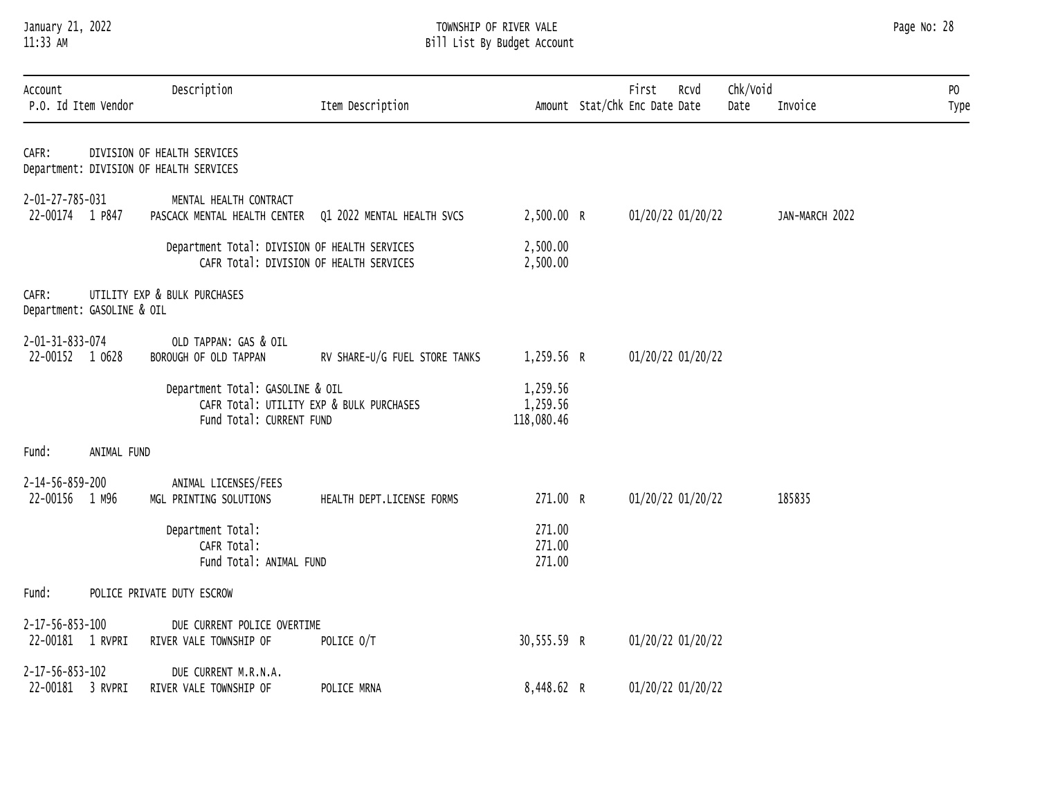# January 21, 2022 TOWNSHIP OF RIVER VALE Page No: 28 11:33 AM Bill List By Budget Account

| Account<br>P.O. Id Item Vendor      |             | Description                                                                                              | Item Description              |                                    | First<br>Rcvd<br>Amount Stat/Chk Enc Date Date | Chk/Void<br>Date | Invoice        | PO<br>Type |
|-------------------------------------|-------------|----------------------------------------------------------------------------------------------------------|-------------------------------|------------------------------------|------------------------------------------------|------------------|----------------|------------|
| CAFR:                               |             | DIVISION OF HEALTH SERVICES<br>Department: DIVISION OF HEALTH SERVICES                                   |                               |                                    |                                                |                  |                |            |
| 2-01-27-785-031<br>22-00174 1 P847  |             | MENTAL HEALTH CONTRACT<br>PASCACK MENTAL HEALTH CENTER                                                   | Q1 2022 MENTAL HEALTH SVCS    | 2,500.00 R                         | 01/20/22 01/20/22                              |                  | JAN-MARCH 2022 |            |
|                                     |             | Department Total: DIVISION OF HEALTH SERVICES<br>CAFR Total: DIVISION OF HEALTH SERVICES                 |                               | 2,500.00<br>2,500.00               |                                                |                  |                |            |
| CAFR:<br>Department: GASOLINE & OIL |             | UTILITY EXP & BULK PURCHASES                                                                             |                               |                                    |                                                |                  |                |            |
| 2-01-31-833-074<br>22-00152 1 0628  |             | OLD TAPPAN: GAS & OIL<br>BOROUGH OF OLD TAPPAN                                                           | RV SHARE-U/G FUEL STORE TANKS | 1,259.56 R                         | 01/20/22 01/20/22                              |                  |                |            |
|                                     |             | Department Total: GASOLINE & OIL<br>CAFR Total: UTILITY EXP & BULK PURCHASES<br>Fund Total: CURRENT FUND |                               | 1,259.56<br>1,259.56<br>118,080.46 |                                                |                  |                |            |
| Fund:                               | ANIMAL FUND |                                                                                                          |                               |                                    |                                                |                  |                |            |
| 2-14-56-859-200<br>22-00156 1 M96   |             | ANIMAL LICENSES/FEES<br>MGL PRINTING SOLUTIONS                                                           | HEALTH DEPT.LICENSE FORMS     | 271.00 R                           | 01/20/22 01/20/22                              |                  | 185835         |            |
|                                     |             | Department Total:<br>CAFR Total:<br>Fund Total: ANIMAL FUND                                              |                               | 271.00<br>271.00<br>271.00         |                                                |                  |                |            |
| Fund:                               |             | POLICE PRIVATE DUTY ESCROW                                                                               |                               |                                    |                                                |                  |                |            |
| 2-17-56-853-100<br>22-00181 1 RVPRI |             | DUE CURRENT POLICE OVERTIME<br>RIVER VALE TOWNSHIP OF                                                    | POLICE 0/T                    | 30,555.59 R                        | 01/20/22 01/20/22                              |                  |                |            |
| 2-17-56-853-102<br>22-00181 3 RVPRI |             | DUE CURRENT M.R.N.A.<br>RIVER VALE TOWNSHIP OF                                                           | POLICE MRNA                   | 8,448.62 R                         | 01/20/22 01/20/22                              |                  |                |            |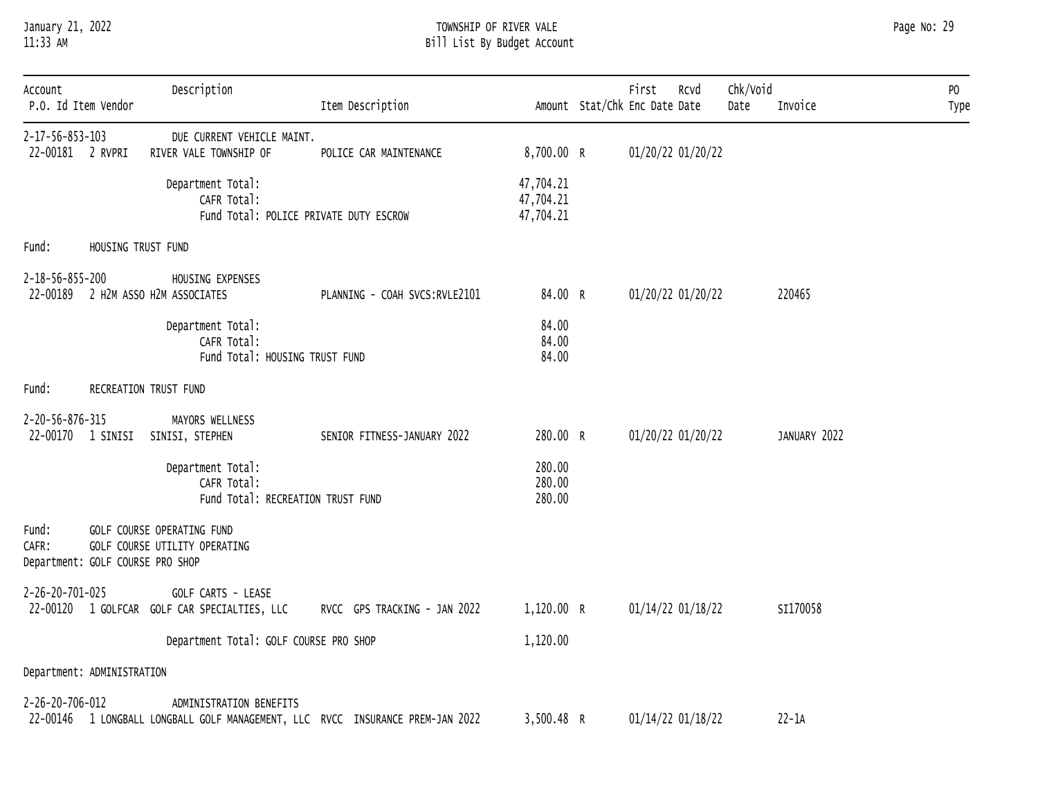# January 21, 2022 TOWNSHIP OF RIVER VALE Page No: 29 11:33 AM Bill List By Budget Account

| Page No: | -29 |  |
|----------|-----|--|
|----------|-----|--|

| Account<br>P.O. Id Item Vendor                     |                    | Description                                                                | Item Description                                                               |                                     | First<br>RCVd<br>Amount Stat/Chk Enc Date Date | Chk/Void<br>Date | Invoice      | PO<br>Type |
|----------------------------------------------------|--------------------|----------------------------------------------------------------------------|--------------------------------------------------------------------------------|-------------------------------------|------------------------------------------------|------------------|--------------|------------|
| 2-17-56-853-103<br>22-00181 2 RVPRI                |                    | DUE CURRENT VEHICLE MAINT.<br>RIVER VALE TOWNSHIP OF                       | POLICE CAR MAINTENANCE                                                         | 8,700.00 R                          | 01/20/22 01/20/22                              |                  |              |            |
|                                                    |                    | Department Total:<br>CAFR Total:<br>Fund Total: POLICE PRIVATE DUTY ESCROW |                                                                                | 47,704.21<br>47,704.21<br>47,704.21 |                                                |                  |              |            |
| Fund:                                              | HOUSING TRUST FUND |                                                                            |                                                                                |                                     |                                                |                  |              |            |
| 2-18-56-855-200                                    |                    | HOUSING EXPENSES<br>22-00189 2 H2M ASSO H2M ASSOCIATES                     | PLANNING - COAH SVCS:RVLE2101                                                  | 84.00 R                             | 01/20/22 01/20/22                              |                  | 220465       |            |
|                                                    |                    | Department Total:<br>CAFR Total:<br>Fund Total: HOUSING TRUST FUND         |                                                                                | 84.00<br>84.00<br>84.00             |                                                |                  |              |            |
| Fund:                                              |                    | RECREATION TRUST FUND                                                      |                                                                                |                                     |                                                |                  |              |            |
| 2-20-56-876-315                                    |                    | MAYORS WELLNESS<br>22-00170 1 SINISI SINISI, STEPHEN                       | SENIOR FITNESS-JANUARY 2022                                                    | 280.00 R                            | 01/20/22 01/20/22                              |                  | JANUARY 2022 |            |
|                                                    |                    | Department Total:<br>CAFR Total:<br>Fund Total: RECREATION TRUST FUND      |                                                                                | 280.00<br>280.00<br>280.00          |                                                |                  |              |            |
| Fund:<br>CAFR:<br>Department: GOLF COURSE PRO SHOP |                    | GOLF COURSE OPERATING FUND<br>GOLF COURSE UTILITY OPERATING                |                                                                                |                                     |                                                |                  |              |            |
| 2-26-20-701-025                                    |                    | GOLF CARTS - LEASE<br>22-00120 1 GOLFCAR GOLF CAR SPECIALTIES, LLC         | RVCC GPS TRACKING - JAN 2022                                                   | 1,120.00 R                          | 01/14/22 01/18/22                              |                  | SI170058     |            |
|                                                    |                    | Department Total: GOLF COURSE PRO SHOP                                     |                                                                                | 1,120.00                            |                                                |                  |              |            |
| Department: ADMINISTRATION                         |                    |                                                                            |                                                                                |                                     |                                                |                  |              |            |
| 2-26-20-706-012                                    |                    | ADMINISTRATION BENEFITS                                                    | 22-00146 1 LONGBALL LONGBALL GOLF MANAGEMENT, LLC RVCC INSURANCE PREM-JAN 2022 | 3,500.48 R                          | 01/14/22 01/18/22                              |                  | $22 - 1A$    |            |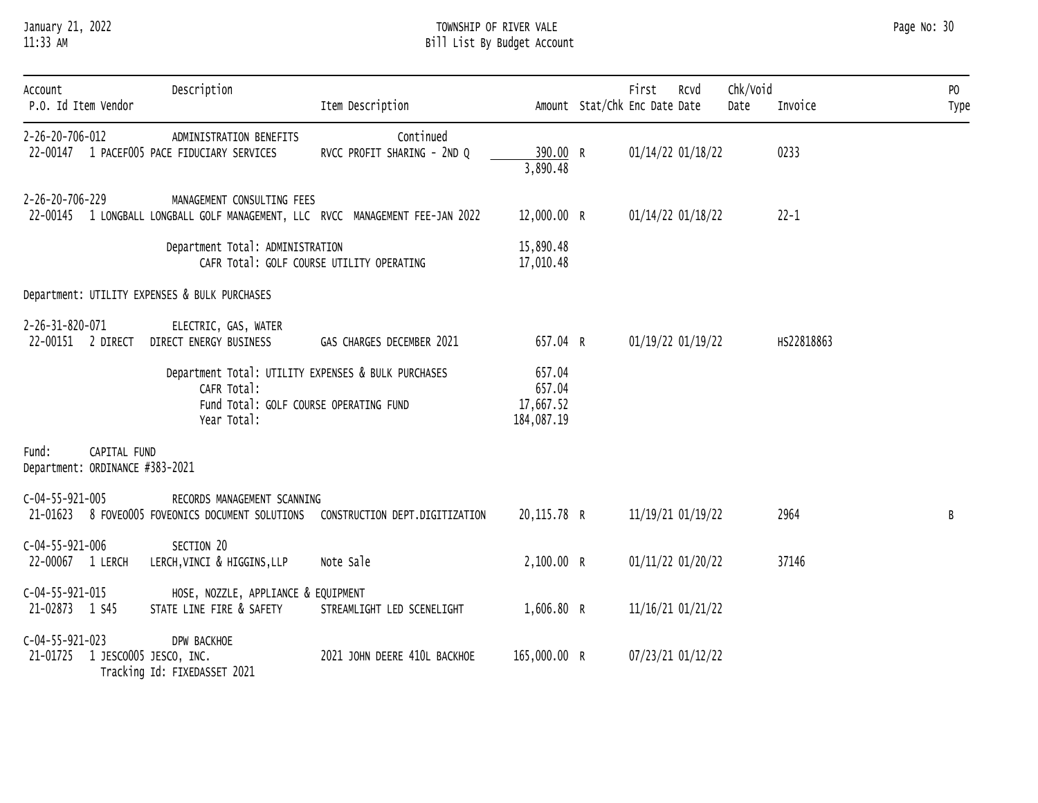# January 21, 2022 TOWNSHIP OF RIVER VALE Page No: 30 11:33 AM Bill List By Budget Account

| Account<br>P.O. Id Item Vendor                           | Description                                                                                                                 | Item Description                                                                |                                             | First<br>Amount Stat/Chk Enc Date Date | Rcvd | Chk/Void<br>Date | Invoice    | PO<br>Type |
|----------------------------------------------------------|-----------------------------------------------------------------------------------------------------------------------------|---------------------------------------------------------------------------------|---------------------------------------------|----------------------------------------|------|------------------|------------|------------|
| 2-26-20-706-012                                          | ADMINISTRATION BENEFITS<br>22-00147 1 PACEF005 PACE FIDUCIARY SERVICES                                                      | Continued<br>RVCC PROFIT SHARING - 2ND Q                                        | 390.00 R<br>3,890.48                        | 01/14/22 01/18/22                      |      |                  | 0233       |            |
| 2-26-20-706-229                                          | MANAGEMENT CONSULTING FEES                                                                                                  | 22-00145 1 LONGBALL LONGBALL GOLF MANAGEMENT, LLC RVCC MANAGEMENT FEE-JAN 2022  | 12,000.00 R                                 | 01/14/22 01/18/22                      |      |                  | $22 - 1$   |            |
|                                                          | Department Total: ADMINISTRATION                                                                                            | CAFR Total: GOLF COURSE UTILITY OPERATING                                       | 15,890.48<br>17,010.48                      |                                        |      |                  |            |            |
|                                                          | Department: UTILITY EXPENSES & BULK PURCHASES                                                                               |                                                                                 |                                             |                                        |      |                  |            |            |
| 2-26-31-820-071<br>22-00151 2 DIRECT                     | ELECTRIC, GAS, WATER<br>DIRECT ENERGY BUSINESS                                                                              | GAS CHARGES DECEMBER 2021                                                       | 657.04 R                                    | 01/19/22 01/19/22                      |      |                  | HS22818863 |            |
|                                                          | Department Total: UTILITY EXPENSES & BULK PURCHASES<br>CAFR Total:<br>Fund Total: GOLF COURSE OPERATING FUND<br>Year Total: |                                                                                 | 657.04<br>657.04<br>17,667.52<br>184,087.19 |                                        |      |                  |            |            |
| Fund:<br>CAPITAL FUND<br>Department: ORDINANCE #383-2021 |                                                                                                                             |                                                                                 |                                             |                                        |      |                  |            |            |
| $C-04-55-921-005$                                        | RECORDS MANAGEMENT SCANNING                                                                                                 | 21-01623 8 FOVEO005 FOVEONICS DOCUMENT SOLUTIONS CONSTRUCTION DEPT.DIGITIZATION | 20,115.78 R                                 | 11/19/21 01/19/22                      |      |                  | 2964       | B          |
| $C-04-55-921-006$<br>22-00067 1 LERCH                    | SECTION 20<br>LERCH, VINCI & HIGGINS, LLP                                                                                   | Note Sale                                                                       | 2,100.00 R                                  | 01/11/22 01/20/22                      |      |                  | 37146      |            |
| $C-04-55-921-015$<br>21-02873 1 S45                      | HOSE, NOZZLE, APPLIANCE & EQUIPMENT<br>STATE LINE FIRE & SAFETY                                                             | STREAMLIGHT LED SCENELIGHT                                                      | 1,606.80 R                                  | 11/16/21 01/21/22                      |      |                  |            |            |
| $C-04-55-921-023$<br>21-01725                            | DPW BACKHOE<br>1 JESCO005 JESCO, INC.<br>Tracking Id: FIXEDASSET 2021                                                       | 2021 JOHN DEERE 410L BACKHOE                                                    | 165,000.00 R                                | 07/23/21 01/12/22                      |      |                  |            |            |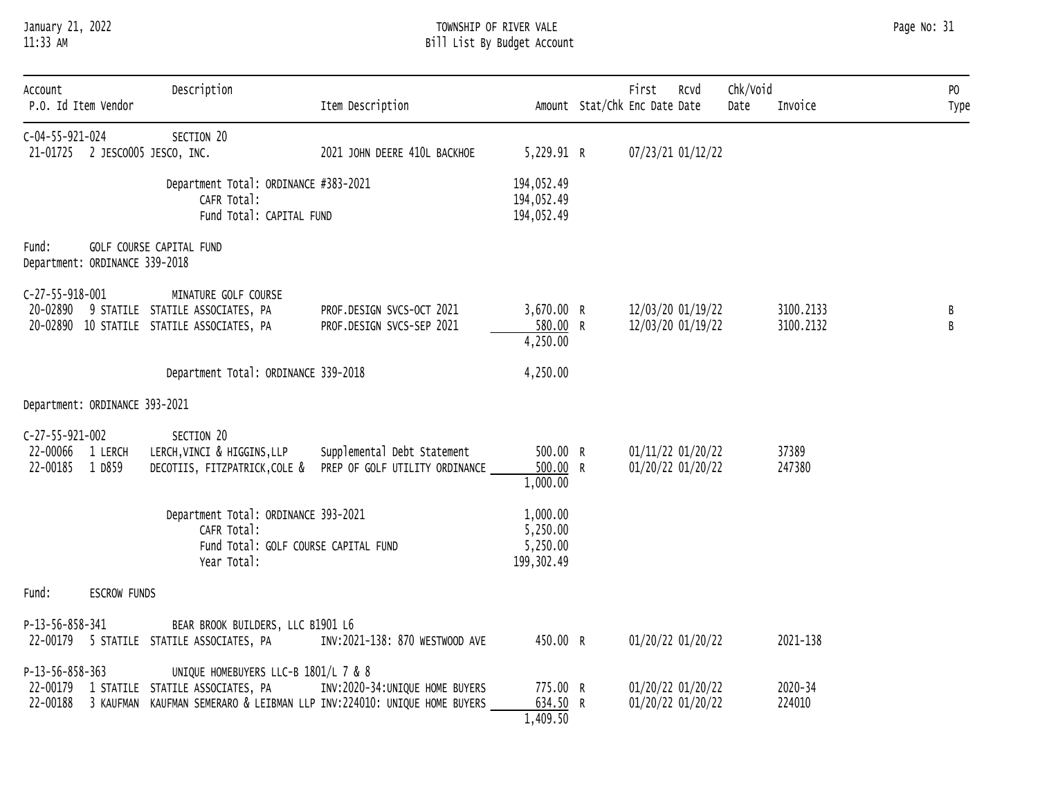# January 21, 2022 TOWNSHIP OF RIVER VALE Page No: 31 11:33 AM Bill List By Budget Account

| Account<br>P.O. Id Item Vendor                              | Description                                                                                            | Item Description                                                                                           |                                                 | Chk/Void<br>First<br>Rcvd<br>Amount Stat/Chk Enc Date Date<br>Date | Invoice                | PO<br>Type |
|-------------------------------------------------------------|--------------------------------------------------------------------------------------------------------|------------------------------------------------------------------------------------------------------------|-------------------------------------------------|--------------------------------------------------------------------|------------------------|------------|
| $C-04-55-921-024$<br>21-01725 2 JESCO005 JESCO, INC.        | SECTION 20                                                                                             | 2021 JOHN DEERE 410L BACKHOE                                                                               | 5,229.91 R                                      | 07/23/21 01/12/22                                                  |                        |            |
|                                                             | Department Total: ORDINANCE #383-2021<br>CAFR Total:<br>Fund Total: CAPITAL FUND                       |                                                                                                            | 194,052.49<br>194,052.49<br>194,052.49          |                                                                    |                        |            |
| Fund:<br>Department: ORDINANCE 339-2018                     | GOLF COURSE CAPITAL FUND                                                                               |                                                                                                            |                                                 |                                                                    |                        |            |
| $C-27-55-918-001$<br>20-02890                               | MINATURE GOLF COURSE<br>9 STATILE STATILE ASSOCIATES, PA<br>20-02890 10 STATILE STATILE ASSOCIATES, PA | PROF.DESIGN SVCS-OCT 2021<br>PROF.DESIGN SVCS-SEP 2021                                                     | 3,670.00 R<br>580.00 R<br>4,250.00              | 12/03/20 01/19/22<br>12/03/20 01/19/22                             | 3100.2133<br>3100.2132 | B<br>В     |
|                                                             | Department Total: ORDINANCE 339-2018                                                                   |                                                                                                            | 4,250.00                                        |                                                                    |                        |            |
| Department: ORDINANCE 393-2021                              |                                                                                                        |                                                                                                            |                                                 |                                                                    |                        |            |
| $C-27-55-921-002$<br>22-00066 1 LERCH<br>22-00185<br>1 D859 | SECTION 20<br>LERCH, VINCI & HIGGINS, LLP                                                              | Supplemental Debt Statement<br>DECOTIIS, FITZPATRICK, COLE & PREP OF GOLF UTILITY ORDINANCE                | 500.00 R<br>500.00 R<br>1,000.00                | 01/11/22 01/20/22<br>01/20/22 01/20/22                             | 37389<br>247380        |            |
|                                                             | Department Total: ORDINANCE 393-2021<br>CAFR Total:<br>Year Total:                                     | Fund Total: GOLF COURSE CAPITAL FUND                                                                       | 1,000.00<br>5,250.00<br>5,250.00<br>199, 302.49 |                                                                    |                        |            |
| Fund:                                                       | <b>ESCROW FUNDS</b>                                                                                    |                                                                                                            |                                                 |                                                                    |                        |            |
| P-13-56-858-341                                             | BEAR BROOK BUILDERS, LLC B1901 L6<br>22-00179 5 STATILE STATILE ASSOCIATES, PA                         | INV:2021-138: 870 WESTWOOD AVE                                                                             | 450.00 R                                        | 01/20/22 01/20/22                                                  | 2021-138               |            |
| P-13-56-858-363<br>22-00179<br>22-00188                     | UNIQUE HOMEBUYERS LLC-B 1801/L 7 & 8<br>1 STATILE STATILE ASSOCIATES, PA                               | INV:2020-34: UNIQUE HOME BUYERS<br>3 KAUFMAN KAUFMAN SEMERARO & LEIBMAN LLP INV:224010: UNIQUE HOME BUYERS | 775.00 R<br>634.50 R<br>1,409.50                | 01/20/22 01/20/22<br>01/20/22 01/20/22                             | 2020-34<br>224010      |            |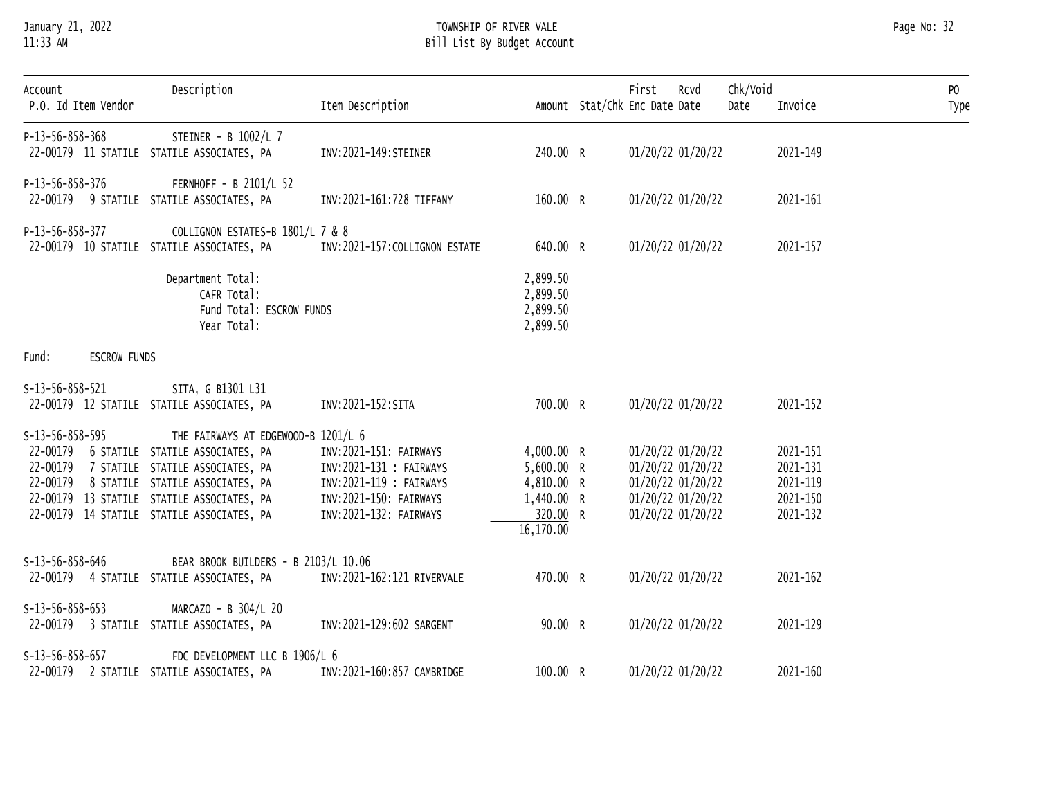# January 21, 2022 TOWNSHIP OF RIVER VALE Page No: 32 11:33 AM Bill List By Budget Account

| Account<br>P.O. Id Item Vendor | Description                                                                    | Item Description                                 |                                              | Chk/Void<br>First<br>Rcvd<br>Amount Stat/Chk Enc Date Date<br>Date | Invoice              | P <sub>0</sub><br>Type |
|--------------------------------|--------------------------------------------------------------------------------|--------------------------------------------------|----------------------------------------------|--------------------------------------------------------------------|----------------------|------------------------|
| P-13-56-858-368                | STEINER - B 1002/L 7<br>22-00179 11 STATILE STATILE ASSOCIATES, PA             | INV: 2021-149: STEINER                           | 240.00 R                                     | 01/20/22 01/20/22                                                  | 2021-149             |                        |
| P-13-56-858-376                | FERNHOFF - B 2101/L 52<br>22-00179 9 STATILE STATILE ASSOCIATES, PA            | INV:2021-161:728 TIFFANY                         | 160.00 R                                     | 01/20/22 01/20/22                                                  | 2021-161             |                        |
| P-13-56-858-377                | COLLIGNON ESTATES-B 1801/L 7 & 8<br>22-00179 10 STATILE STATILE ASSOCIATES, PA | INV:2021-157:COLLIGNON ESTATE                    | 640.00 R                                     | 01/20/22 01/20/22                                                  | 2021-157             |                        |
|                                | Department Total:<br>CAFR Total:<br>Fund Total: ESCROW FUNDS<br>Year Total:    |                                                  | 2,899.50<br>2,899.50<br>2,899.50<br>2,899.50 |                                                                    |                      |                        |
| ESCROW FUNDS<br>Fund:          |                                                                                |                                                  |                                              |                                                                    |                      |                        |
| $S-13-56-858-521$              | SITA, G B1301 L31                                                              |                                                  |                                              |                                                                    |                      |                        |
|                                | 22-00179 12 STATILE STATILE ASSOCIATES, PA                                     | INV:2021-152:SITA                                | 700.00 R                                     | 01/20/22 01/20/22                                                  | 2021-152             |                        |
| $S-13-56-858-595$              | THE FAIRWAYS AT EDGEWOOD-B 1201/L 6                                            |                                                  |                                              |                                                                    |                      |                        |
|                                | 22-00179 6 STATILE STATILE ASSOCIATES, PA                                      | INV:2021-151: FAIRWAYS                           | 4,000.00 R                                   | 01/20/22 01/20/22                                                  | 2021-151             |                        |
|                                | 22-00179 7 STATILE STATILE ASSOCIATES, PA                                      | INV:2021-131 : FAIRWAYS                          | 5,600.00 R                                   | 01/20/22 01/20/22                                                  | 2021-131             |                        |
|                                | 22-00179 8 STATILE STATILE ASSOCIATES, PA                                      | INV:2021-119 : FAIRWAYS                          | 4,810.00 R                                   | 01/20/22 01/20/22                                                  | 2021-119             |                        |
|                                | 22-00179 13 STATILE STATILE ASSOCIATES, PA                                     | INV:2021-150: FAIRWAYS<br>INV:2021-132: FAIRWAYS | 1,440.00 R<br>320.00 R                       | 01/20/22 01/20/22<br>01/20/22 01/20/22                             | 2021-150<br>2021-132 |                        |
|                                | 22-00179 14 STATILE STATILE ASSOCIATES, PA                                     |                                                  | 16,170.00                                    |                                                                    |                      |                        |
| $S-13-56-858-646$              | BEAR BROOK BUILDERS - B 2103/L 10.06                                           |                                                  |                                              |                                                                    |                      |                        |
|                                | 22-00179 4 STATILE STATILE ASSOCIATES, PA                                      | INV:2021-162:121 RIVERVALE                       | 470.00 R                                     | 01/20/22 01/20/22                                                  | 2021-162             |                        |
| $S-13-56-858-653$              | MARCAZO - B 304/L 20                                                           |                                                  |                                              |                                                                    |                      |                        |
|                                | 22-00179 3 STATILE STATILE ASSOCIATES, PA                                      | INV:2021-129:602 SARGENT                         | 90.00 R                                      | 01/20/22 01/20/22                                                  | 2021-129             |                        |
| $S-13-56-858-657$              | FDC DEVELOPMENT LLC B 1906/L 6                                                 |                                                  |                                              |                                                                    |                      |                        |
|                                | 22-00179 2 STATILE STATILE ASSOCIATES, PA                                      | INV:2021-160:857 CAMBRIDGE                       | 100.00 R                                     | 01/20/22 01/20/22                                                  | 2021-160             |                        |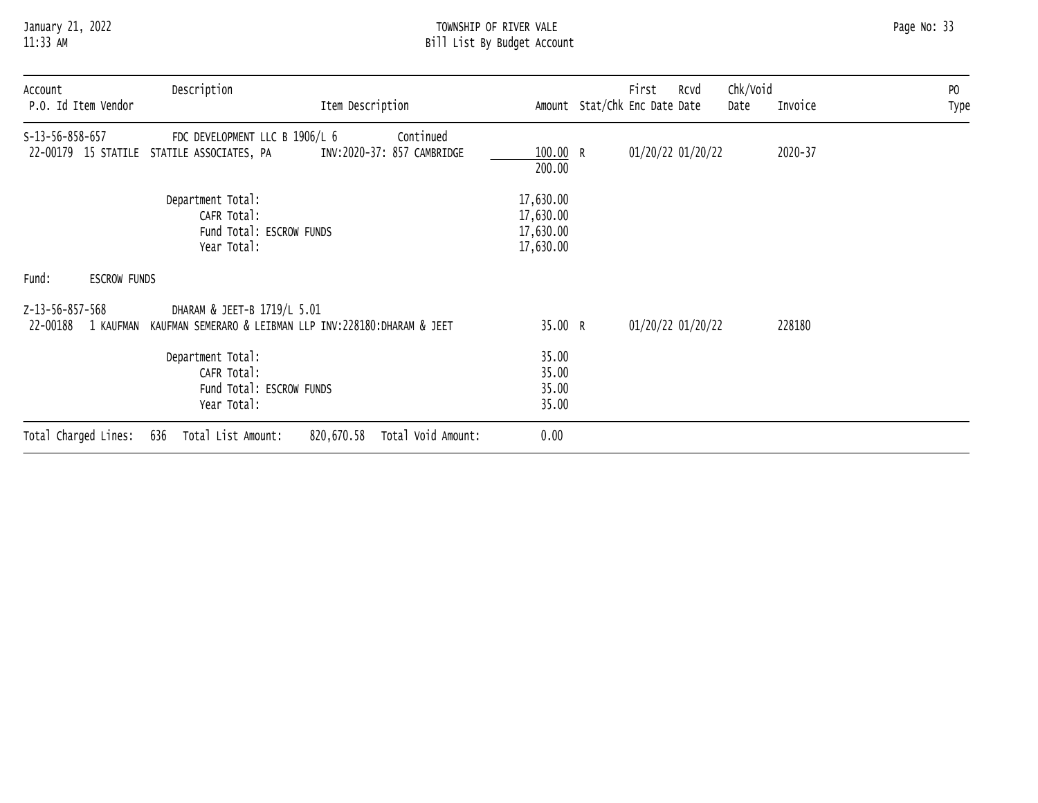# January 21, 2022 TOWNSHIP OF RIVER VALE Page No: 33 11:33 AM Bill List By Budget Account

| Account         |                      | Description                                                                            |                                         |                                                  | First                         | RCVd | Chk/Void |         | PO   |
|-----------------|----------------------|----------------------------------------------------------------------------------------|-----------------------------------------|--------------------------------------------------|-------------------------------|------|----------|---------|------|
|                 | P.O. Id Item Vendor  |                                                                                        | Item Description                        |                                                  | Amount Stat/Chk Enc Date Date |      | Date     | Invoice | Type |
| S-13-56-858-657 |                      | FDC DEVELOPMENT LLC B 1906/L 6<br>22-00179 15 STATILE STATILE ASSOCIATES, PA           | Continued<br>INV:2020-37: 857 CAMBRIDGE | 100.00 R<br>200.00                               | 01/20/22 01/20/22             |      |          | 2020-37 |      |
|                 |                      | Department Total:<br>CAFR Total:<br>Fund Total: ESCROW FUNDS<br>Year Total:            |                                         | 17,630.00<br>17,630.00<br>17,630.00<br>17,630.00 |                               |      |          |         |      |
| Fund:           | <b>ESCROW FUNDS</b>  |                                                                                        |                                         |                                                  |                               |      |          |         |      |
| Z-13-56-857-568 | 22-00188 1 KAUFMAN   | DHARAM & JEET-B 1719/L 5.01<br>KAUFMAN SEMERARO & LEIBMAN LLP INV:228180:DHARAM & JEET |                                         | 35.00 R                                          | 01/20/22 01/20/22             |      |          | 228180  |      |
|                 |                      | Department Total:<br>CAFR Total:<br>Fund Total: ESCROW FUNDS<br>Year Total:            |                                         | 35.00<br>35.00<br>35.00<br>35.00                 |                               |      |          |         |      |
|                 | Total Charged Lines: | Total List Amount:<br>636                                                              | 820,670.58<br>Total Void Amount:        | 0.00                                             |                               |      |          |         |      |